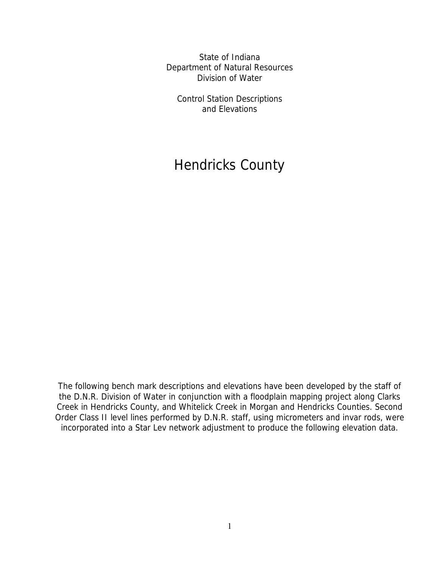State of Indiana Department of Natural Resources Division of Water

Control Station Descriptions and Elevations

# Hendricks County

The following bench mark descriptions and elevations have been developed by the staff of the D.N.R. Division of Water in conjunction with a floodplain mapping project along Clarks Creek in Hendricks County, and Whitelick Creek in Morgan and Hendricks Counties. Second Order Class II level lines performed by D.N.R. staff, using micrometers and invar rods, were incorporated into a Star Lev network adjustment to produce the following elevation data.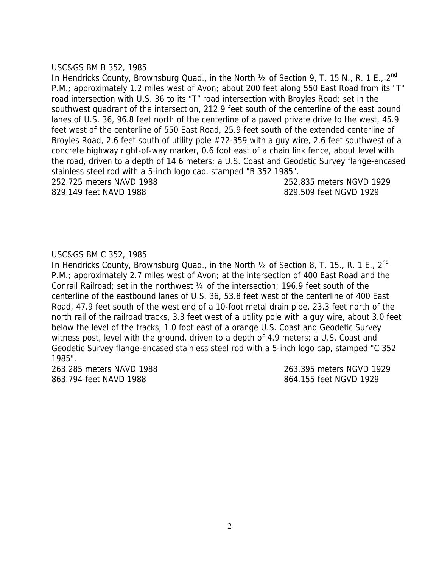#### USC&GS BM B 352, 1985

In Hendricks County, Brownsburg Quad., in the North 1/2 of Section 9, T. 15 N., R. 1 E., 2<sup>nd</sup> P.M.; approximately 1.2 miles west of Avon; about 200 feet along 550 East Road from its "T" road intersection with U.S. 36 to its "T" road intersection with Broyles Road; set in the southwest quadrant of the intersection, 212.9 feet south of the centerline of the east bound lanes of U.S. 36, 96.8 feet north of the centerline of a paved private drive to the west, 45.9 feet west of the centerline of 550 East Road, 25.9 feet south of the extended centerline of Broyles Road, 2.6 feet south of utility pole #72-359 with a guy wire, 2.6 feet southwest of a concrete highway right-of-way marker, 0.6 foot east of a chain link fence, about level with the road, driven to a depth of 14.6 meters; a U.S. Coast and Geodetic Survey flange-encased stainless steel rod with a 5-inch logo cap, stamped "B 352 1985".

252.725 meters NAVD 1988 252.835 meters NGVD 1929 829.149 feet NAVD 1988 829.509 feet NGVD 1929

#### USC&GS BM C 352, 1985

In Hendricks County, Brownsburg Quad., in the North  $\frac{1}{2}$  of Section 8, T. 15., R. 1 E.,  $2^{nd}$ P.M.; approximately 2.7 miles west of Avon; at the intersection of 400 East Road and the Conrail Railroad; set in the northwest ¼ of the intersection; 196.9 feet south of the centerline of the eastbound lanes of U.S. 36, 53.8 feet west of the centerline of 400 East Road, 47.9 feet south of the west end of a 10-foot metal drain pipe, 23.3 feet north of the north rail of the railroad tracks, 3.3 feet west of a utility pole with a guy wire, about 3.0 feet below the level of the tracks, 1.0 foot east of a orange U.S. Coast and Geodetic Survey witness post, level with the ground, driven to a depth of 4.9 meters; a U.S. Coast and Geodetic Survey flange-encased stainless steel rod with a 5-inch logo cap, stamped "C 352 1985".

863.794 feet NAVD 1988 and the state of the state of the state of the state of the state of the state of the state of the state of the state of the state of the state of the state of the state of the state of the state of

263.285 meters NAVD 1988 263.395 meters NGVD 1929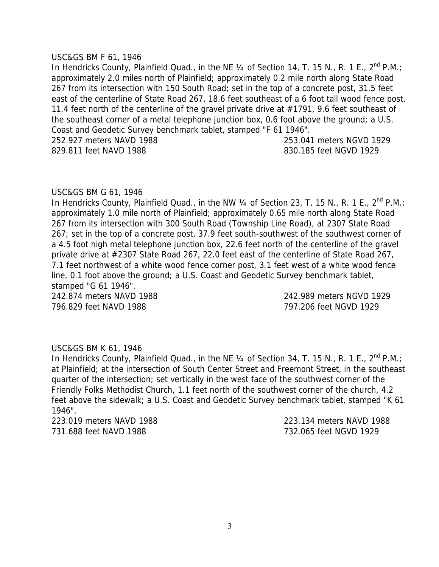#### USC&GS BM F 61, 1946

In Hendricks County, Plainfield Quad., in the NE  $\frac{1}{4}$  of Section 14, T. 15 N., R. 1 E., 2<sup>nd</sup> P.M.; approximately 2.0 miles north of Plainfield; approximately 0.2 mile north along State Road 267 from its intersection with 150 South Road; set in the top of a concrete post, 31.5 feet east of the centerline of State Road 267, 18.6 feet southeast of a 6 foot tall wood fence post, 11.4 feet north of the centerline of the gravel private drive at #1791, 9.6 feet southeast of the southeast corner of a metal telephone junction box, 0.6 foot above the ground; a U.S. Coast and Geodetic Survey benchmark tablet, stamped "F 61 1946". 252.927 meters NAVD 1988 253.041 meters NGVD 1929 829.811 feet NAVD 1988 **830.185** feet NGVD 1929

#### USC&GS BM G 61, 1946

In Hendricks County, Plainfield Quad., in the NW  $\frac{1}{4}$  of Section 23, T. 15 N., R. 1 E., 2<sup>nd</sup> P.M.; approximately 1.0 mile north of Plainfield; approximately 0.65 mile north along State Road 267 from its intersection with 300 South Road (Township Line Road), at 2307 State Road 267; set in the top of a concrete post, 37.9 feet south-southwest of the southwest corner of a 4.5 foot high metal telephone junction box, 22.6 feet north of the centerline of the gravel private drive at #2307 State Road 267, 22.0 feet east of the centerline of State Road 267, 7.1 feet northwest of a white wood fence corner post, 3.1 feet west of a white wood fence line, 0.1 foot above the ground; a U.S. Coast and Geodetic Survey benchmark tablet, stamped "G 61 1946".

796.829 feet NAVD 1988 797.206 feet NGVD 1929

242.874 meters NAVD 1988 242.989 meters NGVD 1929

#### USC&GS BM K 61, 1946

In Hendricks County, Plainfield Quad., in the NE  $\frac{1}{4}$  of Section 34, T. 15 N., R. 1 E., 2<sup>nd</sup> P.M.; at Plainfield; at the intersection of South Center Street and Freemont Street, in the southeast quarter of the intersection; set vertically in the west face of the southwest corner of the Friendly Folks Methodist Church, 1.1 feet north of the southwest corner of the church, 4.2 feet above the sidewalk; a U.S. Coast and Geodetic Survey benchmark tablet, stamped "K 61 1946".

731.688 feet NAVD 1988 732.065 feet NGVD 1929

223.019 meters NAVD 1988 223.134 meters NAVD 1988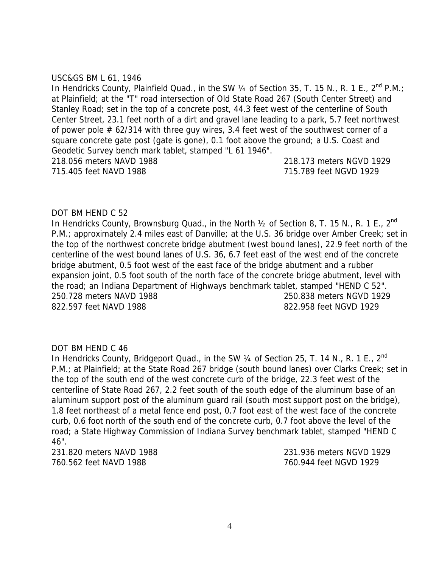#### USC&GS BM L 61, 1946

In Hendricks County, Plainfield Quad., in the SW 1/4 of Section 35, T. 15 N., R. 1 E., 2<sup>nd</sup> P.M.; at Plainfield; at the "T" road intersection of Old State Road 267 (South Center Street) and Stanley Road; set in the top of a concrete post, 44.3 feet west of the centerline of South Center Street, 23.1 feet north of a dirt and gravel lane leading to a park, 5.7 feet northwest of power pole # 62/314 with three guy wires, 3.4 feet west of the southwest corner of a square concrete gate post (gate is gone), 0.1 foot above the ground; a U.S. Coast and Geodetic Survey bench mark tablet, stamped "L 61 1946". 218.056 meters NAVD 1988 218.173 meters NGVD 1929 715.405 feet NAVD 1988 715.789 feet NGVD 1929

# DOT BM HEND C 52

In Hendricks County, Brownsburg Quad., in the North 1/2 of Section 8, T. 15 N., R. 1 E., 2<sup>nd</sup> P.M.; approximately 2.4 miles east of Danville; at the U.S. 36 bridge over Amber Creek; set in the top of the northwest concrete bridge abutment (west bound lanes), 22.9 feet north of the centerline of the west bound lanes of U.S. 36, 6.7 feet east of the west end of the concrete bridge abutment, 0.5 foot west of the east face of the bridge abutment and a rubber expansion joint, 0.5 foot south of the north face of the concrete bridge abutment, level with the road; an Indiana Department of Highways benchmark tablet, stamped "HEND C 52". 250.728 meters NAVD 1988 250.838 meters NGVD 1929 822.597 feet NAVD 1988 822.958 feet NGVD 1929

#### DOT BM HEND C 46

In Hendricks County, Bridgeport Quad., in the SW 1/4 of Section 25, T. 14 N., R. 1 E., 2<sup>nd</sup> P.M.; at Plainfield; at the State Road 267 bridge (south bound lanes) over Clarks Creek; set in the top of the south end of the west concrete curb of the bridge, 22.3 feet west of the centerline of State Road 267, 2.2 feet south of the south edge of the aluminum base of an aluminum support post of the aluminum guard rail (south most support post on the bridge), 1.8 feet northeast of a metal fence end post, 0.7 foot east of the west face of the concrete curb, 0.6 foot north of the south end of the concrete curb, 0.7 foot above the level of the road; a State Highway Commission of Indiana Survey benchmark tablet, stamped "HEND C 46".

760.562 feet NAVD 1988 760.944 feet NGVD 1929

231.820 meters NAVD 1988 231.936 meters NGVD 1929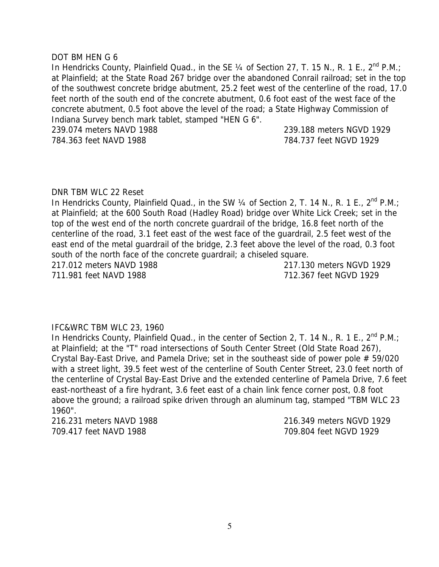#### DOT BM HEN G 6

In Hendricks County, Plainfield Quad., in the SE  $\frac{1}{4}$  of Section 27, T. 15 N., R. 1 E., 2<sup>nd</sup> P.M.; at Plainfield; at the State Road 267 bridge over the abandoned Conrail railroad; set in the top of the southwest concrete bridge abutment, 25.2 feet west of the centerline of the road, 17.0 feet north of the south end of the concrete abutment, 0.6 foot east of the west face of the concrete abutment, 0.5 foot above the level of the road; a State Highway Commission of Indiana Survey bench mark tablet, stamped "HEN G 6". 239.074 meters NAVD 1988 239.188 meters NGVD 1929

784.363 feet NAVD 1988 784.737 feet NGVD 1929

#### DNR TBM WLC 22 Reset

In Hendricks County, Plainfield Quad., in the SW 1/4 of Section 2, T. 14 N., R. 1 E., 2<sup>nd</sup> P.M.; at Plainfield; at the 600 South Road (Hadley Road) bridge over White Lick Creek; set in the top of the west end of the north concrete guardrail of the bridge, 16.8 feet north of the centerline of the road, 3.1 feet east of the west face of the guardrail, 2.5 feet west of the east end of the metal guardrail of the bridge, 2.3 feet above the level of the road, 0.3 foot south of the north face of the concrete guardrail; a chiseled square. 217.012 meters NAVD 1988 217.130 meters NGVD 1929

711.981 feet NAVD 1988 712.367 feet NGVD 1929

#### IFC&WRC TBM WLC 23, 1960

In Hendricks County, Plainfield Quad., in the center of Section 2, T. 14 N., R. 1 E.,  $2^{nd}$  P.M.; at Plainfield; at the "T" road intersections of South Center Street (Old State Road 267), Crystal Bay-East Drive, and Pamela Drive; set in the southeast side of power pole # 59/020 with a street light, 39.5 feet west of the centerline of South Center Street, 23.0 feet north of the centerline of Crystal Bay-East Drive and the extended centerline of Pamela Drive, 7.6 feet east-northeast of a fire hydrant, 3.6 feet east of a chain link fence corner post, 0.8 foot above the ground; a railroad spike driven through an aluminum tag, stamped "TBM WLC 23 1960".

709.417 feet NAVD 1988 709.804 feet NGVD 1929

216.231 meters NAVD 1988 216.349 meters NGVD 1929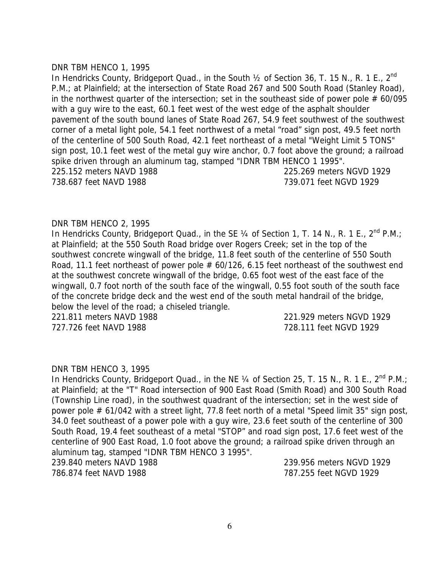#### DNR TBM HENCO 1, 1995

In Hendricks County, Bridgeport Quad., in the South 1/2 of Section 36, T. 15 N., R. 1 E., 2<sup>nd</sup> P.M.; at Plainfield; at the intersection of State Road 267 and 500 South Road (Stanley Road), in the northwest quarter of the intersection; set in the southeast side of power pole  $# 60/095$ with a guy wire to the east, 60.1 feet west of the west edge of the asphalt shoulder pavement of the south bound lanes of State Road 267, 54.9 feet southwest of the southwest corner of a metal light pole, 54.1 feet northwest of a metal "road" sign post, 49.5 feet north of the centerline of 500 South Road, 42.1 feet northeast of a metal "Weight Limit 5 TONS" sign post, 10.1 feet west of the metal guy wire anchor, 0.7 foot above the ground; a railroad spike driven through an aluminum tag, stamped "IDNR TBM HENCO 1 1995". 225.152 meters NAVD 1988 225.269 meters NGVD 1929 738.687 feet NAVD 1988 739.071 feet NGVD 1929

#### DNR TBM HENCO 2, 1995

In Hendricks County, Bridgeport Quad., in the SE  $\frac{1}{4}$  of Section 1, T. 14 N., R. 1 E.,  $2^{nd}$  P.M.; at Plainfield; at the 550 South Road bridge over Rogers Creek; set in the top of the southwest concrete wingwall of the bridge, 11.8 feet south of the centerline of 550 South Road, 11.1 feet northeast of power pole # 60/126, 6.15 feet northeast of the southwest end at the southwest concrete wingwall of the bridge, 0.65 foot west of the east face of the wingwall, 0.7 foot north of the south face of the wingwall, 0.55 foot south of the south face of the concrete bridge deck and the west end of the south metal handrail of the bridge, below the level of the road; a chiseled triangle.

727.726 feet NAVD 1988 728.111 feet NGVD 1929

221.811 meters NAVD 1988 221.929 meters NGVD 1929

#### DNR TBM HENCO 3, 1995

In Hendricks County, Bridgeport Quad., in the NE 1/4 of Section 25, T. 15 N., R. 1 E., 2<sup>nd</sup> P.M.; at Plainfield; at the "T" Road intersection of 900 East Road (Smith Road) and 300 South Road (Township Line road), in the southwest quadrant of the intersection; set in the west side of power pole # 61/042 with a street light, 77.8 feet north of a metal "Speed limit 35" sign post, 34.0 feet southeast of a power pole with a guy wire, 23.6 feet south of the centerline of 300 South Road, 19.4 feet southeast of a metal "STOP" and road sign post, 17.6 feet west of the centerline of 900 East Road, 1.0 foot above the ground; a railroad spike driven through an aluminum tag, stamped "IDNR TBM HENCO 3 1995".

786.874 feet NAVD 1988 787.255 feet NGVD 1929

239.840 meters NAVD 1988 239.956 meters NGVD 1929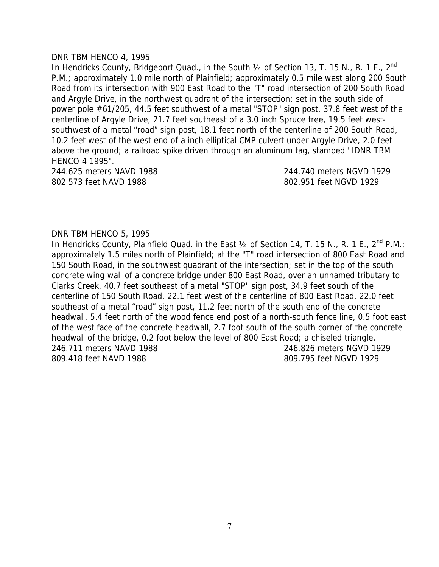#### DNR TBM HENCO 4, 1995

In Hendricks County, Bridgeport Quad., in the South  $\frac{1}{2}$  of Section 13, T. 15 N., R. 1 E., 2<sup>nd</sup> P.M.; approximately 1.0 mile north of Plainfield; approximately 0.5 mile west along 200 South Road from its intersection with 900 East Road to the "T" road intersection of 200 South Road and Argyle Drive, in the northwest quadrant of the intersection; set in the south side of power pole #61/205, 44.5 feet southwest of a metal "STOP" sign post, 37.8 feet west of the centerline of Argyle Drive, 21.7 feet southeast of a 3.0 inch Spruce tree, 19.5 feet westsouthwest of a metal "road" sign post, 18.1 feet north of the centerline of 200 South Road, 10.2 feet west of the west end of a inch elliptical CMP culvert under Argyle Drive, 2.0 feet above the ground; a railroad spike driven through an aluminum tag, stamped "IDNR TBM HENCO 4 1995".

802 573 feet NAVD 1988 802.951 feet NGVD 1929

244.625 meters NAVD 1988 244.740 meters NGVD 1929

#### DNR TBM HENCO 5, 1995

In Hendricks County, Plainfield Quad. in the East  $\frac{1}{2}$  of Section 14, T. 15 N., R. 1 E., 2<sup>nd</sup> P.M.; approximately 1.5 miles north of Plainfield; at the "T" road intersection of 800 East Road and 150 South Road, in the southwest quadrant of the intersection; set in the top of the south concrete wing wall of a concrete bridge under 800 East Road, over an unnamed tributary to Clarks Creek, 40.7 feet southeast of a metal "STOP" sign post, 34.9 feet south of the centerline of 150 South Road, 22.1 feet west of the centerline of 800 East Road, 22.0 feet southeast of a metal "road" sign post, 11.2 feet north of the south end of the concrete headwall, 5.4 feet north of the wood fence end post of a north-south fence line, 0.5 foot east of the west face of the concrete headwall, 2.7 foot south of the south corner of the concrete headwall of the bridge, 0.2 foot below the level of 800 East Road; a chiseled triangle. 246.711 meters NAVD 1988 246.826 meters NGVD 1929 809.418 feet NAVD 1988 809.795 feet NGVD 1929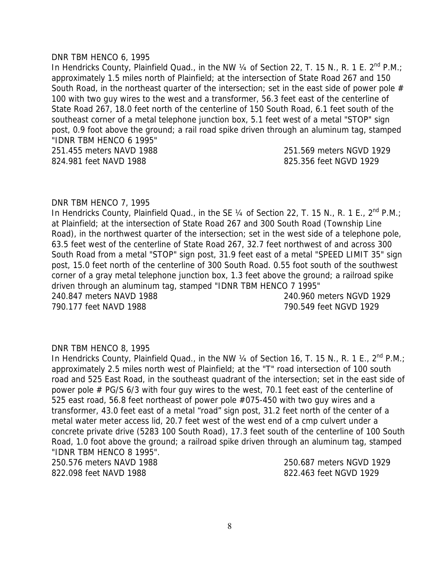#### DNR TBM HENCO 6, 1995

In Hendricks County, Plainfield Quad., in the NW  $\frac{1}{4}$  of Section 22, T. 15 N., R. 1 E. 2<sup>nd</sup> P.M.; approximately 1.5 miles north of Plainfield; at the intersection of State Road 267 and 150 South Road, in the northeast quarter of the intersection; set in the east side of power pole  $#$ 100 with two guy wires to the west and a transformer, 56.3 feet east of the centerline of State Road 267, 18.0 feet north of the centerline of 150 South Road, 6.1 feet south of the southeast corner of a metal telephone junction box, 5.1 feet west of a metal "STOP" sign post, 0.9 foot above the ground; a rail road spike driven through an aluminum tag, stamped "IDNR TBM HENCO 6 1995" 251.455 meters NAVD 1988 251.569 meters NGVD 1929 824.981 feet NAVD 1988 **824.981 825.356 feet NGVD** 1929

#### DNR TBM HENCO 7, 1995

In Hendricks County, Plainfield Quad., in the SE  $\frac{1}{4}$  of Section 22, T. 15 N., R. 1 E., 2<sup>nd</sup> P.M.; at Plainfield; at the intersection of State Road 267 and 300 South Road (Township Line Road), in the northwest quarter of the intersection; set in the west side of a telephone pole, 63.5 feet west of the centerline of State Road 267, 32.7 feet northwest of and across 300 South Road from a metal "STOP" sign post, 31.9 feet east of a metal "SPEED LIMIT 35" sign post, 15.0 feet north of the centerline of 300 South Road. 0.55 foot south of the southwest corner of a gray metal telephone junction box, 1.3 feet above the ground; a railroad spike driven through an aluminum tag, stamped "IDNR TBM HENCO 7 1995" 240.847 meters NAVD 1988 240.960 meters NGVD 1929 790.177 feet NAVD 1988 790.549 feet NGVD 1929

#### DNR TBM HENCO 8, 1995

In Hendricks County, Plainfield Quad., in the NW  $\frac{1}{4}$  of Section 16, T. 15 N., R. 1 E., 2<sup>nd</sup> P.M.; approximately 2.5 miles north west of Plainfield; at the "T" road intersection of 100 south road and 525 East Road, in the southeast quadrant of the intersection; set in the east side of power pole # PG/S 6/3 with four guy wires to the west, 70.1 feet east of the centerline of 525 east road, 56.8 feet northeast of power pole #075-450 with two guy wires and a transformer, 43.0 feet east of a metal "road" sign post, 31.2 feet north of the center of a metal water meter access lid, 20.7 feet west of the west end of a cmp culvert under a concrete private drive (5283 100 South Road), 17.3 feet south of the centerline of 100 South Road, 1.0 foot above the ground; a railroad spike driven through an aluminum tag, stamped "IDNR TBM HENCO 8 1995".

822.098 feet NAVD 1988 822.463 feet NGVD 1929

250.576 meters NAVD 1988 250.687 meters NGVD 1929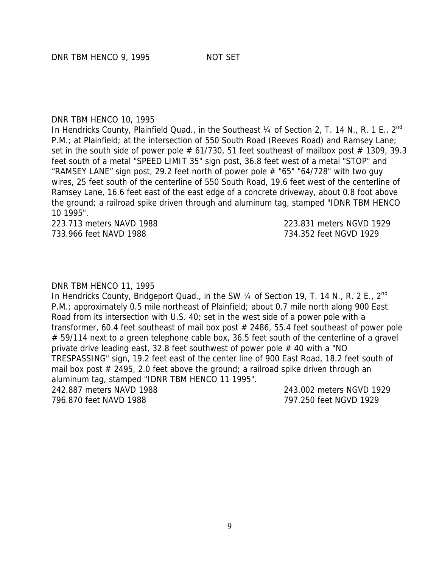#### DNR TBM HENCO 10, 1995

In Hendricks County, Plainfield Quad., in the Southeast 1/4 of Section 2, T. 14 N., R. 1 E., 2<sup>nd</sup> P.M.; at Plainfield; at the intersection of 550 South Road (Reeves Road) and Ramsey Lane; set in the south side of power pole  $# 61/730$ , 51 feet southeast of mailbox post  $# 1309$ , 39.3 feet south of a metal "SPEED LIMIT 35" sign post, 36.8 feet west of a metal "STOP" and "RAMSEY LANE" sign post, 29.2 feet north of power pole  $#$  "65" "64/728" with two guy wires, 25 feet south of the centerline of 550 South Road, 19.6 feet west of the centerline of Ramsey Lane, 16.6 feet east of the east edge of a concrete driveway, about 0.8 foot above the ground; a railroad spike driven through and aluminum tag, stamped "IDNR TBM HENCO 10 1995".

223.713 meters NAVD 1988 223.831 meters NGVD 1929 733.966 feet NAVD 1988 734.352 feet NGVD 1929

#### DNR TBM HENCO 11, 1995

In Hendricks County, Bridgeport Quad., in the SW 1/4 of Section 19, T. 14 N., R. 2 E., 2<sup>nd</sup> P.M.; approximately 0.5 mile northeast of Plainfield; about 0.7 mile north along 900 East Road from its intersection with U.S. 40; set in the west side of a power pole with a transformer, 60.4 feet southeast of mail box post # 2486, 55.4 feet southeast of power pole # 59/114 next to a green telephone cable box, 36.5 feet south of the centerline of a gravel private drive leading east, 32.8 feet southwest of power pole # 40 with a "NO TRESPASSING" sign, 19.2 feet east of the center line of 900 East Road, 18.2 feet south of mail box post  $#$  2495, 2.0 feet above the ground; a railroad spike driven through an aluminum tag, stamped "IDNR TBM HENCO 11 1995".

796.870 feet NAVD 1988 797.250 feet NGVD 1929

242.887 meters NAVD 1988 243.002 meters NGVD 1929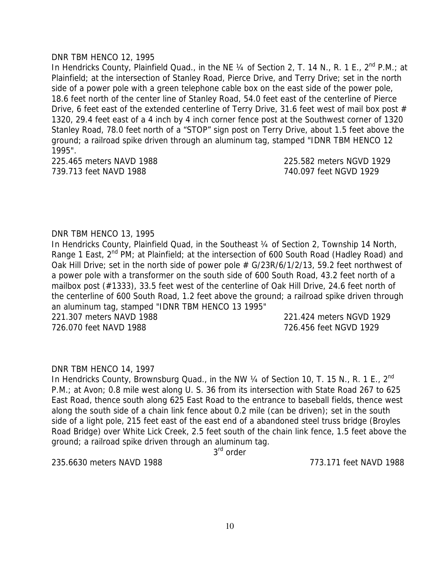#### DNR TBM HENCO 12, 1995

In Hendricks County, Plainfield Quad., in the NE 1/4 of Section 2, T. 14 N., R. 1 E., 2<sup>nd</sup> P.M.; at Plainfield; at the intersection of Stanley Road, Pierce Drive, and Terry Drive; set in the north side of a power pole with a green telephone cable box on the east side of the power pole, 18.6 feet north of the center line of Stanley Road, 54.0 feet east of the centerline of Pierce Drive, 6 feet east of the extended centerline of Terry Drive, 31.6 feet west of mail box post  $#$ 1320, 29.4 feet east of a 4 inch by 4 inch corner fence post at the Southwest corner of 1320 Stanley Road, 78.0 feet north of a "STOP" sign post on Terry Drive, about 1.5 feet above the ground; a railroad spike driven through an aluminum tag, stamped "IDNR TBM HENCO 12 1995".

739.713 feet NAVD 1988 740.097 feet NGVD 1929

225.465 meters NAVD 1988 225.582 meters NGVD 1929

# DNR TBM HENCO 13, 1995

In Hendricks County, Plainfield Quad, in the Southeast 1/4 of Section 2, Township 14 North, Range 1 East,  $2^{nd}$  PM; at Plainfield; at the intersection of 600 South Road (Hadley Road) and Oak Hill Drive; set in the north side of power pole # G/23R/6/1/2/13, 59.2 feet northwest of a power pole with a transformer on the south side of 600 South Road, 43.2 feet north of a mailbox post (#1333), 33.5 feet west of the centerline of Oak Hill Drive, 24.6 feet north of the centerline of 600 South Road, 1.2 feet above the ground; a railroad spike driven through an aluminum tag, stamped "IDNR TBM HENCO 13 1995" 221.307 meters NAVD 1988 221.424 meters NGVD 1929

726.070 feet NAVD 1988 726.456 feet NGVD 1929

#### DNR TBM HENCO 14, 1997

In Hendricks County, Brownsburg Quad., in the NW 1/4 of Section 10, T. 15 N., R. 1 E., 2<sup>nd</sup> P.M.; at Avon; 0.8 mile west along U. S. 36 from its intersection with State Road 267 to 625 East Road, thence south along 625 East Road to the entrance to baseball fields, thence west along the south side of a chain link fence about 0.2 mile (can be driven); set in the south side of a light pole, 215 feet east of the east end of a abandoned steel truss bridge (Broyles Road Bridge) over White Lick Creek, 2.5 feet south of the chain link fence, 1.5 feet above the ground; a railroad spike driven through an aluminum tag.

3<sup>rd</sup> order

235.6630 meters NAVD 1988 773.171 feet NAVD 1988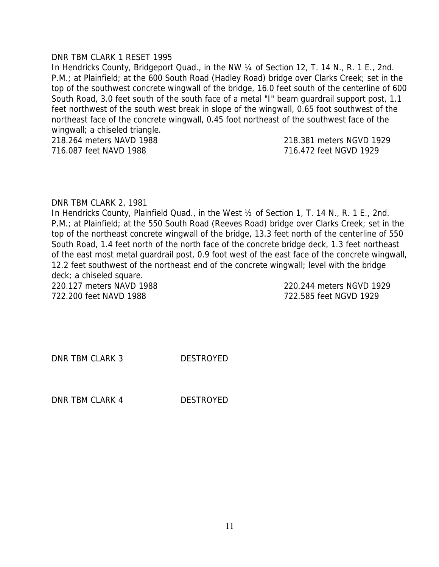#### DNR TBM CLARK 1 RESET 1995

In Hendricks County, Bridgeport Quad., in the NW ¼ of Section 12, T. 14 N., R. 1 E., 2nd. P.M.; at Plainfield; at the 600 South Road (Hadley Road) bridge over Clarks Creek; set in the top of the southwest concrete wingwall of the bridge, 16.0 feet south of the centerline of 600 South Road, 3.0 feet south of the south face of a metal "I" beam guardrail support post, 1.1 feet northwest of the south west break in slope of the wingwall, 0.65 foot southwest of the northeast face of the concrete wingwall, 0.45 foot northeast of the southwest face of the wingwall; a chiseled triangle. 218.264 meters NAVD 1988 218.381 meters NGVD 1929

716.087 feet NAVD 1988 716.472 feet NGVD 1929

#### DNR TBM CLARK 2, 1981

In Hendricks County, Plainfield Quad., in the West ½ of Section 1, T. 14 N., R. 1 E., 2nd. P.M.; at Plainfield; at the 550 South Road (Reeves Road) bridge over Clarks Creek; set in the top of the northeast concrete wingwall of the bridge, 13.3 feet north of the centerline of 550 South Road, 1.4 feet north of the north face of the concrete bridge deck, 1.3 feet northeast of the east most metal guardrail post, 0.9 foot west of the east face of the concrete wingwall, 12.2 feet southwest of the northeast end of the concrete wingwall; level with the bridge deck; a chiseled square. 220.127 meters NAVD 1988 220.244 meters NGVD 1929

722.200 feet NAVD 1988 722.585 feet NGVD 1929

DNR TBM CLARK 3 DESTROYED

DNR TBM CLARK 4 DESTROYED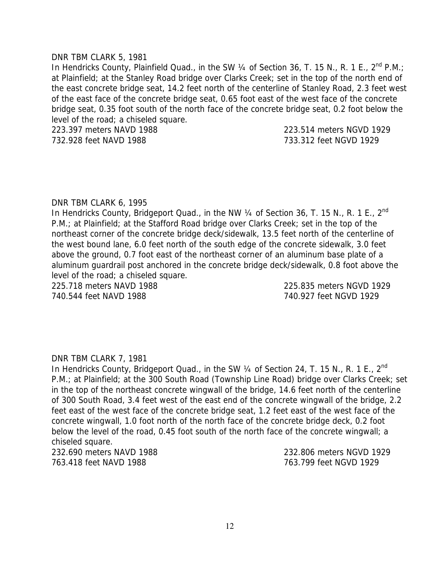#### DNR TBM CLARK 5, 1981

In Hendricks County, Plainfield Quad., in the SW  $\frac{1}{4}$  of Section 36, T. 15 N., R. 1 E., 2<sup>nd</sup> P.M.; at Plainfield; at the Stanley Road bridge over Clarks Creek; set in the top of the north end of the east concrete bridge seat, 14.2 feet north of the centerline of Stanley Road, 2.3 feet west of the east face of the concrete bridge seat, 0.65 foot east of the west face of the concrete bridge seat, 0.35 foot south of the north face of the concrete bridge seat, 0.2 foot below the level of the road; a chiseled square.

223.397 meters NAVD 1988 223.514 meters NGVD 1929 732.928 feet NAVD 1988 733.312 feet NGVD 1929

#### DNR TBM CLARK 6, 1995

In Hendricks County, Bridgeport Quad., in the NW 1/4 of Section 36, T. 15 N., R. 1 E., 2<sup>nd</sup> P.M.; at Plainfield; at the Stafford Road bridge over Clarks Creek; set in the top of the northeast corner of the concrete bridge deck/sidewalk, 13.5 feet north of the centerline of the west bound lane, 6.0 feet north of the south edge of the concrete sidewalk, 3.0 feet above the ground, 0.7 foot east of the northeast corner of an aluminum base plate of a aluminum guardrail post anchored in the concrete bridge deck/sidewalk, 0.8 foot above the level of the road; a chiseled square.

225.718 meters NAVD 1988 225.835 meters NGVD 1929 740.544 feet NAVD 1988 740.927 feet NGVD 1929

#### DNR TBM CLARK 7, 1981

In Hendricks County, Bridgeport Quad., in the SW 1/4 of Section 24, T. 15 N., R. 1 E., 2<sup>nd</sup> P.M.; at Plainfield; at the 300 South Road (Township Line Road) bridge over Clarks Creek; set in the top of the northeast concrete wingwall of the bridge, 14.6 feet north of the centerline of 300 South Road, 3.4 feet west of the east end of the concrete wingwall of the bridge, 2.2 feet east of the west face of the concrete bridge seat, 1.2 feet east of the west face of the concrete wingwall, 1.0 foot north of the north face of the concrete bridge deck, 0.2 foot below the level of the road, 0.45 foot south of the north face of the concrete wingwall; a chiseled square.

763.418 feet NAVD 1988 763.799 feet NGVD 1929

232.690 meters NAVD 1988 232.806 meters NGVD 1929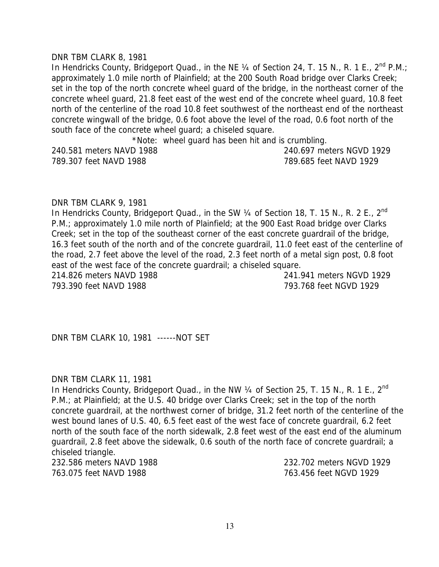#### DNR TBM CLARK 8, 1981

In Hendricks County, Bridgeport Quad., in the NE  $\frac{1}{4}$  of Section 24, T. 15 N., R. 1 E., 2<sup>nd</sup> P.M.; approximately 1.0 mile north of Plainfield; at the 200 South Road bridge over Clarks Creek; set in the top of the north concrete wheel guard of the bridge, in the northeast corner of the concrete wheel guard, 21.8 feet east of the west end of the concrete wheel guard, 10.8 feet north of the centerline of the road 10.8 feet southwest of the northeast end of the northeast concrete wingwall of the bridge, 0.6 foot above the level of the road, 0.6 foot north of the south face of the concrete wheel guard; a chiseled square.

\*Note: wheel guard has been hit and is crumbling.

789.307 feet NAVD 1988 789.685 feet NAVD 1929

240.581 meters NAVD 1988 240.697 meters NGVD 1929

#### DNR TBM CLARK 9, 1981

In Hendricks County, Bridgeport Quad., in the SW 1/4 of Section 18, T. 15 N., R. 2 E., 2<sup>nd</sup> P.M.; approximately 1.0 mile north of Plainfield; at the 900 East Road bridge over Clarks Creek; set in the top of the southeast corner of the east concrete guardrail of the bridge, 16.3 feet south of the north and of the concrete guardrail, 11.0 feet east of the centerline of the road, 2.7 feet above the level of the road, 2.3 feet north of a metal sign post, 0.8 foot east of the west face of the concrete guardrail; a chiseled square.

214.826 meters NAVD 1988 241.941 meters NGVD 1929 793.390 feet NAVD 1988 793.768 feet NGVD 1929

DNR TBM CLARK 10, 1981 ------NOT SET

#### DNR TBM CLARK 11, 1981

In Hendricks County, Bridgeport Quad., in the NW 1/4 of Section 25, T. 15 N., R. 1 E., 2<sup>nd</sup> P.M.; at Plainfield; at the U.S. 40 bridge over Clarks Creek; set in the top of the north concrete guardrail, at the northwest corner of bridge, 31.2 feet north of the centerline of the west bound lanes of U.S. 40, 6.5 feet east of the west face of concrete guardrail, 6.2 feet north of the south face of the north sidewalk, 2.8 feet west of the east end of the aluminum guardrail, 2.8 feet above the sidewalk, 0.6 south of the north face of concrete guardrail; a chiseled triangle.

232.586 meters NAVD 1988 232.702 meters NGVD 1929 763.075 feet NAVD 1988 763.456 feet NGVD 1929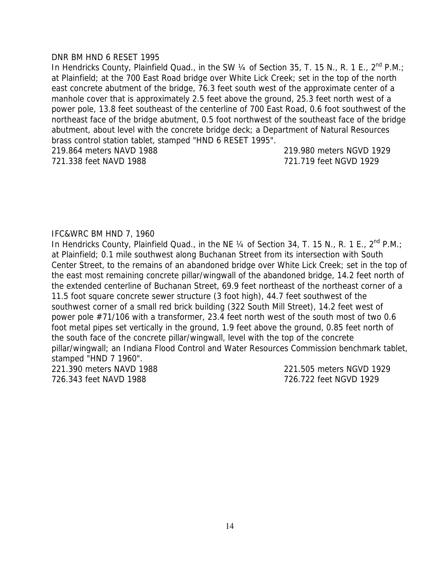#### DNR BM HND 6 RESET 1995

In Hendricks County, Plainfield Quad., in the SW  $\frac{1}{4}$  of Section 35, T. 15 N., R. 1 E., 2<sup>nd</sup> P.M.; at Plainfield; at the 700 East Road bridge over White Lick Creek; set in the top of the north east concrete abutment of the bridge, 76.3 feet south west of the approximate center of a manhole cover that is approximately 2.5 feet above the ground, 25.3 feet north west of a power pole, 13.8 feet southeast of the centerline of 700 East Road, 0.6 foot southwest of the northeast face of the bridge abutment, 0.5 foot northwest of the southeast face of the bridge abutment, about level with the concrete bridge deck; a Department of Natural Resources brass control station tablet, stamped "HND 6 RESET 1995".

219.864 meters NAVD 1988 219.980 meters NGVD 1929 721.338 feet NAVD 1988 721.719 feet NGVD 1929

#### IFC&WRC BM HND 7, 1960

In Hendricks County, Plainfield Quad., in the NE 1/4 of Section 34, T. 15 N., R. 1 E., 2<sup>nd</sup> P.M.; at Plainfield; 0.1 mile southwest along Buchanan Street from its intersection with South Center Street, to the remains of an abandoned bridge over White Lick Creek; set in the top of the east most remaining concrete pillar/wingwall of the abandoned bridge, 14.2 feet north of the extended centerline of Buchanan Street, 69.9 feet northeast of the northeast corner of a 11.5 foot square concrete sewer structure (3 foot high), 44.7 feet southwest of the southwest corner of a small red brick building (322 South Mill Street), 14.2 feet west of power pole #71/106 with a transformer, 23.4 feet north west of the south most of two 0.6 foot metal pipes set vertically in the ground, 1.9 feet above the ground, 0.85 feet north of the south face of the concrete pillar/wingwall, level with the top of the concrete pillar/wingwall; an Indiana Flood Control and Water Resources Commission benchmark tablet, stamped "HND 7 1960".

221.390 meters NAVD 1988 221.505 meters NGVD 1929 726.343 feet NAVD 1988 726.722 feet NGVD 1929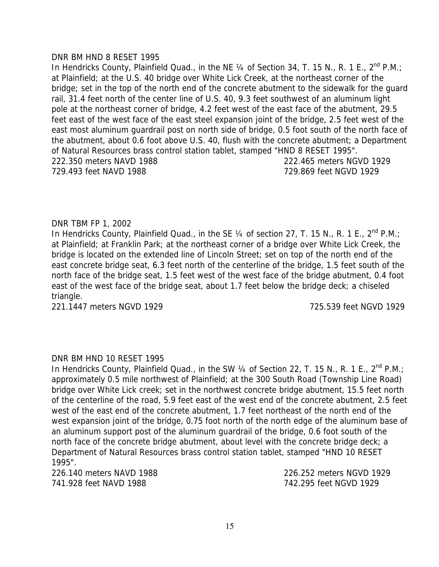#### DNR BM HND 8 RESET 1995

In Hendricks County, Plainfield Quad., in the NE  $\frac{1}{4}$  of Section 34, T. 15 N., R. 1 E., 2<sup>nd</sup> P.M.; at Plainfield; at the U.S. 40 bridge over White Lick Creek, at the northeast corner of the bridge; set in the top of the north end of the concrete abutment to the sidewalk for the guard rail, 31.4 feet north of the center line of U.S. 40, 9.3 feet southwest of an aluminum light pole at the northeast corner of bridge, 4.2 feet west of the east face of the abutment, 29.5 feet east of the west face of the east steel expansion joint of the bridge, 2.5 feet west of the east most aluminum guardrail post on north side of bridge, 0.5 foot south of the north face of the abutment, about 0.6 foot above U.S. 40, flush with the concrete abutment; a Department of Natural Resources brass control station tablet, stamped "HND 8 RESET 1995". 222.350 meters NAVD 1988 222.465 meters NGVD 1929 729.493 feet NAVD 1988 729.869 feet NGVD 1929

# DNR TBM FP 1, 2002

In Hendricks County, Plainfield Quad., in the SE  $\frac{1}{4}$  of section 27, T. 15 N., R. 1 E., 2<sup>nd</sup> P.M.; at Plainfield; at Franklin Park; at the northeast corner of a bridge over White Lick Creek, the bridge is located on the extended line of Lincoln Street; set on top of the north end of the east concrete bridge seat, 6.3 feet north of the centerline of the bridge, 1.5 feet south of the north face of the bridge seat, 1.5 feet west of the west face of the bridge abutment, 0.4 foot east of the west face of the bridge seat, about 1.7 feet below the bridge deck; a chiseled triangle.

221.1447 meters NGVD 1929 725.539 feet NGVD 1929

#### DNR BM HND 10 RESET 1995

In Hendricks County, Plainfield Quad., in the SW 1/4 of Section 22, T. 15 N., R. 1 E., 2<sup>nd</sup> P.M.: approximately 0.5 mile northwest of Plainfield; at the 300 South Road (Township Line Road) bridge over White Lick creek; set in the northwest concrete bridge abutment, 15.5 feet north of the centerline of the road, 5.9 feet east of the west end of the concrete abutment, 2.5 feet west of the east end of the concrete abutment, 1.7 feet northeast of the north end of the west expansion joint of the bridge, 0.75 foot north of the north edge of the aluminum base of an aluminum support post of the aluminum guardrail of the bridge, 0.6 foot south of the north face of the concrete bridge abutment, about level with the concrete bridge deck; a Department of Natural Resources brass control station tablet, stamped "HND 10 RESET 1995".

741.928 feet NAVD 1988 742.295 feet NGVD 1929

226.140 meters NAVD 1988 226.252 meters NGVD 1929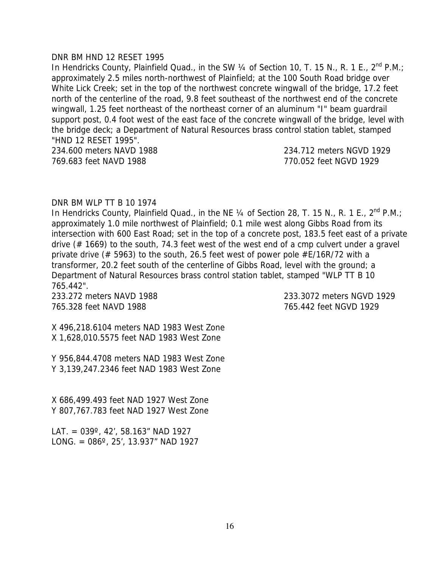#### DNR BM HND 12 RESET 1995

In Hendricks County, Plainfield Quad., in the SW  $\frac{1}{4}$  of Section 10, T. 15 N., R. 1 E., 2<sup>nd</sup> P.M.; approximately 2.5 miles north-northwest of Plainfield; at the 100 South Road bridge over White Lick Creek; set in the top of the northwest concrete wingwall of the bridge, 17.2 feet north of the centerline of the road, 9.8 feet southeast of the northwest end of the concrete wingwall, 1.25 feet northeast of the northeast corner of an aluminum "I" beam guardrail support post, 0.4 foot west of the east face of the concrete wingwall of the bridge, level with the bridge deck; a Department of Natural Resources brass control station tablet, stamped "HND 12 RESET 1995".

234.600 meters NAVD 1988 234.712 meters NGVD 1929 769.683 feet NAVD 1988 770.052 feet NGVD 1929

#### DNR BM WLP TT B 10 1974

In Hendricks County, Plainfield Quad., in the NE  $\frac{1}{4}$  of Section 28, T. 15 N., R. 1 E., 2<sup>nd</sup> P.M.; approximately 1.0 mile northwest of Plainfield; 0.1 mile west along Gibbs Road from its intersection with 600 East Road; set in the top of a concrete post, 183.5 feet east of a private drive (# 1669) to the south, 74.3 feet west of the west end of a cmp culvert under a gravel private drive (# 5963) to the south, 26.5 feet west of power pole #E/16R/72 with a transformer, 20.2 feet south of the centerline of Gibbs Road, level with the ground; a Department of Natural Resources brass control station tablet, stamped "WLP TT B 10 765.442".

765.328 feet NAVD 1988 765.442 feet NGVD 1929

233.272 meters NAVD 1988 233.3072 meters NGVD 1929

X 496,218.6104 meters NAD 1983 West Zone X 1,628,010.5575 feet NAD 1983 West Zone

Y 956,844.4708 meters NAD 1983 West Zone Y 3,139,247.2346 feet NAD 1983 West Zone

X 686,499.493 feet NAD 1927 West Zone Y 807,767.783 feet NAD 1927 West Zone

LAT. =  $039^{\circ}$ , 42', 58.163" NAD 1927 LONG. =  $086^\circ$ , 25', 13.937" NAD 1927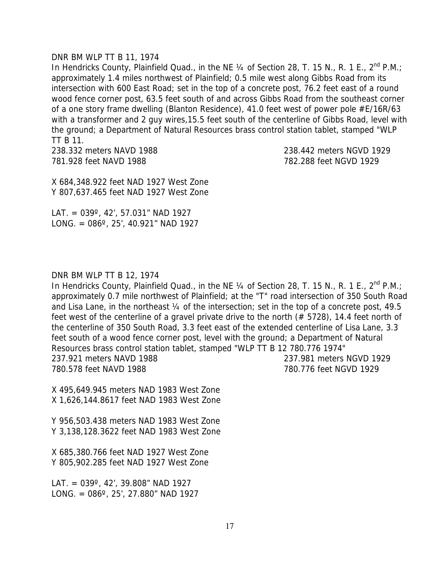#### DNR BM WLP TT B 11, 1974

In Hendricks County, Plainfield Quad., in the NE  $\frac{1}{4}$  of Section 28, T. 15 N., R. 1 E., 2<sup>nd</sup> P.M.; approximately 1.4 miles northwest of Plainfield; 0.5 mile west along Gibbs Road from its intersection with 600 East Road; set in the top of a concrete post, 76.2 feet east of a round wood fence corner post, 63.5 feet south of and across Gibbs Road from the southeast corner of a one story frame dwelling (Blanton Residence), 41.0 feet west of power pole #E/16R/63 with a transformer and 2 guy wires,15.5 feet south of the centerline of Gibbs Road, level with the ground; a Department of Natural Resources brass control station tablet, stamped "WLP TT B 11.

238.332 meters NAVD 1988 238.442 meters NGVD 1929 781.928 feet NAVD 1988 782.288 feet NGVD 1929

X 684,348.922 feet NAD 1927 West Zone Y 807,637.465 feet NAD 1927 West Zone

LAT. =  $039^\circ$ , 42', 57.031" NAD 1927 LONG. =  $086^\circ$ , 25', 40.921" NAD 1927

#### DNR BM WLP TT B 12, 1974

In Hendricks County, Plainfield Quad., in the NE 1/4 of Section 28, T. 15 N., R. 1 E., 2<sup>nd</sup> P.M.; approximately 0.7 mile northwest of Plainfield; at the "T" road intersection of 350 South Road and Lisa Lane, in the northeast 1/4 of the intersection; set in the top of a concrete post, 49.5 feet west of the centerline of a gravel private drive to the north (# 5728), 14.4 feet north of the centerline of 350 South Road, 3.3 feet east of the extended centerline of Lisa Lane, 3.3 feet south of a wood fence corner post, level with the ground; a Department of Natural Resources brass control station tablet, stamped "WLP TT B 12 780.776 1974" 237.921 meters NAVD 1988 237.981 meters NGVD 1929 780.578 feet NAVD 1988 780.776 feet NGVD 1929

X 495,649.945 meters NAD 1983 West Zone X 1,626,144.8617 feet NAD 1983 West Zone

Y 956,503.438 meters NAD 1983 West Zone Y 3,138,128.3622 feet NAD 1983 West Zone

X 685,380.766 feet NAD 1927 West Zone Y 805,902.285 feet NAD 1927 West Zone

LAT. = 039º, 42', 39.808" NAD 1927 LONG. =  $086^\circ$ , 25', 27.880" NAD 1927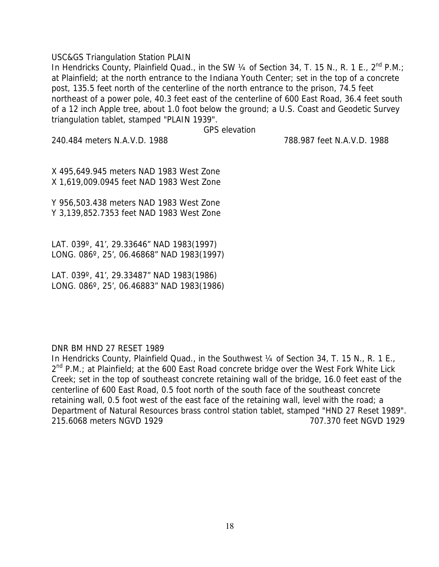#### USC&GS Triangulation Station PLAIN

In Hendricks County, Plainfield Quad., in the SW  $\frac{1}{4}$  of Section 34, T. 15 N., R. 1 E., 2<sup>nd</sup> P.M.; at Plainfield; at the north entrance to the Indiana Youth Center; set in the top of a concrete post, 135.5 feet north of the centerline of the north entrance to the prison, 74.5 feet northeast of a power pole, 40.3 feet east of the centerline of 600 East Road, 36.4 feet south of a 12 inch Apple tree, about 1.0 foot below the ground; a U.S. Coast and Geodetic Survey triangulation tablet, stamped "PLAIN 1939".

GPS elevation

240.484 meters N.A.V.D. 1988 788.987 feet N.A.V.D. 1988

X 495,649.945 meters NAD 1983 West Zone X 1,619,009.0945 feet NAD 1983 West Zone

Y 956,503.438 meters NAD 1983 West Zone Y 3,139,852.7353 feet NAD 1983 West Zone

LAT. 039º, 41', 29.33646" NAD 1983(1997) LONG. 086º, 25', 06.46868" NAD 1983(1997)

LAT. 039º, 41', 29.33487" NAD 1983(1986) LONG. 086º, 25', 06.46883" NAD 1983(1986)

#### DNR BM HND 27 RESET 1989

In Hendricks County, Plainfield Quad., in the Southwest 1/4 of Section 34, T. 15 N., R. 1 E.,  $2^{nd}$  P.M.; at Plainfield; at the 600 East Road concrete bridge over the West Fork White Lick Creek; set in the top of southeast concrete retaining wall of the bridge, 16.0 feet east of the centerline of 600 East Road, 0.5 foot north of the south face of the southeast concrete retaining wall, 0.5 foot west of the east face of the retaining wall, level with the road; a Department of Natural Resources brass control station tablet, stamped "HND 27 Reset 1989". 215.6068 meters NGVD 1929 707.370 feet NGVD 1929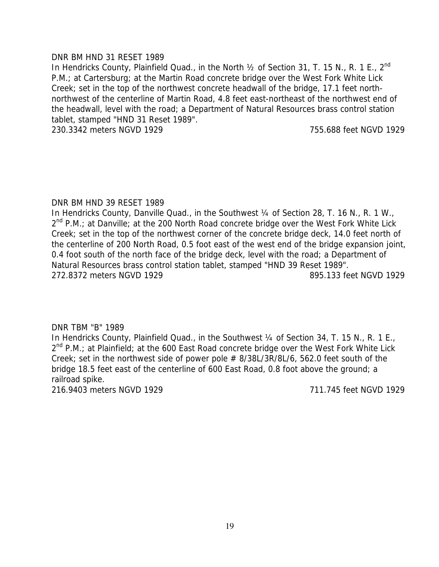#### DNR BM HND 31 RESET 1989

In Hendricks County, Plainfield Quad., in the North 1/2 of Section 31, T. 15 N., R. 1 E., 2<sup>nd</sup> P.M.; at Cartersburg; at the Martin Road concrete bridge over the West Fork White Lick Creek; set in the top of the northwest concrete headwall of the bridge, 17.1 feet northnorthwest of the centerline of Martin Road, 4.8 feet east-northeast of the northwest end of the headwall, level with the road; a Department of Natural Resources brass control station tablet, stamped "HND 31 Reset 1989".

230.3342 meters NGVD 1929 755.688 feet NGVD 1929

# DNR BM HND 39 RESET 1989

In Hendricks County, Danville Quad., in the Southwest 1/4 of Section 28, T. 16 N., R. 1 W.,  $2^{nd}$  P.M.; at Danville; at the 200 North Road concrete bridge over the West Fork White Lick Creek; set in the top of the northwest corner of the concrete bridge deck, 14.0 feet north of the centerline of 200 North Road, 0.5 foot east of the west end of the bridge expansion joint, 0.4 foot south of the north face of the bridge deck, level with the road; a Department of Natural Resources brass control station tablet, stamped "HND 39 Reset 1989". 272.8372 meters NGVD 1929 895.133 feet NGVD 1929

# DNR TBM "B" 1989

In Hendricks County, Plainfield Quad., in the Southwest 1/4 of Section 34, T. 15 N., R. 1 E.,  $2^{nd}$  P.M.; at Plainfield; at the 600 East Road concrete bridge over the West Fork White Lick Creek; set in the northwest side of power pole  $# 8/38L/3R/8L/6$ , 562.0 feet south of the bridge 18.5 feet east of the centerline of 600 East Road, 0.8 foot above the ground; a railroad spike.

216.9403 meters NGVD 1929 711.745 feet NGVD 1929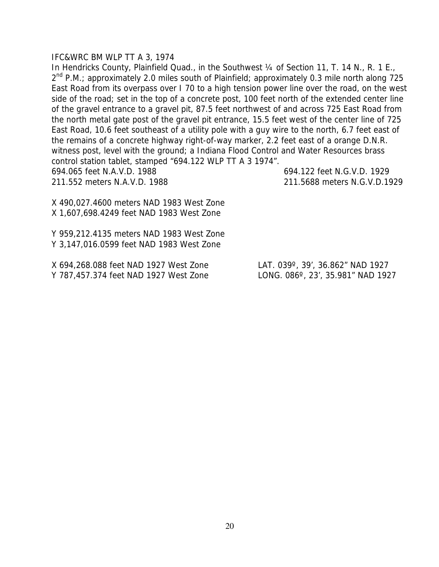#### IFC&WRC BM WLP TT A 3, 1974

In Hendricks County, Plainfield Quad., in the Southwest 1/4 of Section 11, T. 14 N., R. 1 E., 2<sup>nd</sup> P.M.; approximately 2.0 miles south of Plainfield; approximately 0.3 mile north along 725 East Road from its overpass over I 70 to a high tension power line over the road, on the west side of the road; set in the top of a concrete post, 100 feet north of the extended center line of the gravel entrance to a gravel pit, 87.5 feet northwest of and across 725 East Road from the north metal gate post of the gravel pit entrance, 15.5 feet west of the center line of 725 East Road, 10.6 feet southeast of a utility pole with a guy wire to the north, 6.7 feet east of the remains of a concrete highway right-of-way marker, 2.2 feet east of a orange D.N.R. witness post, level with the ground; a Indiana Flood Control and Water Resources brass control station tablet, stamped "694.122 WLP TT A 3 1974". 694.065 feet N.A.V.D. 1988 694.122 feet N.G.V.D. 1929 211.552 meters N.A.V.D. 1988 211.5688 meters N.G.V.D.1929

X 490,027.4600 meters NAD 1983 West Zone X 1,607,698.4249 feet NAD 1983 West Zone

Y 959,212.4135 meters NAD 1983 West Zone Y 3,147,016.0599 feet NAD 1983 West Zone

X 694,268.088 feet NAD 1927 West Zone LAT. 039º, 39', 36.862" NAD 1927 Y 787,457.374 feet NAD 1927 West Zone LONG. 086º, 23', 35.981" NAD 1927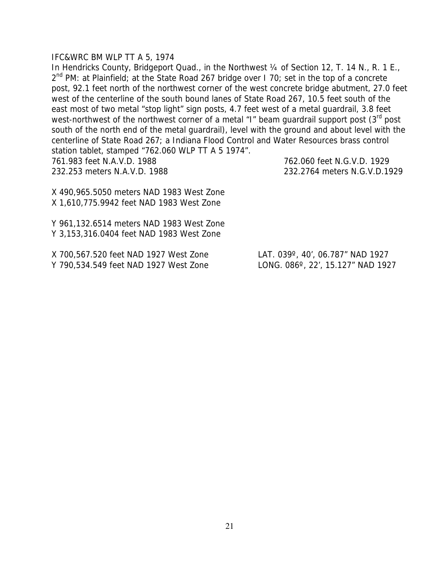#### IFC&WRC BM WLP TT A 5, 1974

In Hendricks County, Bridgeport Quad., in the Northwest 1/4 of Section 12, T. 14 N., R. 1 E.,  $2^{nd}$  PM: at Plainfield; at the State Road 267 bridge over 1 70; set in the top of a concrete post, 92.1 feet north of the northwest corner of the west concrete bridge abutment, 27.0 feet west of the centerline of the south bound lanes of State Road 267, 10.5 feet south of the east most of two metal "stop light" sign posts, 4.7 feet west of a metal guardrail, 3.8 feet west-northwest of the northwest corner of a metal "I" beam guardrail support post  $(3<sup>rd</sup>$  post south of the north end of the metal guardrail), level with the ground and about level with the centerline of State Road 267; a Indiana Flood Control and Water Resources brass control station tablet, stamped "762.060 WLP TT A 5 1974". 761.983 feet N.A.V.D. 1988 762.060 feet N.G.V.D. 1929

232.253 meters N.A.V.D. 1988 232.2764 meters N.G.V.D.1929

X 490,965.5050 meters NAD 1983 West Zone X 1,610,775.9942 feet NAD 1983 West Zone

Y 961,132.6514 meters NAD 1983 West Zone Y 3,153,316.0404 feet NAD 1983 West Zone

X 700,567.520 feet NAD 1927 West Zone LAT. 039º, 40', 06.787" NAD 1927 Y 790,534.549 feet NAD 1927 West Zone LONG. 086º, 22', 15.127" NAD 1927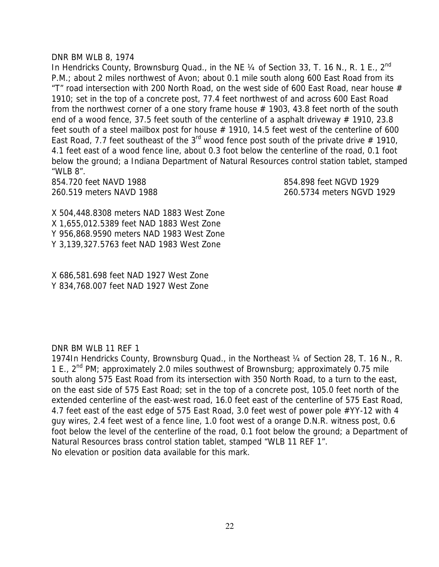#### DNR BM WLB 8, 1974

In Hendricks County, Brownsburg Quad., in the NE 1/4 of Section 33, T. 16 N., R. 1 E., 2<sup>nd</sup> P.M.; about 2 miles northwest of Avon; about 0.1 mile south along 600 East Road from its "T" road intersection with 200 North Road, on the west side of 600 East Road, near house  $#$ 1910; set in the top of a concrete post, 77.4 feet northwest of and across 600 East Road from the northwest corner of a one story frame house  $# 1903, 43.8$  feet north of the south end of a wood fence, 37.5 feet south of the centerline of a asphalt driveway  $# 1910, 23.8$ feet south of a steel mailbox post for house  $#$  1910, 14.5 feet west of the centerline of 600 East Road, 7.7 feet southeast of the 3<sup>rd</sup> wood fence post south of the private drive  $#$  1910, 4.1 feet east of a wood fence line, about 0.3 foot below the centerline of the road, 0.1 foot below the ground; a Indiana Department of Natural Resources control station tablet, stamped "WLB 8".

854.720 feet NAVD 1988 854.898 feet NGVD 1929

260.519 meters NAVD 1988 260.5734 meters NGVD 1929

X 504,448.8308 meters NAD 1883 West Zone X 1,655,012.5389 feet NAD 1883 West Zone Y 956,868.9590 meters NAD 1983 West Zone Y 3,139,327.5763 feet NAD 1983 West Zone

X 686,581.698 feet NAD 1927 West Zone Y 834,768.007 feet NAD 1927 West Zone

#### DNR BM WLB 11 REF 1

1974In Hendricks County, Brownsburg Quad., in the Northeast ¼ of Section 28, T. 16 N., R. 1 E., 2nd PM; approximately 2.0 miles southwest of Brownsburg; approximately 0.75 mile south along 575 East Road from its intersection with 350 North Road, to a turn to the east, on the east side of 575 East Road; set in the top of a concrete post, 105.0 feet north of the extended centerline of the east-west road, 16.0 feet east of the centerline of 575 East Road, 4.7 feet east of the east edge of 575 East Road, 3.0 feet west of power pole #YY-12 with 4 guy wires, 2.4 feet west of a fence line, 1.0 foot west of a orange D.N.R. witness post, 0.6 foot below the level of the centerline of the road, 0.1 foot below the ground; a Department of Natural Resources brass control station tablet, stamped "WLB 11 REF 1". No elevation or position data available for this mark.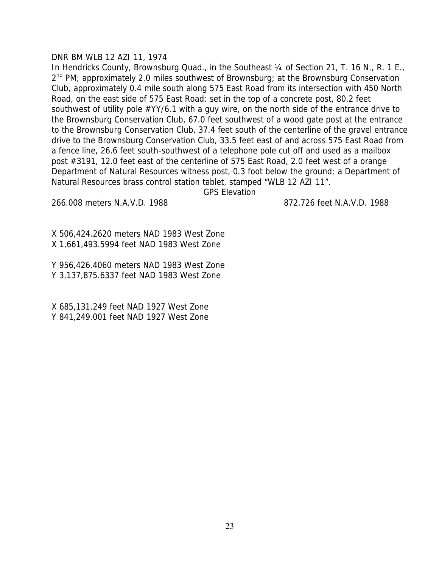#### DNR BM WLB 12 AZI 11, 1974

In Hendricks County, Brownsburg Quad., in the Southeast 1/4 of Section 21, T. 16 N., R. 1 E.,  $2^{nd}$  PM; approximately 2.0 miles southwest of Brownsburg; at the Brownsburg Conservation Club, approximately 0.4 mile south along 575 East Road from its intersection with 450 North Road, on the east side of 575 East Road; set in the top of a concrete post, 80.2 feet southwest of utility pole #YY/6.1 with a guy wire, on the north side of the entrance drive to the Brownsburg Conservation Club, 67.0 feet southwest of a wood gate post at the entrance to the Brownsburg Conservation Club, 37.4 feet south of the centerline of the gravel entrance drive to the Brownsburg Conservation Club, 33.5 feet east of and across 575 East Road from a fence line, 26.6 feet south-southwest of a telephone pole cut off and used as a mailbox post #3191, 12.0 feet east of the centerline of 575 East Road, 2.0 feet west of a orange Department of Natural Resources witness post, 0.3 foot below the ground; a Department of Natural Resources brass control station tablet, stamped "WLB 12 AZI 11".

GPS Elevation

266.008 meters N.A.V.D. 1988 872.726 feet N.A.V.D. 1988

X 506,424.2620 meters NAD 1983 West Zone X 1,661,493.5994 feet NAD 1983 West Zone

Y 956,426.4060 meters NAD 1983 West Zone Y 3,137,875.6337 feet NAD 1983 West Zone

X 685,131.249 feet NAD 1927 West Zone Y 841,249.001 feet NAD 1927 West Zone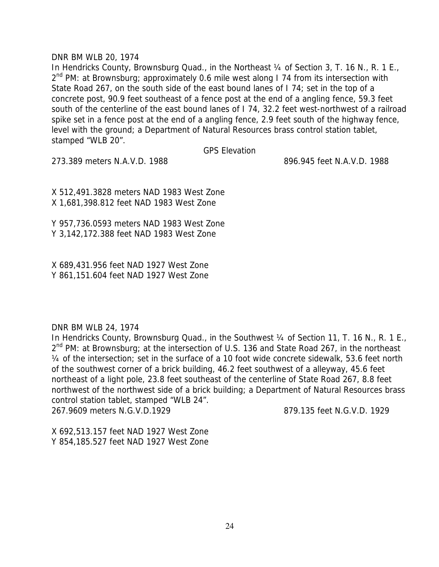#### DNR BM WLB 20, 1974

In Hendricks County, Brownsburg Quad., in the Northeast 1/4 of Section 3, T. 16 N., R. 1 E.,  $2<sup>nd</sup>$  PM: at Brownsburg; approximately 0.6 mile west along 1 74 from its intersection with State Road 267, on the south side of the east bound lanes of I 74; set in the top of a concrete post, 90.9 feet southeast of a fence post at the end of a angling fence, 59.3 feet south of the centerline of the east bound lanes of I 74, 32.2 feet west-northwest of a railroad spike set in a fence post at the end of a angling fence, 2.9 feet south of the highway fence, level with the ground; a Department of Natural Resources brass control station tablet, stamped "WLB 20".

GPS Elevation

273.389 meters N.A.V.D. 1988 896.945 feet N.A.V.D. 1988

X 512,491.3828 meters NAD 1983 West Zone X 1,681,398.812 feet NAD 1983 West Zone

Y 957,736.0593 meters NAD 1983 West Zone Y 3,142,172.388 feet NAD 1983 West Zone

X 689,431.956 feet NAD 1927 West Zone Y 861,151.604 feet NAD 1927 West Zone

DNR BM WLB 24, 1974

In Hendricks County, Brownsburg Quad., in the Southwest 1/4 of Section 11, T. 16 N., R. 1 E.,  $2^{nd}$  PM: at Brownsburg; at the intersection of U.S. 136 and State Road 267, in the northeast ¼ of the intersection; set in the surface of a 10 foot wide concrete sidewalk, 53.6 feet north of the southwest corner of a brick building, 46.2 feet southwest of a alleyway, 45.6 feet northeast of a light pole, 23.8 feet southeast of the centerline of State Road 267, 8.8 feet northwest of the northwest side of a brick building; a Department of Natural Resources brass control station tablet, stamped "WLB 24". 267.9609 meters N.G.V.D.1929 879.135 feet N.G.V.D. 1929

X 692,513.157 feet NAD 1927 West Zone Y 854,185.527 feet NAD 1927 West Zone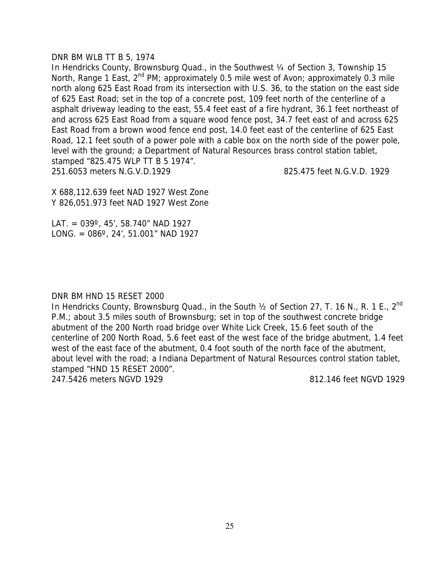#### DNR BM WLB TT B 5, 1974

In Hendricks County, Brownsburg Quad., in the Southwest 1/4 of Section 3, Township 15 North, Range 1 East, 2<sup>nd</sup> PM; approximately 0.5 mile west of Avon; approximately 0.3 mile north along 625 East Road from its intersection with U.S. 36, to the station on the east side of 625 East Road; set in the top of a concrete post, 109 feet north of the centerline of a asphalt driveway leading to the east, 55.4 feet east of a fire hydrant, 36.1 feet northeast of and across 625 East Road from a square wood fence post, 34.7 feet east of and across 625 East Road from a brown wood fence end post, 14.0 feet east of the centerline of 625 East Road, 12.1 feet south of a power pole with a cable box on the north side of the power pole, level with the ground; a Department of Natural Resources brass control station tablet, stamped "825.475 WLP TT B 5 1974". 251.6053 meters N.G.V.D.1929 825.475 feet N.G.V.D. 1929

X 688,112.639 feet NAD 1927 West Zone Y 826,051.973 feet NAD 1927 West Zone

LAT. =  $039^\circ$ , 45', 58.740" NAD 1927 LONG. =  $086^\circ$ , 24', 51.001" NAD 1927

#### DNR BM HND 15 RESET 2000

In Hendricks County, Brownsburg Quad., in the South 1/2 of Section 27, T. 16 N., R. 1 E., 2<sup>nd</sup> P.M.; about 3.5 miles south of Brownsburg; set in top of the southwest concrete bridge abutment of the 200 North road bridge over White Lick Creek, 15.6 feet south of the centerline of 200 North Road, 5.6 feet east of the west face of the bridge abutment, 1.4 feet west of the east face of the abutment, 0.4 foot south of the north face of the abutment, about level with the road; a Indiana Department of Natural Resources control station tablet, stamped "HND 15 RESET 2000".

247.5426 meters NGVD 1929 812.146 feet NGVD 1929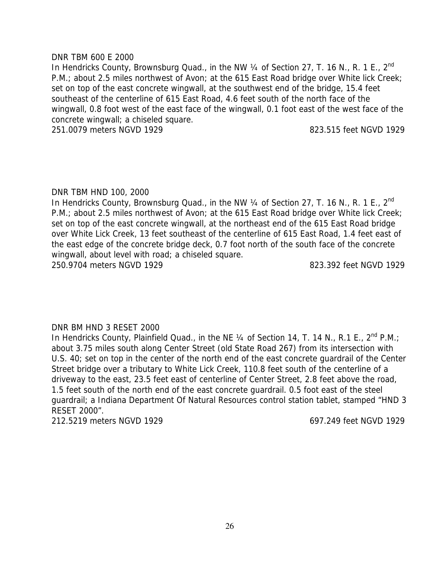#### DNR TBM 600 E 2000

In Hendricks County, Brownsburg Quad., in the NW 1/4 of Section 27, T. 16 N., R. 1 E., 2<sup>nd</sup> P.M.; about 2.5 miles northwest of Avon; at the 615 East Road bridge over White lick Creek; set on top of the east concrete wingwall, at the southwest end of the bridge, 15.4 feet southeast of the centerline of 615 East Road, 4.6 feet south of the north face of the wingwall, 0.8 foot west of the east face of the wingwall, 0.1 foot east of the west face of the concrete wingwall; a chiseled square.

251.0079 meters NGVD 1929 823.515 feet NGVD 1929

# DNR TBM HND 100, 2000

In Hendricks County, Brownsburg Quad., in the NW  $\frac{1}{4}$  of Section 27, T. 16 N., R. 1 E., 2<sup>nd</sup> P.M.; about 2.5 miles northwest of Avon; at the 615 East Road bridge over White lick Creek; set on top of the east concrete wingwall, at the northeast end of the 615 East Road bridge over White Lick Creek, 13 feet southeast of the centerline of 615 East Road, 1.4 feet east of the east edge of the concrete bridge deck, 0.7 foot north of the south face of the concrete wingwall, about level with road; a chiseled square. 250.9704 meters NGVD 1929 823.392 feet NGVD 1929

# DNR BM HND 3 RESET 2000

In Hendricks County, Plainfield Quad., in the NE 1/4 of Section 14, T. 14 N., R.1 E., 2<sup>nd</sup> P.M.; about 3.75 miles south along Center Street (old State Road 267) from its intersection with U.S. 40; set on top in the center of the north end of the east concrete guardrail of the Center Street bridge over a tributary to White Lick Creek, 110.8 feet south of the centerline of a driveway to the east, 23.5 feet east of centerline of Center Street, 2.8 feet above the road, 1.5 feet south of the north end of the east concrete guardrail. 0.5 foot east of the steel guardrail; a Indiana Department Of Natural Resources control station tablet, stamped "HND 3 RESET 2000".

212.5219 meters NGVD 1929 697.249 feet NGVD 1929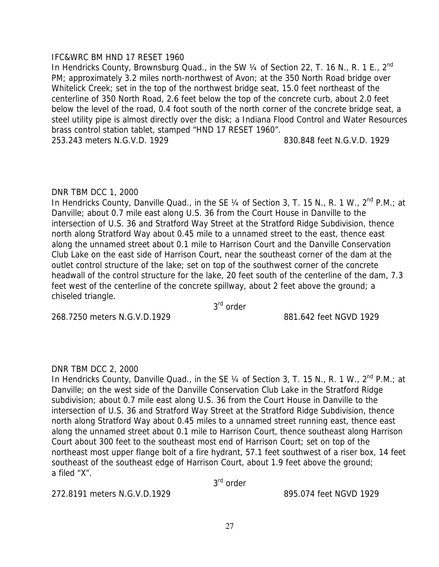# IFC&WRC BM HND 17 RESET 1960

In Hendricks County, Brownsburg Quad., in the SW 1/4 of Section 22, T. 16 N., R. 1 E., 2<sup>nd</sup> PM; approximately 3.2 miles north-northwest of Avon; at the 350 North Road bridge over Whitelick Creek; set in the top of the northwest bridge seat, 15.0 feet northeast of the centerline of 350 North Road, 2.6 feet below the top of the concrete curb, about 2.0 feet below the level of the road, 0.4 foot south of the north corner of the concrete bridge seat, a steel utility pipe is almost directly over the disk; a Indiana Flood Control and Water Resources brass control station tablet, stamped "HND 17 RESET 1960". 253.243 meters N.G.V.D. 1929 830.848 feet N.G.V.D. 1929

# DNR TBM DCC 1, 2000

In Hendricks County, Danville Quad., in the SE  $\frac{1}{4}$  of Section 3, T. 15 N., R. 1 W.,  $2^{nd}$  P.M.; at Danville; about 0.7 mile east along U.S. 36 from the Court House in Danville to the intersection of U.S. 36 and Stratford Way Street at the Stratford Ridge Subdivision, thence north along Stratford Way about 0.45 mile to a unnamed street to the east, thence east along the unnamed street about 0.1 mile to Harrison Court and the Danville Conservation Club Lake on the east side of Harrison Court, near the southeast corner of the dam at the outlet control structure of the lake; set on top of the southwest corner of the concrete headwall of the control structure for the lake, 20 feet south of the centerline of the dam, 7.3 feet west of the centerline of the concrete spillway, about 2 feet above the ground; a chiseled triangle.

3rd order

268.7250 meters N.G.V.D.1929 881.642 feet NGVD 1929

# DNR TBM DCC 2, 2000

In Hendricks County, Danville Quad., in the SE  $\frac{1}{4}$  of Section 3, T. 15 N., R. 1 W.,  $2^{nd}$  P.M.; at Danville; on the west side of the Danville Conservation Club Lake in the Stratford Ridge subdivision; about 0.7 mile east along U.S. 36 from the Court House in Danville to the intersection of U.S. 36 and Stratford Way Street at the Stratford Ridge Subdivision, thence north along Stratford Way about 0.45 miles to a unnamed street running east, thence east along the unnamed street about 0.1 mile to Harrison Court, thence southeast along Harrison Court about 300 feet to the southeast most end of Harrison Court; set on top of the northeast most upper flange bolt of a fire hydrant, 57.1 feet southwest of a riser box, 14 feet southeast of the southeast edge of Harrison Court, about 1.9 feet above the ground; a filed "X".

3rd order

272.8191 meters N.G.V.D.1929 895.074 feet NGVD 1929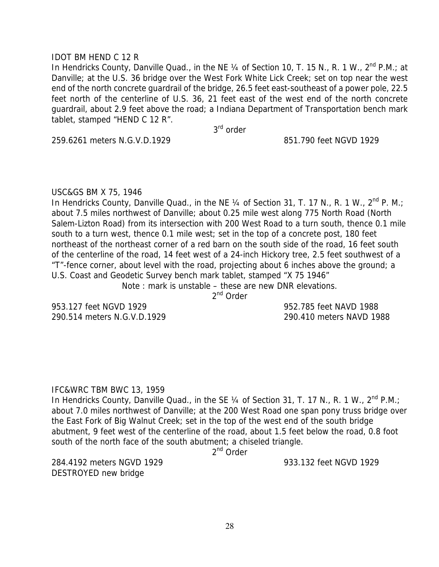# IDOT BM HEND C 12 R

In Hendricks County, Danville Quad., in the NE 1/4 of Section 10, T. 15 N., R. 1 W., 2<sup>nd</sup> P.M.: at Danville; at the U.S. 36 bridge over the West Fork White Lick Creek; set on top near the west end of the north concrete guardrail of the bridge, 26.5 feet east-southeast of a power pole, 22.5 feet north of the centerline of U.S. 36, 21 feet east of the west end of the north concrete guardrail, about 2.9 feet above the road; a Indiana Department of Transportation bench mark tablet, stamped "HEND C 12 R".

3<sup>rd</sup> order

259.6261 meters N.G.V.D.1929 851.790 feet NGVD 1929

#### USC&GS BM X 75, 1946

In Hendricks County, Danville Quad., in the NE  $\frac{1}{4}$  of Section 31, T. 17 N., R. 1 W.,  $2^{nd}$  P. M.; about 7.5 miles northwest of Danville; about 0.25 mile west along 775 North Road (North Salem-Lizton Road) from its intersection with 200 West Road to a turn south, thence 0.1 mile south to a turn west, thence 0.1 mile west; set in the top of a concrete post, 180 feet northeast of the northeast corner of a red barn on the south side of the road, 16 feet south of the centerline of the road, 14 feet west of a 24-inch Hickory tree, 2.5 feet southwest of a "T"-fence corner, about level with the road, projecting about 6 inches above the ground; a U.S. Coast and Geodetic Survey bench mark tablet, stamped "X 75 1946"

Note : mark is unstable – these are new DNR elevations.

2<sup>nd</sup> Order

953.127 feet NGVD 1929 952.785 feet NAVD 1988 290.514 meters N.G.V.D.1929 290.410 meters NAVD 1988

#### IFC&WRC TBM BWC 13, 1959

In Hendricks County, Danville Quad., in the SE  $\frac{1}{4}$  of Section 31, T. 17 N., R. 1 W.,  $2^{nd}$  P.M.; about 7.0 miles northwest of Danville; at the 200 West Road one span pony truss bridge over the East Fork of Big Walnut Creek; set in the top of the west end of the south bridge abutment, 9 feet west of the centerline of the road, about 1.5 feet below the road, 0.8 foot south of the north face of the south abutment; a chiseled triangle.

2<sup>nd</sup> Order

284.4192 meters NGVD 1929 933.132 feet NGVD 1929 DESTROYED new bridge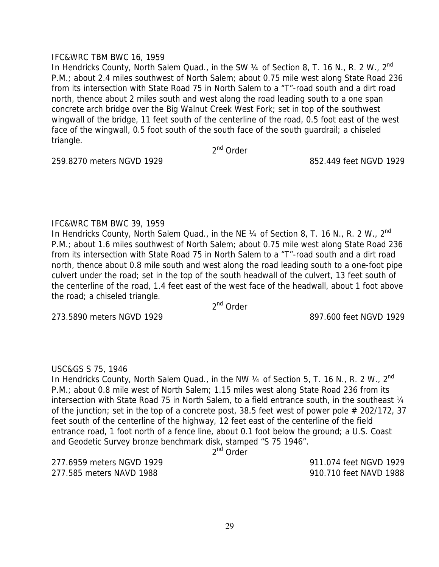# IFC&WRC TBM BWC 16, 1959

In Hendricks County, North Salem Quad., in the SW 1/4 of Section 8, T. 16 N., R. 2 W., 2<sup>nd</sup> P.M.; about 2.4 miles southwest of North Salem; about 0.75 mile west along State Road 236 from its intersection with State Road 75 in North Salem to a "T"-road south and a dirt road north, thence about 2 miles south and west along the road leading south to a one span concrete arch bridge over the Big Walnut Creek West Fork; set in top of the southwest wingwall of the bridge, 11 feet south of the centerline of the road, 0.5 foot east of the west face of the wingwall, 0.5 foot south of the south face of the south guardrail; a chiseled triangle.

2<sup>nd</sup> Order

259.8270 meters NGVD 1929 852.449 feet NGVD 1929

# IFC&WRC TBM BWC 39, 1959

In Hendricks County, North Salem Quad., in the NE 1/4 of Section 8, T. 16 N., R. 2 W., 2<sup>nd</sup> P.M.; about 1.6 miles southwest of North Salem; about 0.75 mile west along State Road 236 from its intersection with State Road 75 in North Salem to a "T"-road south and a dirt road north, thence about 0.8 mile south and west along the road leading south to a one-foot pipe culvert under the road; set in the top of the south headwall of the culvert, 13 feet south of the centerline of the road, 1.4 feet east of the west face of the headwall, about 1 foot above the road; a chiseled triangle.

2nd Order

273.5890 meters NGVD 1929 897.600 feet NGVD 1929

# USC&GS S 75, 1946

In Hendricks County, North Salem Quad., in the NW 1/4 of Section 5, T. 16 N., R. 2 W., 2<sup>nd</sup> P.M.; about 0.8 mile west of North Salem; 1.15 miles west along State Road 236 from its intersection with State Road 75 in North Salem, to a field entrance south, in the southeast 1/4 of the junction; set in the top of a concrete post, 38.5 feet west of power pole # 202/172, 37 feet south of the centerline of the highway, 12 feet east of the centerline of the field entrance road, 1 foot north of a fence line, about 0.1 foot below the ground; a U.S. Coast and Geodetic Survey bronze benchmark disk, stamped "S 75 1946".

2<sup>nd</sup> Order

277.6959 meters NGVD 1929 911.074 feet NGVD 1929 277.585 meters NAVD 1988 910.710 feet NAVD 1988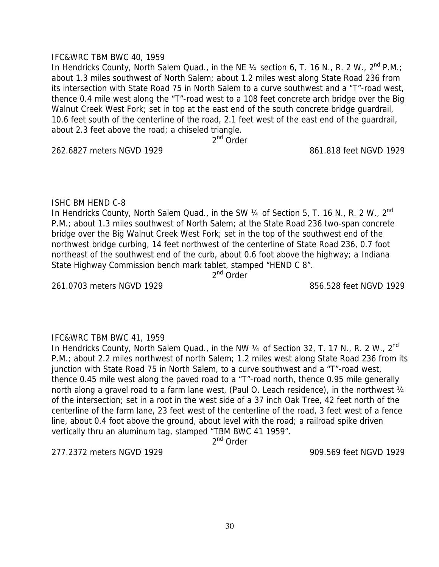#### IFC&WRC TBM BWC 40, 1959

In Hendricks County, North Salem Quad., in the NE 1/4 section 6, T. 16 N., R. 2 W., 2<sup>nd</sup> P.M.; about 1.3 miles southwest of North Salem; about 1.2 miles west along State Road 236 from its intersection with State Road 75 in North Salem to a curve southwest and a "T"-road west, thence 0.4 mile west along the "T"-road west to a 108 feet concrete arch bridge over the Big Walnut Creek West Fork; set in top at the east end of the south concrete bridge quardrail, 10.6 feet south of the centerline of the road, 2.1 feet west of the east end of the guardrail, about 2.3 feet above the road; a chiseled triangle.

2<sup>nd</sup> Order

262.6827 meters NGVD 1929 861.818 feet NGVD 1929

# ISHC BM HEND C-8

In Hendricks County, North Salem Quad., in the SW 1/4 of Section 5, T. 16 N., R. 2 W., 2<sup>nd</sup> P.M.; about 1.3 miles southwest of North Salem; at the State Road 236 two-span concrete bridge over the Big Walnut Creek West Fork; set in the top of the southwest end of the northwest bridge curbing, 14 feet northwest of the centerline of State Road 236, 0.7 foot northeast of the southwest end of the curb, about 0.6 foot above the highway; a Indiana State Highway Commission bench mark tablet, stamped "HEND C 8".

2<sup>nd</sup> Order

261.0703 meters NGVD 1929 856.528 feet NGVD 1929

# IFC&WRC TBM BWC 41, 1959

In Hendricks County, North Salem Quad., in the NW 1/4 of Section 32, T. 17 N., R. 2 W., 2<sup>nd</sup> P.M.; about 2.2 miles northwest of north Salem; 1.2 miles west along State Road 236 from its junction with State Road 75 in North Salem, to a curve southwest and a "T"-road west, thence 0.45 mile west along the paved road to a "T"-road north, thence 0.95 mile generally north along a gravel road to a farm lane west, (Paul O. Leach residence), in the northwest 1/4 of the intersection; set in a root in the west side of a 37 inch Oak Tree, 42 feet north of the centerline of the farm lane, 23 feet west of the centerline of the road, 3 feet west of a fence line, about 0.4 foot above the ground, about level with the road; a railroad spike driven vertically thru an aluminum tag, stamped "TBM BWC 41 1959".

2<sup>nd</sup> Order

277.2372 meters NGVD 1929 909.569 feet NGVD 1929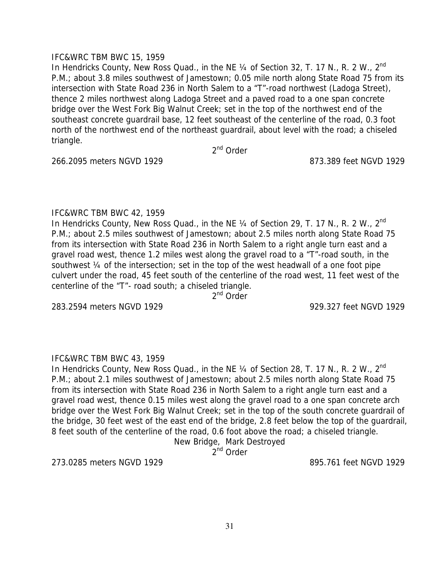#### IFC&WRC TBM BWC 15, 1959

In Hendricks County, New Ross Quad., in the NE 1/4 of Section 32, T. 17 N., R. 2 W., 2<sup>nd</sup> P.M.; about 3.8 miles southwest of Jamestown; 0.05 mile north along State Road 75 from its intersection with State Road 236 in North Salem to a "T"-road northwest (Ladoga Street), thence 2 miles northwest along Ladoga Street and a paved road to a one span concrete bridge over the West Fork Big Walnut Creek; set in the top of the northwest end of the southeast concrete guardrail base, 12 feet southeast of the centerline of the road, 0.3 foot north of the northwest end of the northeast guardrail, about level with the road; a chiseled triangle.

2<sup>nd</sup> Order

266.2095 meters NGVD 1929 873.389 feet NGVD 1929

# IFC&WRC TBM BWC 42, 1959

In Hendricks County, New Ross Quad., in the NE  $\frac{1}{4}$  of Section 29, T. 17 N., R. 2 W., 2<sup>nd</sup> P.M.; about 2.5 miles southwest of Jamestown; about 2.5 miles north along State Road 75 from its intersection with State Road 236 in North Salem to a right angle turn east and a gravel road west, thence 1.2 miles west along the gravel road to a "T"-road south, in the southwest ¼ of the intersection; set in the top of the west headwall of a one foot pipe culvert under the road, 45 feet south of the centerline of the road west, 11 feet west of the centerline of the "T"- road south; a chiseled triangle.

2<sup>nd</sup> Order

283.2594 meters NGVD 1929 929.327 feet NGVD 1929

# IFC&WRC TBM BWC 43, 1959

In Hendricks County, New Ross Quad., in the NE 1/4 of Section 28, T. 17 N., R. 2 W., 2<sup>nd</sup> P.M.; about 2.1 miles southwest of Jamestown; about 2.5 miles north along State Road 75 from its intersection with State Road 236 in North Salem to a right angle turn east and a gravel road west, thence 0.15 miles west along the gravel road to a one span concrete arch bridge over the West Fork Big Walnut Creek; set in the top of the south concrete guardrail of the bridge, 30 feet west of the east end of the bridge, 2.8 feet below the top of the guardrail, 8 feet south of the centerline of the road, 0.6 foot above the road; a chiseled triangle.

New Bridge, Mark Destroyed

2<sup>nd</sup> Order

273.0285 meters NGVD 1929 895.761 feet NGVD 1929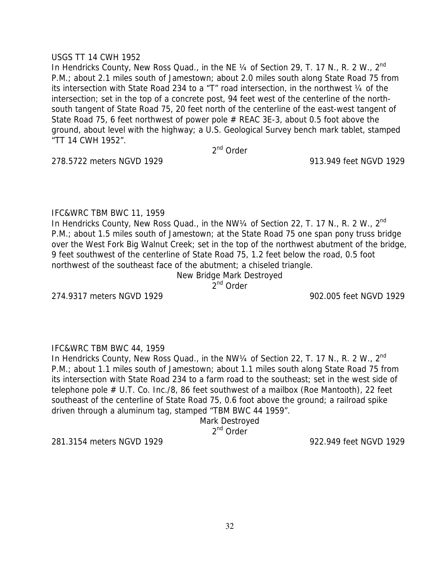#### USGS TT 14 CWH 1952

In Hendricks County, New Ross Quad., in the NE 1/4 of Section 29, T. 17 N., R. 2 W., 2<sup>nd</sup> P.M.; about 2.1 miles south of Jamestown; about 2.0 miles south along State Road 75 from its intersection with State Road 234 to a "T" road intersection, in the northwest ¼ of the intersection; set in the top of a concrete post, 94 feet west of the centerline of the northsouth tangent of State Road 75, 20 feet north of the centerline of the east-west tangent of State Road 75, 6 feet northwest of power pole # REAC 3E-3, about 0.5 foot above the ground, about level with the highway; a U.S. Geological Survey bench mark tablet, stamped "TT 14 CWH 1952".

2<sup>nd</sup> Order

278.5722 meters NGVD 1929 913.949 feet NGVD 1929

#### IFC&WRC TBM BWC 11, 1959

In Hendricks County, New Ross Quad., in the NW1/4 of Section 22, T. 17 N., R. 2 W., 2<sup>nd</sup> P.M.; about 1.5 miles south of Jamestown; at the State Road 75 one span pony truss bridge over the West Fork Big Walnut Creek; set in the top of the northwest abutment of the bridge, 9 feet southwest of the centerline of State Road 75, 1.2 feet below the road, 0.5 foot northwest of the southeast face of the abutment; a chiseled triangle.

New Bridge Mark Destroyed

2<sup>nd</sup> Order

274.9317 meters NGVD 1929 902.005 feet NGVD 1929

#### IFC&WRC TBM BWC 44, 1959

In Hendricks County, New Ross Quad., in the NW1/4 of Section 22, T. 17 N., R. 2 W., 2<sup>nd</sup> P.M.; about 1.1 miles south of Jamestown; about 1.1 miles south along State Road 75 from its intersection with State Road 234 to a farm road to the southeast; set in the west side of telephone pole # U.T. Co. Inc./8, 86 feet southwest of a mailbox (Roe Mantooth), 22 feet southeast of the centerline of State Road 75, 0.6 foot above the ground; a railroad spike driven through a aluminum tag, stamped "TBM BWC 44 1959".

Mark Destroyed

2<sup>nd</sup> Order

281.3154 meters NGVD 1929 922.949 feet NGVD 1929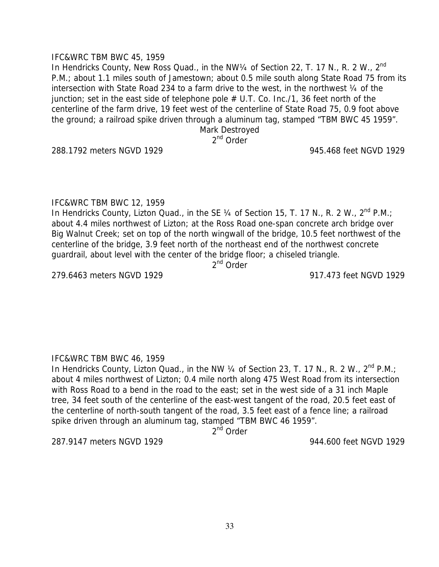IFC&WRC TBM BWC 12, 1959

IFC&WRC TBM BWC 45, 1959

In Hendricks County, Lizton Quad., in the SE  $\frac{1}{4}$  of Section 15, T. 17 N., R. 2 W.,  $2^{nd}$  P.M.; about 4.4 miles northwest of Lizton; at the Ross Road one-span concrete arch bridge over Big Walnut Creek; set on top of the north wingwall of the bridge, 10.5 feet northwest of the centerline of the bridge, 3.9 feet north of the northeast end of the northwest concrete guardrail, about level with the center of the bridge floor; a chiseled triangle.

In Hendricks County, New Ross Quad., in the NW1/4 of Section 22, T. 17 N., R. 2 W., 2<sup>nd</sup>

intersection with State Road 234 to a farm drive to the west, in the northwest ¼ of the junction; set in the east side of telephone pole  $#$  U.T. Co. Inc./1, 36 feet north of the

P.M.; about 1.1 miles south of Jamestown; about 0.5 mile south along State Road 75 from its

centerline of the farm drive, 19 feet west of the centerline of State Road 75, 0.9 foot above the ground; a railroad spike driven through a aluminum tag, stamped "TBM BWC 45 1959". Mark Destroyed 2<sup>nd</sup> Order

2<sup>nd</sup> Order

279.6463 meters NGVD 1929 917.473 feet NGVD 1929

#### IFC&WRC TBM BWC 46, 1959

In Hendricks County, Lizton Quad., in the NW 1/4 of Section 23, T. 17 N., R. 2 W., 2<sup>nd</sup> P.M.; about 4 miles northwest of Lizton; 0.4 mile north along 475 West Road from its intersection with Ross Road to a bend in the road to the east; set in the west side of a 31 inch Maple tree, 34 feet south of the centerline of the east-west tangent of the road, 20.5 feet east of the centerline of north-south tangent of the road, 3.5 feet east of a fence line; a railroad spike driven through an aluminum tag, stamped "TBM BWC 46 1959".

2<sup>nd</sup> Order

287.9147 meters NGVD 1929 944.600 feet NGVD 1929

288.1792 meters NGVD 1929 945.468 feet NGVD 1929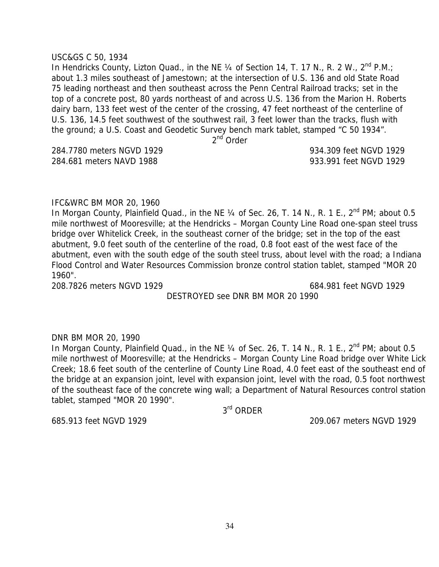#### USC&GS C 50, 1934

In Hendricks County, Lizton Quad., in the NE 1/4 of Section 14, T. 17 N., R. 2 W., 2<sup>nd</sup> P.M.: about 1.3 miles southeast of Jamestown; at the intersection of U.S. 136 and old State Road 75 leading northeast and then southeast across the Penn Central Railroad tracks; set in the top of a concrete post, 80 yards northeast of and across U.S. 136 from the Marion H. Roberts dairy barn, 133 feet west of the center of the crossing, 47 feet northeast of the centerline of U.S. 136, 14.5 feet southwest of the southwest rail, 3 feet lower than the tracks, flush with the ground; a U.S. Coast and Geodetic Survey bench mark tablet, stamped "C 50 1934".

2<sup>nd</sup> Order

284.681 meters NAVD 1988 933.991 feet NGVD 1929

#### IFC&WRC BM MOR 20, 1960

In Morgan County, Plainfield Quad., in the NE  $\frac{1}{4}$  of Sec. 26, T. 14 N., R. 1 E., 2<sup>nd</sup> PM; about 0.5 mile northwest of Mooresville; at the Hendricks – Morgan County Line Road one-span steel truss bridge over Whitelick Creek, in the southeast corner of the bridge; set in the top of the east abutment, 9.0 feet south of the centerline of the road, 0.8 foot east of the west face of the abutment, even with the south edge of the south steel truss, about level with the road; a Indiana Flood Control and Water Resources Commission bronze control station tablet, stamped "MOR 20 1960".

208.7826 meters NGVD 1929 684.981 feet NGVD 1929

DESTROYED see DNR BM MOR 20 1990

#### DNR BM MOR 20, 1990

In Morgan County, Plainfield Quad., in the NE 1/4 of Sec. 26, T. 14 N., R. 1 E., 2<sup>nd</sup> PM; about 0.5 mile northwest of Mooresville; at the Hendricks – Morgan County Line Road bridge over White Lick Creek; 18.6 feet south of the centerline of County Line Road, 4.0 feet east of the southeast end of the bridge at an expansion joint, level with expansion joint, level with the road, 0.5 foot northwest of the southeast face of the concrete wing wall; a Department of Natural Resources control station tablet, stamped "MOR 20 1990".

3rd ORDER

685.913 feet NGVD 1929 209.067 meters NGVD 1929

284.7780 meters NGVD 1929 934.309 feet NGVD 1929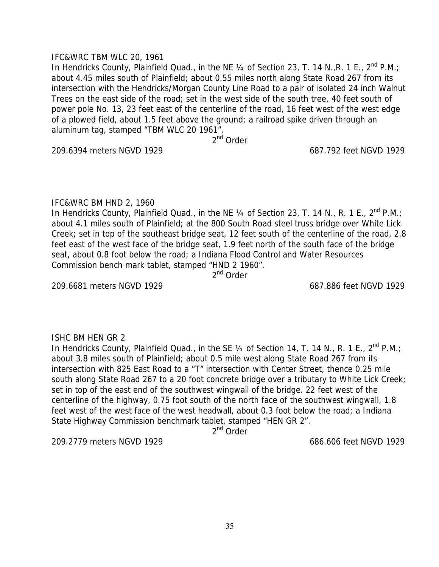#### IFC&WRC TBM WLC 20, 1961

In Hendricks County, Plainfield Quad., in the NE  $\frac{1}{4}$  of Section 23, T. 14 N., R. 1 E., 2<sup>nd</sup> P.M.; about 4.45 miles south of Plainfield; about 0.55 miles north along State Road 267 from its intersection with the Hendricks/Morgan County Line Road to a pair of isolated 24 inch Walnut Trees on the east side of the road; set in the west side of the south tree, 40 feet south of power pole No. 13, 23 feet east of the centerline of the road, 16 feet west of the west edge of a plowed field, about 1.5 feet above the ground; a railroad spike driven through an aluminum tag, stamped "TBM WLC 20 1961".

2nd Order

209.6394 meters NGVD 1929 687.792 feet NGVD 1929

# IFC&WRC BM HND 2, 1960

In Hendricks County, Plainfield Quad., in the NE  $\frac{1}{4}$  of Section 23, T. 14 N., R. 1 E., 2<sup>nd</sup> P.M.: about 4.1 miles south of Plainfield; at the 800 South Road steel truss bridge over White Lick Creek; set in top of the southeast bridge seat, 12 feet south of the centerline of the road, 2.8 feet east of the west face of the bridge seat, 1.9 feet north of the south face of the bridge seat, about 0.8 foot below the road; a Indiana Flood Control and Water Resources Commission bench mark tablet, stamped "HND 2 1960".

2<sup>nd</sup> Order

209.6681 meters NGVD 1929 687.886 feet NGVD 1929

# ISHC BM HEN GR 2

In Hendricks County, Plainfield Quad., in the SE  $\frac{1}{4}$  of Section 14, T. 14 N., R. 1 E., 2<sup>nd</sup> P.M.; about 3.8 miles south of Plainfield; about 0.5 mile west along State Road 267 from its intersection with 825 East Road to a "T" intersection with Center Street, thence 0.25 mile south along State Road 267 to a 20 foot concrete bridge over a tributary to White Lick Creek; set in top of the east end of the southwest wingwall of the bridge. 22 feet west of the centerline of the highway, 0.75 foot south of the north face of the southwest wingwall, 1.8 feet west of the west face of the west headwall, about 0.3 foot below the road; a Indiana State Highway Commission benchmark tablet, stamped "HEN GR 2".

2<sup>nd</sup> Order

209.2779 meters NGVD 1929 686.606 feet NGVD 1929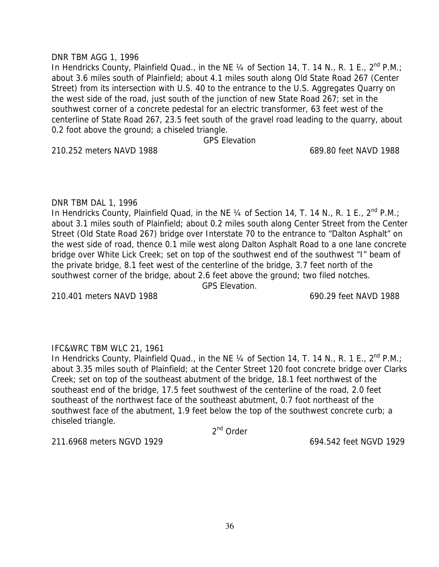#### DNR TBM AGG 1, 1996

In Hendricks County, Plainfield Quad., in the NE  $\frac{1}{4}$  of Section 14, T. 14 N., R. 1 E., 2<sup>nd</sup> P.M.; about 3.6 miles south of Plainfield; about 4.1 miles south along Old State Road 267 (Center Street) from its intersection with U.S. 40 to the entrance to the U.S. Aggregates Quarry on the west side of the road, just south of the junction of new State Road 267; set in the southwest corner of a concrete pedestal for an electric transformer, 63 feet west of the centerline of State Road 267, 23.5 feet south of the gravel road leading to the quarry, about 0.2 foot above the ground; a chiseled triangle.

GPS Elevation

210.252 meters NAVD 1988 689.80 feet NAVD 1988

# DNR TBM DAL 1, 1996

In Hendricks County, Plainfield Quad, in the NE  $\frac{1}{4}$  of Section 14, T. 14 N., R. 1 E., 2<sup>nd</sup> P.M.; about 3.1 miles south of Plainfield; about 0.2 miles south along Center Street from the Center Street (Old State Road 267) bridge over Interstate 70 to the entrance to "Dalton Asphalt" on the west side of road, thence 0.1 mile west along Dalton Asphalt Road to a one lane concrete bridge over White Lick Creek; set on top of the southwest end of the southwest "I" beam of the private bridge, 8.1 feet west of the centerline of the bridge, 3.7 feet north of the southwest corner of the bridge, about 2.6 feet above the ground; two filed notches.

GPS Elevation.

210.401 meters NAVD 1988 690.29 feet NAVD 1988

# IFC&WRC TBM WLC 21, 1961

In Hendricks County, Plainfield Quad., in the NE  $\frac{1}{4}$  of Section 14, T. 14 N., R. 1 E., 2<sup>nd</sup> P.M.; about 3.35 miles south of Plainfield; at the Center Street 120 foot concrete bridge over Clarks Creek; set on top of the southeast abutment of the bridge, 18.1 feet northwest of the southeast end of the bridge, 17.5 feet southwest of the centerline of the road, 2.0 feet southeast of the northwest face of the southeast abutment, 0.7 foot northeast of the southwest face of the abutment, 1.9 feet below the top of the southwest concrete curb; a chiseled triangle.

2<sup>nd</sup> Order

211.6968 meters NGVD 1929 694.542 feet NGVD 1929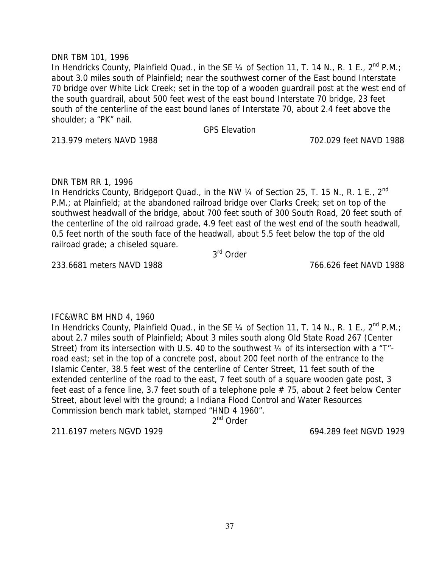## DNR TBM 101, 1996

In Hendricks County, Plainfield Quad., in the SE  $\frac{1}{4}$  of Section 11, T. 14 N., R. 1 E., 2<sup>nd</sup> P.M.; about 3.0 miles south of Plainfield; near the southwest corner of the East bound Interstate 70 bridge over White Lick Creek; set in the top of a wooden guardrail post at the west end of the south guardrail, about 500 feet west of the east bound Interstate 70 bridge, 23 feet south of the centerline of the east bound lanes of Interstate 70, about 2.4 feet above the shoulder; a "PK" nail.

GPS Elevation

213.979 meters NAVD 1988 702.029 feet NAVD 1988

## DNR TBM RR 1, 1996

In Hendricks County, Bridgeport Quad., in the NW 1/4 of Section 25, T. 15 N., R. 1 E., 2<sup>nd</sup> P.M.; at Plainfield; at the abandoned railroad bridge over Clarks Creek; set on top of the southwest headwall of the bridge, about 700 feet south of 300 South Road, 20 feet south of the centerline of the old railroad grade, 4.9 feet east of the west end of the south headwall, 0.5 feet north of the south face of the headwall, about 5.5 feet below the top of the old railroad grade; a chiseled square.

3rd Order

233.6681 meters NAVD 1988 766.626 feet NAVD 1988

# IFC&WRC BM HND 4, 1960

In Hendricks County, Plainfield Quad., in the SE 1/4 of Section 11, T. 14 N., R. 1 E., 2<sup>nd</sup> P.M.: about 2.7 miles south of Plainfield; About 3 miles south along Old State Road 267 (Center Street) from its intersection with U.S. 40 to the southwest 1/4 of its intersection with a "T"road east; set in the top of a concrete post, about 200 feet north of the entrance to the Islamic Center, 38.5 feet west of the centerline of Center Street, 11 feet south of the extended centerline of the road to the east, 7 feet south of a square wooden gate post, 3 feet east of a fence line, 3.7 feet south of a telephone pole  $# 75$ , about 2 feet below Center Street, about level with the ground; a Indiana Flood Control and Water Resources Commission bench mark tablet, stamped "HND 4 1960".

2<sup>nd</sup> Order

211.6197 meters NGVD 1929 694.289 feet NGVD 1929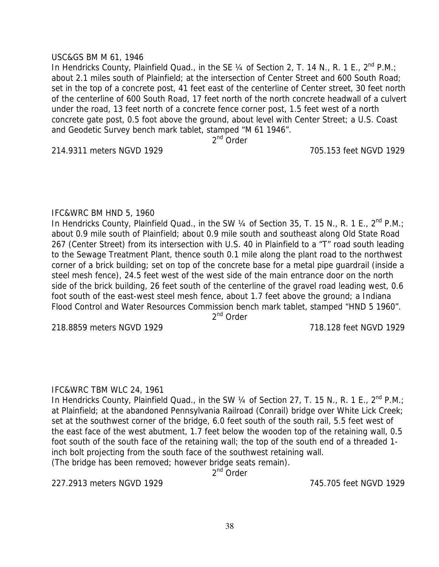#### USC&GS BM M 61, 1946

In Hendricks County, Plainfield Quad., in the SE 1/4 of Section 2, T. 14 N., R. 1 E., 2<sup>nd</sup> P.M.; about 2.1 miles south of Plainfield; at the intersection of Center Street and 600 South Road; set in the top of a concrete post, 41 feet east of the centerline of Center street, 30 feet north of the centerline of 600 South Road, 17 feet north of the north concrete headwall of a culvert under the road, 13 feet north of a concrete fence corner post, 1.5 feet west of a north concrete gate post, 0.5 foot above the ground, about level with Center Street; a U.S. Coast and Geodetic Survey bench mark tablet, stamped "M 61 1946".

2<sup>nd</sup> Order

214.9311 meters NGVD 1929 705.153 feet NGVD 1929

### IFC&WRC BM HND 5, 1960

In Hendricks County, Plainfield Quad., in the SW 1/4 of Section 35, T. 15 N., R. 1 E., 2<sup>nd</sup> P.M.; about 0.9 mile south of Plainfield; about 0.9 mile south and southeast along Old State Road 267 (Center Street) from its intersection with U.S. 40 in Plainfield to a "T" road south leading to the Sewage Treatment Plant, thence south 0.1 mile along the plant road to the northwest corner of a brick building; set on top of the concrete base for a metal pipe guardrail (inside a steel mesh fence), 24.5 feet west of the west side of the main entrance door on the north side of the brick building, 26 feet south of the centerline of the gravel road leading west, 0.6 foot south of the east-west steel mesh fence, about 1.7 feet above the ground; a Indiana Flood Control and Water Resources Commission bench mark tablet, stamped "HND 5 1960".

2<sup>nd</sup> Order

218.8859 meters NGVD 1929 718.128 feet NGVD 1929

## IFC&WRC TBM WLC 24, 1961

In Hendricks County, Plainfield Quad., in the SW  $\frac{1}{4}$  of Section 27, T. 15 N., R. 1 E., 2<sup>nd</sup> P.M.; at Plainfield; at the abandoned Pennsylvania Railroad (Conrail) bridge over White Lick Creek; set at the southwest corner of the bridge, 6.0 feet south of the south rail, 5.5 feet west of the east face of the west abutment, 1.7 feet below the wooden top of the retaining wall, 0.5 foot south of the south face of the retaining wall; the top of the south end of a threaded 1 inch bolt projecting from the south face of the southwest retaining wall.

(The bridge has been removed; however bridge seats remain).

2<sup>nd</sup> Order

227.2913 meters NGVD 1929 745.705 feet NGVD 1929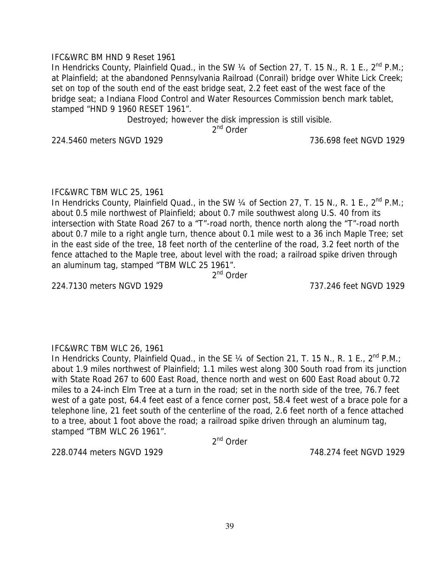## IFC&WRC BM HND 9 Reset 1961

In Hendricks County, Plainfield Quad., in the SW  $\frac{1}{4}$  of Section 27, T. 15 N., R. 1 E., 2<sup>nd</sup> P.M.; at Plainfield; at the abandoned Pennsylvania Railroad (Conrail) bridge over White Lick Creek; set on top of the south end of the east bridge seat, 2.2 feet east of the west face of the bridge seat; a Indiana Flood Control and Water Resources Commission bench mark tablet, stamped "HND 9 1960 RESET 1961".

Destroyed; however the disk impression is still visible.

2<sup>nd</sup> Order

224.5460 meters NGVD 1929 736.698 feet NGVD 1929

## IFC&WRC TBM WLC 25, 1961

In Hendricks County, Plainfield Quad., in the SW  $\frac{1}{4}$  of Section 27, T. 15 N., R. 1 E., 2<sup>nd</sup> P.M.; about 0.5 mile northwest of Plainfield; about 0.7 mile southwest along U.S. 40 from its intersection with State Road 267 to a "T"-road north, thence north along the "T"-road north about 0.7 mile to a right angle turn, thence about 0.1 mile west to a 36 inch Maple Tree; set in the east side of the tree, 18 feet north of the centerline of the road, 3.2 feet north of the fence attached to the Maple tree, about level with the road; a railroad spike driven through an aluminum tag, stamped "TBM WLC 25 1961".

2<sup>nd</sup> Order

224.7130 meters NGVD 1929 737.246 feet NGVD 1929

# IFC&WRC TBM WLC 26, 1961

In Hendricks County, Plainfield Quad., in the SE  $\frac{1}{4}$  of Section 21, T. 15 N., R. 1 E., 2<sup>nd</sup> P.M.; about 1.9 miles northwest of Plainfield; 1.1 miles west along 300 South road from its junction with State Road 267 to 600 East Road, thence north and west on 600 East Road about 0.72 miles to a 24-inch Elm Tree at a turn in the road; set in the north side of the tree, 76.7 feet west of a gate post, 64.4 feet east of a fence corner post, 58.4 feet west of a brace pole for a telephone line, 21 feet south of the centerline of the road, 2.6 feet north of a fence attached to a tree, about 1 foot above the road; a railroad spike driven through an aluminum tag, stamped "TBM WLC 26 1961".

2nd Order

228.0744 meters NGVD 1929 748.274 feet NGVD 1929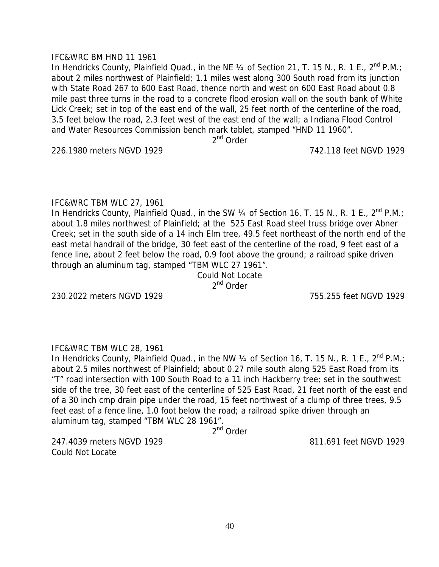#### IFC&WRC BM HND 11 1961

In Hendricks County, Plainfield Quad., in the NE  $\frac{1}{4}$  of Section 21, T. 15 N., R. 1 E., 2<sup>nd</sup> P.M.; about 2 miles northwest of Plainfield; 1.1 miles west along 300 South road from its junction with State Road 267 to 600 East Road, thence north and west on 600 East Road about 0.8 mile past three turns in the road to a concrete flood erosion wall on the south bank of White Lick Creek; set in top of the east end of the wall, 25 feet north of the centerline of the road, 3.5 feet below the road, 2.3 feet west of the east end of the wall; a Indiana Flood Control and Water Resources Commission bench mark tablet, stamped "HND 11 1960".

2<sup>nd</sup> Order

226.1980 meters NGVD 1929 742.118 feet NGVD 1929

### IFC&WRC TBM WLC 27, 1961

In Hendricks County, Plainfield Quad., in the SW 1/4 of Section 16, T. 15 N., R. 1 E., 2<sup>nd</sup> P.M.: about 1.8 miles northwest of Plainfield; at the 525 East Road steel truss bridge over Abner Creek; set in the south side of a 14 inch Elm tree, 49.5 feet northeast of the north end of the east metal handrail of the bridge, 30 feet east of the centerline of the road, 9 feet east of a fence line, about 2 feet below the road, 0.9 foot above the ground; a railroad spike driven through an aluminum tag, stamped "TBM WLC 27 1961".

Could Not Locate 2<sup>nd</sup> Order

230.2022 meters NGVD 1929 755.255 feet NGVD 1929

# IFC&WRC TBM WLC 28, 1961

In Hendricks County, Plainfield Quad., in the NW 1/4 of Section 16, T. 15 N., R. 1 E., 2<sup>nd</sup> P.M.; about 2.5 miles northwest of Plainfield; about 0.27 mile south along 525 East Road from its "T" road intersection with 100 South Road to a 11 inch Hackberry tree; set in the southwest side of the tree, 30 feet east of the centerline of 525 East Road, 21 feet north of the east end of a 30 inch cmp drain pipe under the road, 15 feet northwest of a clump of three trees, 9.5 feet east of a fence line, 1.0 foot below the road; a railroad spike driven through an aluminum tag, stamped "TBM WLC 28 1961".

2<sup>nd</sup> Order

247.4039 meters NGVD 1929 811.691 feet NGVD 1929 Could Not Locate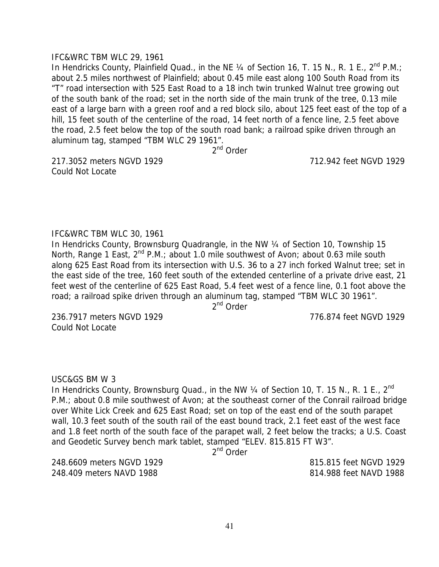#### IFC&WRC TBM WLC 29, 1961

In Hendricks County, Plainfield Quad., in the NE  $\frac{1}{4}$  of Section 16, T. 15 N., R. 1 E., 2<sup>nd</sup> P.M.; about 2.5 miles northwest of Plainfield; about 0.45 mile east along 100 South Road from its "T" road intersection with 525 East Road to a 18 inch twin trunked Walnut tree growing out of the south bank of the road; set in the north side of the main trunk of the tree, 0.13 mile east of a large barn with a green roof and a red block silo, about 125 feet east of the top of a hill, 15 feet south of the centerline of the road, 14 feet north of a fence line, 2.5 feet above the road, 2.5 feet below the top of the south road bank; a railroad spike driven through an aluminum tag, stamped "TBM WLC 29 1961".

2<sup>nd</sup> Order

217.3052 meters NGVD 1929 712.942 feet NGVD 1929 Could Not Locate

#### IFC&WRC TBM WLC 30, 1961

In Hendricks County, Brownsburg Quadrangle, in the NW 1/4 of Section 10, Township 15 North, Range 1 East,  $2^{nd}$  P.M.; about 1.0 mile southwest of Avon; about 0.63 mile south along 625 East Road from its intersection with U.S. 36 to a 27 inch forked Walnut tree; set in the east side of the tree, 160 feet south of the extended centerline of a private drive east, 21 feet west of the centerline of 625 East Road, 5.4 feet west of a fence line, 0.1 foot above the road; a railroad spike driven through an aluminum tag, stamped "TBM WLC 30 1961".

2<sup>nd</sup> Order

236.7917 meters NGVD 1929 776.874 feet NGVD 1929 Could Not Locate

### USC&GS BM W 3

In Hendricks County, Brownsburg Quad., in the NW 1/4 of Section 10, T. 15 N., R. 1 E., 2<sup>nd</sup> P.M.; about 0.8 mile southwest of Avon; at the southeast corner of the Conrail railroad bridge over White Lick Creek and 625 East Road; set on top of the east end of the south parapet wall, 10.3 feet south of the south rail of the east bound track, 2.1 feet east of the west face and 1.8 feet north of the south face of the parapet wall, 2 feet below the tracks; a U.S. Coast and Geodetic Survey bench mark tablet, stamped "ELEV. 815.815 FT W3".

2<sup>nd</sup> Order

248.6609 meters NGVD 1929 815.815 feet NGVD 1929 248.409 meters NAVD 1988 814.988 feet NAVD 1988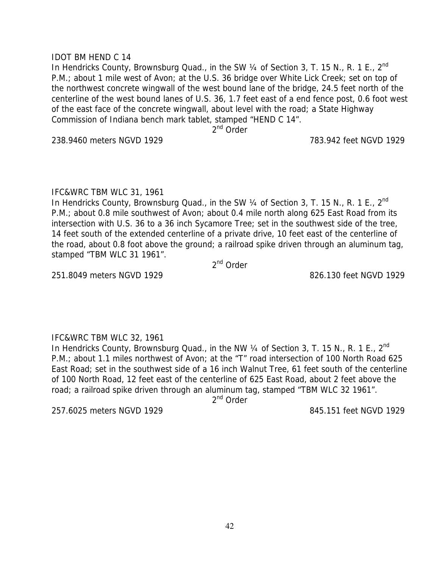## IDOT BM HEND C 14

In Hendricks County, Brownsburg Quad., in the SW 1/4 of Section 3, T. 15 N., R. 1 E., 2<sup>nd</sup> P.M.; about 1 mile west of Avon; at the U.S. 36 bridge over White Lick Creek; set on top of the northwest concrete wingwall of the west bound lane of the bridge, 24.5 feet north of the centerline of the west bound lanes of U.S. 36, 1.7 feet east of a end fence post, 0.6 foot west of the east face of the concrete wingwall, about level with the road; a State Highway Commission of Indiana bench mark tablet, stamped "HEND C 14".

2<sup>nd</sup> Order

238.9460 meters NGVD 1929 783.942 feet NGVD 1929

### IFC&WRC TBM WLC 31, 1961

In Hendricks County, Brownsburg Quad., in the SW  $\frac{1}{4}$  of Section 3, T. 15 N., R. 1 E.,  $2^{nd}$ P.M.; about 0.8 mile southwest of Avon; about 0.4 mile north along 625 East Road from its intersection with U.S. 36 to a 36 inch Sycamore Tree; set in the southwest side of the tree, 14 feet south of the extended centerline of a private drive, 10 feet east of the centerline of the road, about 0.8 foot above the ground; a railroad spike driven through an aluminum tag, stamped "TBM WLC 31 1961".

2<sup>nd</sup> Order

251.8049 meters NGVD 1929 826.130 feet NGVD 1929

# IFC&WRC TBM WLC 32, 1961

In Hendricks County, Brownsburg Quad., in the NW  $\frac{1}{4}$  of Section 3, T. 15 N., R. 1 E.,  $2^{nd}$ P.M.; about 1.1 miles northwest of Avon; at the "T" road intersection of 100 North Road 625 East Road; set in the southwest side of a 16 inch Walnut Tree, 61 feet south of the centerline of 100 North Road, 12 feet east of the centerline of 625 East Road, about 2 feet above the road; a railroad spike driven through an aluminum tag, stamped "TBM WLC 32 1961".

 $2<sup>nd</sup>$  Order

257.6025 meters NGVD 1929 845.151 feet NGVD 1929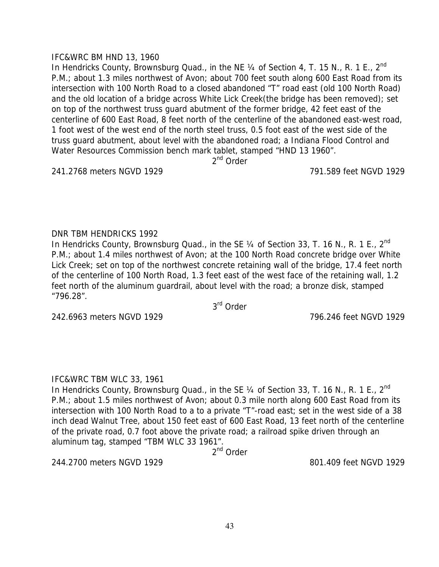## IFC&WRC BM HND 13, 1960

In Hendricks County, Brownsburg Quad., in the NE 1/4 of Section 4, T. 15 N., R. 1 E., 2<sup>nd</sup> P.M.; about 1.3 miles northwest of Avon; about 700 feet south along 600 East Road from its intersection with 100 North Road to a closed abandoned "T" road east (old 100 North Road) and the old location of a bridge across White Lick Creek(the bridge has been removed); set on top of the northwest truss guard abutment of the former bridge, 42 feet east of the centerline of 600 East Road, 8 feet north of the centerline of the abandoned east-west road, 1 foot west of the west end of the north steel truss, 0.5 foot east of the west side of the truss guard abutment, about level with the abandoned road; a Indiana Flood Control and Water Resources Commission bench mark tablet, stamped "HND 13 1960".

2<sup>nd</sup> Order

241.2768 meters NGVD 1929 791.589 feet NGVD 1929

## DNR TBM HENDRICKS 1992

In Hendricks County, Brownsburg Quad., in the SE  $\frac{1}{4}$  of Section 33, T. 16 N., R. 1 E.,  $2^{nd}$ P.M.; about 1.4 miles northwest of Avon; at the 100 North Road concrete bridge over White Lick Creek; set on top of the northwest concrete retaining wall of the bridge, 17.4 feet north of the centerline of 100 North Road, 1.3 feet east of the west face of the retaining wall, 1.2 feet north of the aluminum guardrail, about level with the road; a bronze disk, stamped "796.28".

3rd Order

242.6963 meters NGVD 1929 796.246 feet NGVD 1929

# IFC&WRC TBM WLC 33, 1961

In Hendricks County, Brownsburg Quad., in the SE 1/4 of Section 33, T. 16 N., R. 1 E., 2<sup>nd</sup> P.M.; about 1.5 miles northwest of Avon; about 0.3 mile north along 600 East Road from its intersection with 100 North Road to a to a private "T"-road east; set in the west side of a 38 inch dead Walnut Tree, about 150 feet east of 600 East Road, 13 feet north of the centerline of the private road, 0.7 foot above the private road; a railroad spike driven through an aluminum tag, stamped "TBM WLC 33 1961".

2nd Order

244.2700 meters NGVD 1929 801.409 feet NGVD 1929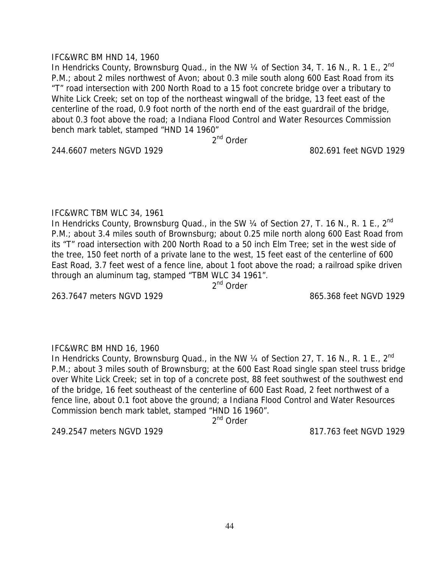## IFC&WRC BM HND 14, 1960

In Hendricks County, Brownsburg Quad., in the NW 1/4 of Section 34, T. 16 N., R. 1 E., 2<sup>nd</sup> P.M.; about 2 miles northwest of Avon; about 0.3 mile south along 600 East Road from its "T" road intersection with 200 North Road to a 15 foot concrete bridge over a tributary to White Lick Creek; set on top of the northeast wingwall of the bridge, 13 feet east of the centerline of the road, 0.9 foot north of the north end of the east guardrail of the bridge, about 0.3 foot above the road; a Indiana Flood Control and Water Resources Commission bench mark tablet, stamped "HND 14 1960"

2nd Order

244.6607 meters NGVD 1929 802.691 feet NGVD 1929

# IFC&WRC TBM WLC 34, 1961

In Hendricks County, Brownsburg Quad., in the SW  $\frac{1}{4}$  of Section 27, T. 16 N., R. 1 E., 2<sup>nd</sup> P.M.; about 3.4 miles south of Brownsburg; about 0.25 mile north along 600 East Road from its "T" road intersection with 200 North Road to a 50 inch Elm Tree; set in the west side of the tree, 150 feet north of a private lane to the west, 15 feet east of the centerline of 600 East Road, 3.7 feet west of a fence line, about 1 foot above the road; a railroad spike driven through an aluminum tag, stamped "TBM WLC 34 1961".

2<sup>nd</sup> Order

263.7647 meters NGVD 1929 865.368 feet NGVD 1929

# IFC&WRC BM HND 16, 1960

In Hendricks County, Brownsburg Quad., in the NW 1/4 of Section 27, T. 16 N., R. 1 E., 2<sup>nd</sup> P.M.; about 3 miles south of Brownsburg; at the 600 East Road single span steel truss bridge over White Lick Creek; set in top of a concrete post, 88 feet southwest of the southwest end of the bridge, 16 feet southeast of the centerline of 600 East Road, 2 feet northwest of a fence line, about 0.1 foot above the ground; a Indiana Flood Control and Water Resources Commission bench mark tablet, stamped "HND 16 1960".

2<sup>nd</sup> Order

249.2547 meters NGVD 1929 817.763 feet NGVD 1929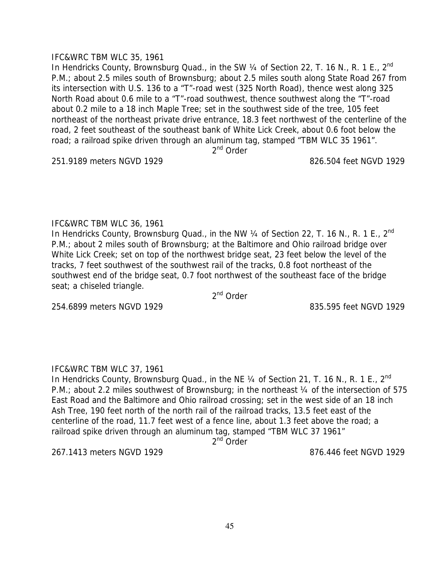## IFC&WRC TBM WLC 35, 1961

In Hendricks County, Brownsburg Quad., in the SW 1/4 of Section 22, T. 16 N., R. 1 E., 2<sup>nd</sup> P.M.; about 2.5 miles south of Brownsburg; about 2.5 miles south along State Road 267 from its intersection with U.S. 136 to a "T"-road west (325 North Road), thence west along 325 North Road about 0.6 mile to a "T"-road southwest, thence southwest along the "T"-road about 0.2 mile to a 18 inch Maple Tree; set in the southwest side of the tree, 105 feet northeast of the northeast private drive entrance, 18.3 feet northwest of the centerline of the road, 2 feet southeast of the southeast bank of White Lick Creek, about 0.6 foot below the road; a railroad spike driven through an aluminum tag, stamped "TBM WLC 35 1961".

2<sup>nd</sup> Order

251.9189 meters NGVD 1929 826.504 feet NGVD 1929

IFC&WRC TBM WLC 36, 1961

In Hendricks County, Brownsburg Quad., in the NW 1/4 of Section 22, T. 16 N., R. 1 E., 2<sup>nd</sup> P.M.; about 2 miles south of Brownsburg; at the Baltimore and Ohio railroad bridge over White Lick Creek; set on top of the northwest bridge seat, 23 feet below the level of the tracks, 7 feet southwest of the southwest rail of the tracks, 0.8 foot northeast of the southwest end of the bridge seat, 0.7 foot northwest of the southeast face of the bridge seat; a chiseled triangle.

2<sup>nd</sup> Order

254.6899 meters NGVD 1929 835.595 feet NGVD 1929

# IFC&WRC TBM WLC 37, 1961

In Hendricks County, Brownsburg Quad., in the NE  $\frac{1}{4}$  of Section 21, T. 16 N., R. 1 E., 2<sup>nd</sup> P.M.; about 2.2 miles southwest of Brownsburg; in the northeast 1/4 of the intersection of 575 East Road and the Baltimore and Ohio railroad crossing; set in the west side of an 18 inch Ash Tree, 190 feet north of the north rail of the railroad tracks, 13.5 feet east of the centerline of the road, 11.7 feet west of a fence line, about 1.3 feet above the road; a railroad spike driven through an aluminum tag, stamped "TBM WLC 37 1961"

2<sup>nd</sup> Order

267.1413 meters NGVD 1929 876.446 feet NGVD 1929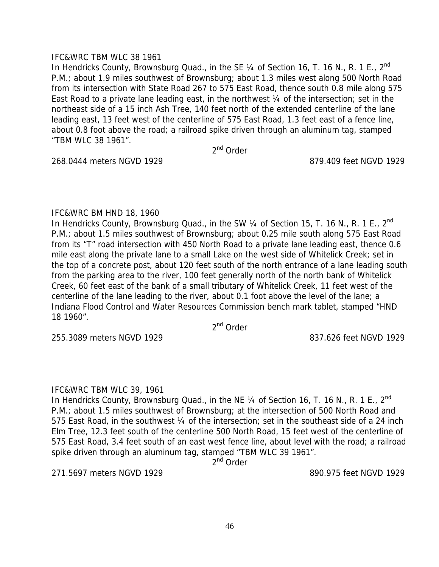## IFC&WRC TBM WLC 38 1961

In Hendricks County, Brownsburg Quad., in the SE  $\frac{1}{4}$  of Section 16, T. 16 N., R. 1 E., 2<sup>nd</sup> P.M.; about 1.9 miles southwest of Brownsburg; about 1.3 miles west along 500 North Road from its intersection with State Road 267 to 575 East Road, thence south 0.8 mile along 575 East Road to a private lane leading east, in the northwest ¼ of the intersection; set in the northeast side of a 15 inch Ash Tree, 140 feet north of the extended centerline of the lane leading east, 13 feet west of the centerline of 575 East Road, 1.3 feet east of a fence line, about 0.8 foot above the road; a railroad spike driven through an aluminum tag, stamped "TBM WLC 38 1961".

2<sup>nd</sup> Order

268.0444 meters NGVD 1929 879.409 feet NGVD 1929

## IFC&WRC BM HND 18, 1960

In Hendricks County, Brownsburg Quad., in the SW  $\frac{1}{4}$  of Section 15, T. 16 N., R. 1 E., 2<sup>nd</sup> P.M.; about 1.5 miles southwest of Brownsburg; about 0.25 mile south along 575 East Road from its "T" road intersection with 450 North Road to a private lane leading east, thence 0.6 mile east along the private lane to a small Lake on the west side of Whitelick Creek; set in the top of a concrete post, about 120 feet south of the north entrance of a lane leading south from the parking area to the river, 100 feet generally north of the north bank of Whitelick Creek, 60 feet east of the bank of a small tributary of Whitelick Creek, 11 feet west of the centerline of the lane leading to the river, about 0.1 foot above the level of the lane; a Indiana Flood Control and Water Resources Commission bench mark tablet, stamped "HND 18 1960".

2nd Order

255.3089 meters NGVD 1929 837.626 feet NGVD 1929

# IFC&WRC TBM WLC 39, 1961

In Hendricks County, Brownsburg Quad., in the NE  $\frac{1}{4}$  of Section 16, T. 16 N., R. 1 E.,  $2^{nd}$ P.M.; about 1.5 miles southwest of Brownsburg; at the intersection of 500 North Road and 575 East Road, in the southwest 1/4 of the intersection; set in the southeast side of a 24 inch Elm Tree, 12.3 feet south of the centerline 500 North Road, 15 feet west of the centerline of 575 East Road, 3.4 feet south of an east west fence line, about level with the road; a railroad spike driven through an aluminum tag, stamped "TBM WLC 39 1961".

2<sup>nd</sup> Order

271.5697 meters NGVD 1929 890.975 feet NGVD 1929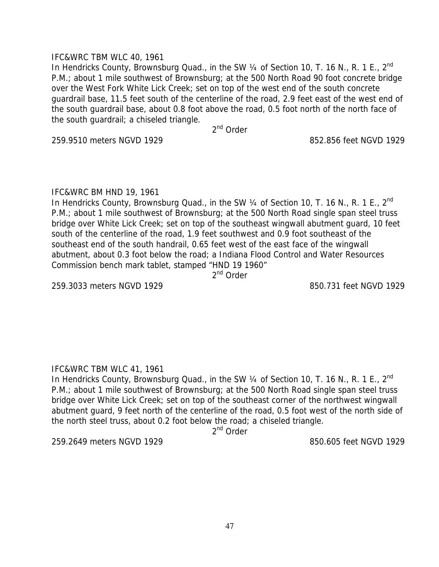## IFC&WRC TBM WLC 40, 1961

In Hendricks County, Brownsburg Quad., in the SW 1/4 of Section 10, T. 16 N., R. 1 E., 2<sup>nd</sup> P.M.; about 1 mile southwest of Brownsburg; at the 500 North Road 90 foot concrete bridge over the West Fork White Lick Creek; set on top of the west end of the south concrete guardrail base, 11.5 feet south of the centerline of the road, 2.9 feet east of the west end of the south guardrail base, about 0.8 foot above the road, 0.5 foot north of the north face of the south guardrail; a chiseled triangle.

2<sup>nd</sup> Order

259.9510 meters NGVD 1929 852.856 feet NGVD 1929

## IFC&WRC BM HND 19, 1961

In Hendricks County, Brownsburg Quad., in the SW  $\frac{1}{4}$  of Section 10, T. 16 N., R. 1 E.,  $2^{nd}$ P.M.; about 1 mile southwest of Brownsburg; at the 500 North Road single span steel truss bridge over White Lick Creek; set on top of the southeast wingwall abutment guard, 10 feet south of the centerline of the road, 1.9 feet southwest and 0.9 foot southeast of the southeast end of the south handrail, 0.65 feet west of the east face of the wingwall abutment, about 0.3 foot below the road; a Indiana Flood Control and Water Resources Commission bench mark tablet, stamped "HND 19 1960"

2<sup>nd</sup> Order

259.3033 meters NGVD 1929 850.731 feet NGVD 1929

# IFC&WRC TBM WLC 41, 1961

In Hendricks County, Brownsburg Quad., in the SW 1/4 of Section 10, T. 16 N., R. 1 E., 2<sup>nd</sup> P.M.; about 1 mile southwest of Brownsburg; at the 500 North Road single span steel truss bridge over White Lick Creek; set on top of the southeast corner of the northwest wingwall abutment guard, 9 feet north of the centerline of the road, 0.5 foot west of the north side of the north steel truss, about 0.2 foot below the road; a chiseled triangle.

2<sup>nd</sup> Order

259.2649 meters NGVD 1929 850.605 feet NGVD 1929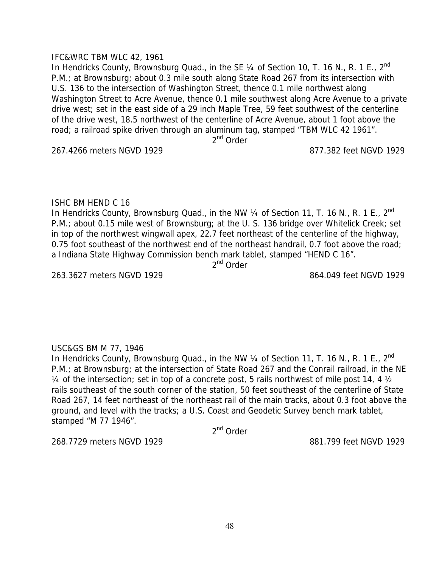## IFC&WRC TBM WLC 42, 1961

In Hendricks County, Brownsburg Quad., in the SE  $\frac{1}{4}$  of Section 10, T. 16 N., R. 1 E., 2<sup>nd</sup> P.M.; at Brownsburg; about 0.3 mile south along State Road 267 from its intersection with U.S. 136 to the intersection of Washington Street, thence 0.1 mile northwest along Washington Street to Acre Avenue, thence 0.1 mile southwest along Acre Avenue to a private drive west; set in the east side of a 29 inch Maple Tree, 59 feet southwest of the centerline of the drive west, 18.5 northwest of the centerline of Acre Avenue, about 1 foot above the road; a railroad spike driven through an aluminum tag, stamped "TBM WLC 42 1961". 2<sup>nd</sup> Order

267.4266 meters NGVD 1929 877.382 feet NGVD 1929

# ISHC BM HEND C 16

In Hendricks County, Brownsburg Quad., in the NW  $\frac{1}{4}$  of Section 11, T. 16 N., R. 1 E., 2<sup>nd</sup> P.M.; about 0.15 mile west of Brownsburg; at the U.S. 136 bridge over Whitelick Creek; set in top of the northwest wingwall apex, 22.7 feet northeast of the centerline of the highway, 0.75 foot southeast of the northwest end of the northeast handrail, 0.7 foot above the road; a Indiana State Highway Commission bench mark tablet, stamped "HEND C 16".

2<sup>nd</sup> Order

263.3627 meters NGVD 1929 864.049 feet NGVD 1929

# USC&GS BM M 77, 1946

In Hendricks County, Brownsburg Quad., in the NW 1/4 of Section 11, T. 16 N., R. 1 E., 2<sup>nd</sup> P.M.; at Brownsburg; at the intersection of State Road 267 and the Conrail railroad, in the NE  $\frac{1}{4}$  of the intersection; set in top of a concrete post, 5 rails northwest of mile post 14, 4  $\frac{1}{2}$ rails southeast of the south corner of the station, 50 feet southeast of the centerline of State Road 267, 14 feet northeast of the northeast rail of the main tracks, about 0.3 foot above the ground, and level with the tracks; a U.S. Coast and Geodetic Survey bench mark tablet, stamped "M 77 1946".

2<sup>nd</sup> Order

268.7729 meters NGVD 1929 881.799 feet NGVD 1929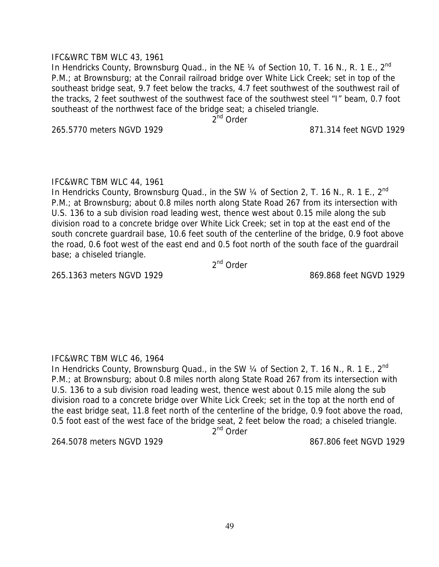## IFC&WRC TBM WLC 43, 1961

In Hendricks County, Brownsburg Quad., in the NE  $\frac{1}{4}$  of Section 10, T. 16 N., R. 1 E., 2<sup>nd</sup> P.M.; at Brownsburg; at the Conrail railroad bridge over White Lick Creek; set in top of the southeast bridge seat, 9.7 feet below the tracks, 4.7 feet southwest of the southwest rail of the tracks, 2 feet southwest of the southwest face of the southwest steel "I" beam, 0.7 foot southeast of the northwest face of the bridge seat; a chiseled triangle.

 $2^{nd}$  Order

265.5770 meters NGVD 1929 871.314 feet NGVD 1929

## IFC&WRC TBM WLC 44, 1961

In Hendricks County, Brownsburg Quad., in the SW 1/4 of Section 2, T. 16 N., R. 1 E., 2<sup>nd</sup> P.M.; at Brownsburg; about 0.8 miles north along State Road 267 from its intersection with U.S. 136 to a sub division road leading west, thence west about 0.15 mile along the sub division road to a concrete bridge over White Lick Creek; set in top at the east end of the south concrete guardrail base, 10.6 feet south of the centerline of the bridge, 0.9 foot above the road, 0.6 foot west of the east end and 0.5 foot north of the south face of the guardrail base; a chiseled triangle.

2<sup>nd</sup> Order

265.1363 meters NGVD 1929 869.868 feet NGVD 1929

# IFC&WRC TBM WLC 46, 1964

In Hendricks County, Brownsburg Quad., in the SW 1/4 of Section 2, T. 16 N., R. 1 E., 2<sup>nd</sup> P.M.; at Brownsburg; about 0.8 miles north along State Road 267 from its intersection with U.S. 136 to a sub division road leading west, thence west about 0.15 mile along the sub division road to a concrete bridge over White Lick Creek; set in the top at the north end of the east bridge seat, 11.8 feet north of the centerline of the bridge, 0.9 foot above the road, 0.5 foot east of the west face of the bridge seat, 2 feet below the road; a chiseled triangle.

2<sup>nd</sup> Order

264.5078 meters NGVD 1929 867.806 feet NGVD 1929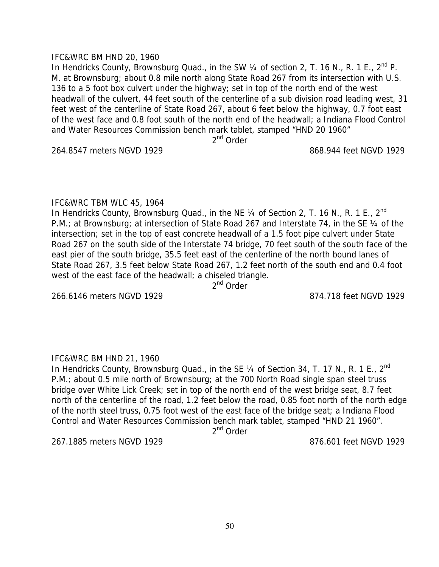### IFC&WRC BM HND 20, 1960

In Hendricks County, Brownsburg Quad., in the SW  $\frac{1}{4}$  of section 2, T. 16 N., R. 1 E.,  $2^{nd}$  P. M. at Brownsburg; about 0.8 mile north along State Road 267 from its intersection with U.S. 136 to a 5 foot box culvert under the highway; set in top of the north end of the west headwall of the culvert, 44 feet south of the centerline of a sub division road leading west, 31 feet west of the centerline of State Road 267, about 6 feet below the highway, 0.7 foot east of the west face and 0.8 foot south of the north end of the headwall; a Indiana Flood Control and Water Resources Commission bench mark tablet, stamped "HND 20 1960" 2<sup>nd</sup> Order

264.8547 meters NGVD 1929 868.944 feet NGVD 1929

### IFC&WRC TBM WLC 45, 1964

In Hendricks County, Brownsburg Quad., in the NE  $\frac{1}{4}$  of Section 2, T. 16 N., R. 1 E., 2<sup>nd</sup> P.M.; at Brownsburg; at intersection of State Road 267 and Interstate 74, in the SE 1/4 of the intersection; set in the top of east concrete headwall of a 1.5 foot pipe culvert under State Road 267 on the south side of the Interstate 74 bridge, 70 feet south of the south face of the east pier of the south bridge, 35.5 feet east of the centerline of the north bound lanes of State Road 267, 3.5 feet below State Road 267, 1.2 feet north of the south end and 0.4 foot west of the east face of the headwall; a chiseled triangle.

2<sup>nd</sup> Order

266.6146 meters NGVD 1929 874.718 feet NGVD 1929

# IFC&WRC BM HND 21, 1960

In Hendricks County, Brownsburg Quad., in the SE 1/4 of Section 34, T. 17 N., R. 1 E., 2<sup>nd</sup> P.M.; about 0.5 mile north of Brownsburg; at the 700 North Road single span steel truss bridge over White Lick Creek; set in top of the north end of the west bridge seat, 8.7 feet north of the centerline of the road, 1.2 feet below the road, 0.85 foot north of the north edge of the north steel truss, 0.75 foot west of the east face of the bridge seat; a Indiana Flood Control and Water Resources Commission bench mark tablet, stamped "HND 21 1960".

 $2<sup>nd</sup>$  Order

267.1885 meters NGVD 1929 876.601 feet NGVD 1929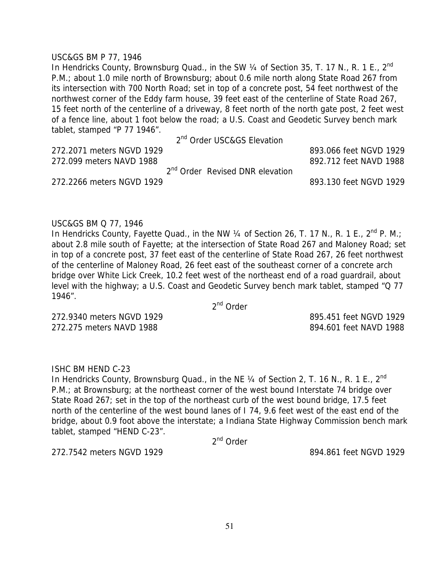#### USC&GS BM P 77, 1946

In Hendricks County, Brownsburg Quad., in the SW 1/4 of Section 35, T. 17 N., R. 1 E., 2<sup>nd</sup> P.M.; about 1.0 mile north of Brownsburg; about 0.6 mile north along State Road 267 from its intersection with 700 North Road; set in top of a concrete post, 54 feet northwest of the northwest corner of the Eddy farm house, 39 feet east of the centerline of State Road 267, 15 feet north of the centerline of a driveway, 8 feet north of the north gate post, 2 feet west of a fence line, about 1 foot below the road; a U.S. Coast and Geodetic Survey bench mark tablet, stamped "P 77 1946".

2<sup>nd</sup> Order USC&GS Elevation

| 272.2071 meters NGVD 1929 |                                             | 893.066 feet NGVD 1929 |  |
|---------------------------|---------------------------------------------|------------------------|--|
| 272.099 meters NAVD 1988  |                                             | 892.712 feet NAVD 1988 |  |
|                           | 2 <sup>nd</sup> Order Revised DNR elevation |                        |  |
| 272.2266 meters NGVD 1929 |                                             | 893.130 feet NGVD 1929 |  |

#### USC&GS BM Q 77, 1946

In Hendricks County, Fayette Quad., in the NW  $\frac{1}{4}$  of Section 26, T. 17 N., R. 1 E., 2<sup>nd</sup> P. M.; about 2.8 mile south of Fayette; at the intersection of State Road 267 and Maloney Road; set in top of a concrete post, 37 feet east of the centerline of State Road 267, 26 feet northwest of the centerline of Maloney Road, 26 feet east of the southeast corner of a concrete arch bridge over White Lick Creek, 10.2 feet west of the northeast end of a road guardrail, about level with the highway; a U.S. Coast and Geodetic Survey bench mark tablet, stamped "Q 77 1946".

2nd Order

272.9340 meters NGVD 1929 895.451 feet NGVD 1929 272.275 meters NAVD 1988 894.601 feet NAVD 1988

# ISHC BM HEND C-23

In Hendricks County, Brownsburg Quad., in the NE  $\frac{1}{4}$  of Section 2, T. 16 N., R. 1 E.,  $2^{nd}$ P.M.; at Brownsburg; at the northeast corner of the west bound Interstate 74 bridge over State Road 267; set in the top of the northeast curb of the west bound bridge, 17.5 feet north of the centerline of the west bound lanes of I 74, 9.6 feet west of the east end of the bridge, about 0.9 foot above the interstate; a Indiana State Highway Commission bench mark tablet, stamped "HEND C-23".

2nd Order

272.7542 meters NGVD 1929 894.861 feet NGVD 1929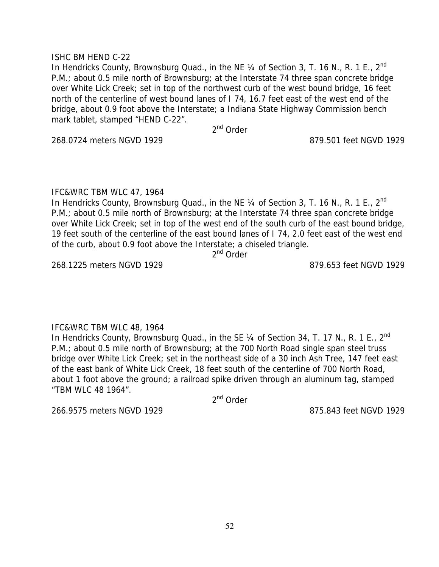## ISHC BM HEND C-22

In Hendricks County, Brownsburg Quad., in the NE 1/4 of Section 3, T. 16 N., R. 1 E., 2<sup>nd</sup> P.M.; about 0.5 mile north of Brownsburg; at the Interstate 74 three span concrete bridge over White Lick Creek; set in top of the northwest curb of the west bound bridge, 16 feet north of the centerline of west bound lanes of I 74, 16.7 feet east of the west end of the bridge, about 0.9 foot above the Interstate; a Indiana State Highway Commission bench mark tablet, stamped "HEND C-22".

2<sup>nd</sup> Order

268.0724 meters NGVD 1929 879.501 feet NGVD 1929

## IFC&WRC TBM WLC 47, 1964

In Hendricks County, Brownsburg Quad., in the NE  $\frac{1}{4}$  of Section 3, T. 16 N., R. 1 E., 2<sup>nd</sup> P.M.; about 0.5 mile north of Brownsburg; at the Interstate 74 three span concrete bridge over White Lick Creek; set in top of the west end of the south curb of the east bound bridge, 19 feet south of the centerline of the east bound lanes of I 74, 2.0 feet east of the west end of the curb, about 0.9 foot above the Interstate; a chiseled triangle.

2<sup>nd</sup> Order

268.1225 meters NGVD 1929 879.653 feet NGVD 1929

# IFC&WRC TBM WLC 48, 1964

In Hendricks County, Brownsburg Quad., in the SE 1/4 of Section 34, T. 17 N., R. 1 E., 2<sup>nd</sup> P.M.; about 0.5 mile north of Brownsburg; at the 700 North Road single span steel truss bridge over White Lick Creek; set in the northeast side of a 30 inch Ash Tree, 147 feet east of the east bank of White Lick Creek, 18 feet south of the centerline of 700 North Road, about 1 foot above the ground; a railroad spike driven through an aluminum tag, stamped "TBM WLC 48 1964".

2nd Order

266.9575 meters NGVD 1929 875.843 feet NGVD 1929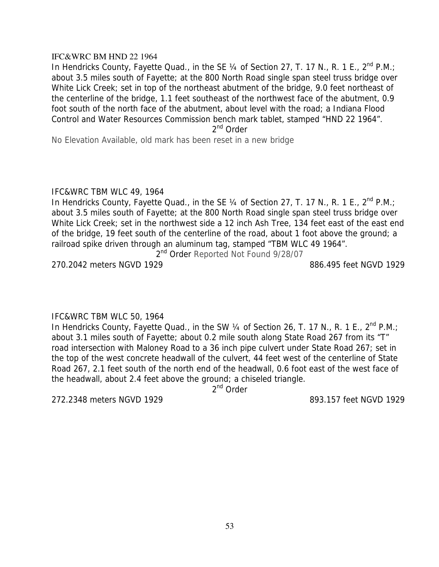#### IFC&WRC BM HND 22 1964

In Hendricks County, Fayette Quad., in the SE  $\frac{1}{4}$  of Section 27, T. 17 N., R. 1 E., 2<sup>nd</sup> P.M.; about 3.5 miles south of Fayette; at the 800 North Road single span steel truss bridge over White Lick Creek; set in top of the northeast abutment of the bridge, 9.0 feet northeast of the centerline of the bridge, 1.1 feet southeast of the northwest face of the abutment, 0.9 foot south of the north face of the abutment, about level with the road; a Indiana Flood Control and Water Resources Commission bench mark tablet, stamped "HND 22 1964".

2<sup>nd</sup> Order

No Elevation Available, old mark has been reset in a new bridge

### IFC&WRC TBM WLC 49, 1964

In Hendricks County, Fayette Quad., in the SE  $\frac{1}{4}$  of Section 27, T. 17 N., R. 1 E., 2<sup>nd</sup> P.M.; about 3.5 miles south of Fayette; at the 800 North Road single span steel truss bridge over White Lick Creek; set in the northwest side a 12 inch Ash Tree, 134 feet east of the east end of the bridge, 19 feet south of the centerline of the road, about 1 foot above the ground; a railroad spike driven through an aluminum tag, stamped "TBM WLC 49 1964".

2<sup>nd</sup> Order Reported Not Found 9/28/07

270.2042 meters NGVD 1929 886.495 feet NGVD 1929

# IFC&WRC TBM WLC 50, 1964

In Hendricks County, Fayette Quad., in the SW 1/4 of Section 26, T. 17 N., R. 1 E., 2<sup>nd</sup> P.M.; about 3.1 miles south of Fayette; about 0.2 mile south along State Road 267 from its "T" road intersection with Maloney Road to a 36 inch pipe culvert under State Road 267; set in the top of the west concrete headwall of the culvert, 44 feet west of the centerline of State Road 267, 2.1 feet south of the north end of the headwall, 0.6 foot east of the west face of the headwall, about 2.4 feet above the ground; a chiseled triangle.

2<sup>nd</sup> Order

272.2348 meters NGVD 1929 893.157 feet NGVD 1929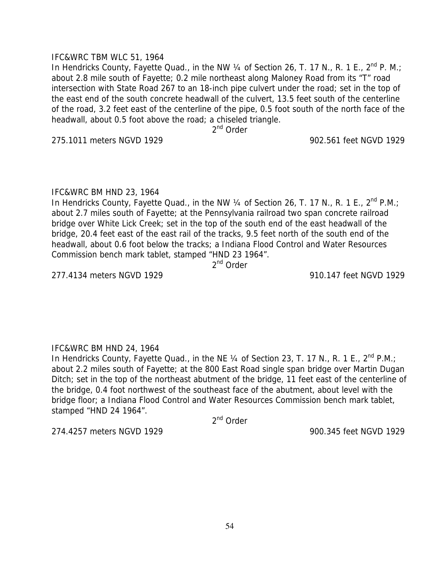## IFC&WRC TBM WLC 51, 1964

In Hendricks County, Fayette Quad., in the NW  $\frac{1}{4}$  of Section 26, T. 17 N., R. 1 E., 2<sup>nd</sup> P. M.; about 2.8 mile south of Fayette; 0.2 mile northeast along Maloney Road from its "T" road intersection with State Road 267 to an 18-inch pipe culvert under the road; set in the top of the east end of the south concrete headwall of the culvert, 13.5 feet south of the centerline of the road, 3.2 feet east of the centerline of the pipe, 0.5 foot south of the north face of the headwall, about 0.5 foot above the road; a chiseled triangle.

2<sup>nd</sup> Order

275.1011 meters NGVD 1929 902.561 feet NGVD 1929

## IFC&WRC BM HND 23, 1964

In Hendricks County, Fayette Quad., in the NW  $\frac{1}{4}$  of Section 26, T. 17 N., R. 1 E., 2<sup>nd</sup> P.M.; about 2.7 miles south of Fayette; at the Pennsylvania railroad two span concrete railroad bridge over White Lick Creek; set in the top of the south end of the east headwall of the bridge, 20.4 feet east of the east rail of the tracks, 9.5 feet north of the south end of the headwall, about 0.6 foot below the tracks; a Indiana Flood Control and Water Resources Commission bench mark tablet, stamped "HND 23 1964".

2<sup>nd</sup> Order

277.4134 meters NGVD 1929 910.147 feet NGVD 1929

# IFC&WRC BM HND 24, 1964

In Hendricks County, Fayette Quad., in the NE  $\frac{1}{4}$  of Section 23, T. 17 N., R. 1 E., 2<sup>nd</sup> P.M.; about 2.2 miles south of Fayette; at the 800 East Road single span bridge over Martin Dugan Ditch; set in the top of the northeast abutment of the bridge, 11 feet east of the centerline of the bridge, 0.4 foot northwest of the southeast face of the abutment, about level with the bridge floor; a Indiana Flood Control and Water Resources Commission bench mark tablet, stamped "HND 24 1964".

2<sup>nd</sup> Order

274.4257 meters NGVD 1929 900.345 feet NGVD 1929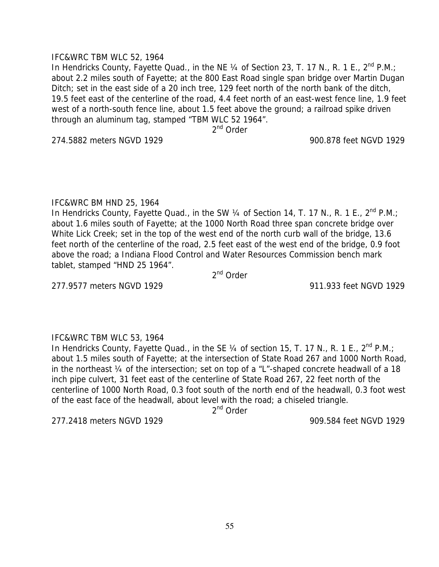## IFC&WRC TBM WLC 52, 1964

In Hendricks County, Fayette Quad., in the NE  $\frac{1}{4}$  of Section 23, T. 17 N., R. 1 E., 2<sup>nd</sup> P.M.; about 2.2 miles south of Fayette; at the 800 East Road single span bridge over Martin Dugan Ditch; set in the east side of a 20 inch tree, 129 feet north of the north bank of the ditch, 19.5 feet east of the centerline of the road, 4.4 feet north of an east-west fence line, 1.9 feet west of a north-south fence line, about 1.5 feet above the ground; a railroad spike driven through an aluminum tag, stamped "TBM WLC 52 1964".

2<sup>nd</sup> Order

274.5882 meters NGVD 1929 900.878 feet NGVD 1929

## IFC&WRC BM HND 25, 1964

In Hendricks County, Fayette Quad., in the SW  $\frac{1}{4}$  of Section 14, T. 17 N., R. 1 E., 2<sup>nd</sup> P.M.; about 1.6 miles south of Fayette; at the 1000 North Road three span concrete bridge over White Lick Creek; set in the top of the west end of the north curb wall of the bridge, 13.6 feet north of the centerline of the road, 2.5 feet east of the west end of the bridge, 0.9 foot above the road; a Indiana Flood Control and Water Resources Commission bench mark tablet, stamped "HND 25 1964".

2<sup>nd</sup> Order

277.9577 meters NGVD 1929 911.933 feet NGVD 1929

# IFC&WRC TBM WLC 53, 1964

In Hendricks County, Fayette Quad., in the SE  $\frac{1}{4}$  of section 15, T. 17 N., R. 1 E., 2<sup>nd</sup> P.M.; about 1.5 miles south of Fayette; at the intersection of State Road 267 and 1000 North Road, in the northeast ¼ of the intersection; set on top of a "L"-shaped concrete headwall of a 18 inch pipe culvert, 31 feet east of the centerline of State Road 267, 22 feet north of the centerline of 1000 North Road, 0.3 foot south of the north end of the headwall, 0.3 foot west of the east face of the headwall, about level with the road; a chiseled triangle.

2<sup>nd</sup> Order

277.2418 meters NGVD 1929 909.584 feet NGVD 1929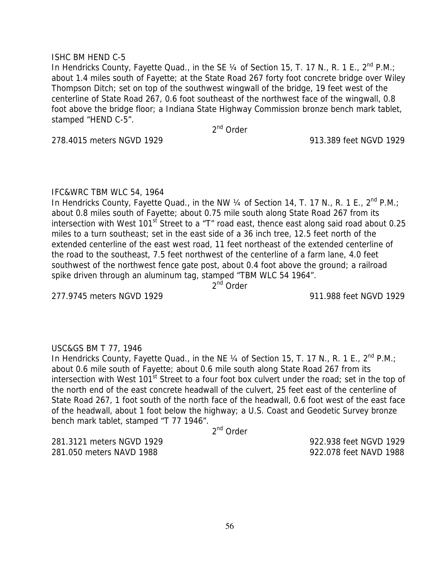## ISHC BM HEND C-5

In Hendricks County, Fayette Quad., in the SE  $\frac{1}{4}$  of Section 15, T. 17 N., R. 1 E., 2<sup>nd</sup> P.M.; about 1.4 miles south of Fayette; at the State Road 267 forty foot concrete bridge over Wiley Thompson Ditch; set on top of the southwest wingwall of the bridge, 19 feet west of the centerline of State Road 267, 0.6 foot southeast of the northwest face of the wingwall, 0.8 foot above the bridge floor; a Indiana State Highway Commission bronze bench mark tablet, stamped "HEND C-5".

2<sup>nd</sup> Order

278.4015 meters NGVD 1929 913.389 feet NGVD 1929

### IFC&WRC TBM WLC 54, 1964

In Hendricks County, Fayette Quad., in the NW  $\frac{1}{4}$  of Section 14, T. 17 N., R. 1 E., 2<sup>nd</sup> P.M.; about 0.8 miles south of Fayette; about 0.75 mile south along State Road 267 from its intersection with West  $101<sup>st</sup>$  Street to a "T" road east, thence east along said road about 0.25 miles to a turn southeast; set in the east side of a 36 inch tree, 12.5 feet north of the extended centerline of the east west road, 11 feet northeast of the extended centerline of the road to the southeast, 7.5 feet northwest of the centerline of a farm lane, 4.0 feet southwest of the northwest fence gate post, about 0.4 foot above the ground; a railroad spike driven through an aluminum tag, stamped "TBM WLC 54 1964".

2<sup>nd</sup> Order

277.9745 meters NGVD 1929 911.988 feet NGVD 1929

# USC&GS BM T 77, 1946

In Hendricks County, Fayette Quad., in the NE  $\frac{1}{4}$  of Section 15, T. 17 N., R. 1 E., 2<sup>nd</sup> P.M.; about 0.6 mile south of Fayette; about 0.6 mile south along State Road 267 from its intersection with West 101<sup>st</sup> Street to a four foot box culvert under the road; set in the top of the north end of the east concrete headwall of the culvert, 25 feet east of the centerline of State Road 267, 1 foot south of the north face of the headwall, 0.6 foot west of the east face of the headwall, about 1 foot below the highway; a U.S. Coast and Geodetic Survey bronze bench mark tablet, stamped "T 77 1946".

2nd Order

281.3121 meters NGVD 1929 922.938 feet NGVD 1929 281.050 meters NAVD 1988 922.078 feet NAVD 1988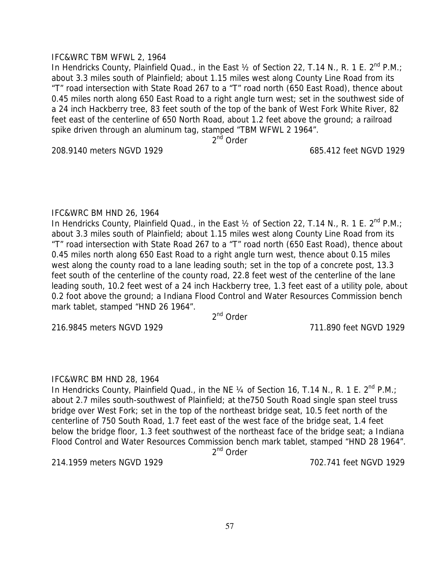## IFC&WRC TBM WFWL 2, 1964

In Hendricks County, Plainfield Quad., in the East  $\frac{1}{2}$  of Section 22, T.14 N., R. 1 E. 2<sup>nd</sup> P.M.; about 3.3 miles south of Plainfield; about 1.15 miles west along County Line Road from its "T" road intersection with State Road 267 to a "T" road north (650 East Road), thence about 0.45 miles north along 650 East Road to a right angle turn west; set in the southwest side of a 24 inch Hackberry tree, 83 feet south of the top of the bank of West Fork White River, 82 feet east of the centerline of 650 North Road, about 1.2 feet above the ground; a railroad spike driven through an aluminum tag, stamped "TBM WFWL 2 1964".

2<sup>nd</sup> Order

208.9140 meters NGVD 1929 685.412 feet NGVD 1929

### IFC&WRC BM HND 26, 1964

In Hendricks County, Plainfield Quad., in the East 1/2 of Section 22, T.14 N., R. 1 E. 2<sup>nd</sup> P.M.; about 3.3 miles south of Plainfield; about 1.15 miles west along County Line Road from its "T" road intersection with State Road 267 to a "T" road north (650 East Road), thence about 0.45 miles north along 650 East Road to a right angle turn west, thence about 0.15 miles west along the county road to a lane leading south; set in the top of a concrete post, 13.3 feet south of the centerline of the county road, 22.8 feet west of the centerline of the lane leading south, 10.2 feet west of a 24 inch Hackberry tree, 1.3 feet east of a utility pole, about 0.2 foot above the ground; a Indiana Flood Control and Water Resources Commission bench mark tablet, stamped "HND 26 1964".

2<sup>nd</sup> Order

216.9845 meters NGVD 1929 711.890 feet NGVD 1929

# IFC&WRC BM HND 28, 1964

In Hendricks County, Plainfield Quad., in the NE 1/4 of Section 16, T.14 N., R. 1 E. 2<sup>nd</sup> P.M.; about 2.7 miles south-southwest of Plainfield; at the750 South Road single span steel truss bridge over West Fork; set in the top of the northeast bridge seat, 10.5 feet north of the centerline of 750 South Road, 1.7 feet east of the west face of the bridge seat, 1.4 feet below the bridge floor, 1.3 feet southwest of the northeast face of the bridge seat; a Indiana Flood Control and Water Resources Commission bench mark tablet, stamped "HND 28 1964".

2<sup>nd</sup> Order

214.1959 meters NGVD 1929 702.741 feet NGVD 1929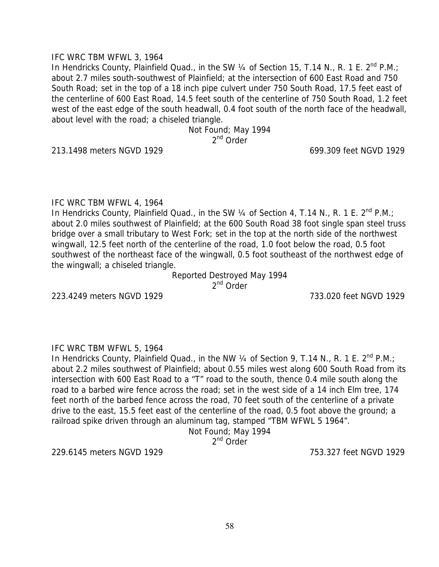## IFC WRC TBM WFWL 3, 1964

In Hendricks County, Plainfield Quad., in the SW  $\frac{1}{4}$  of Section 15, T.14 N., R. 1 E. 2<sup>nd</sup> P.M.; about 2.7 miles south-southwest of Plainfield; at the intersection of 600 East Road and 750 South Road; set in the top of a 18 inch pipe culvert under 750 South Road, 17.5 feet east of the centerline of 600 East Road, 14.5 feet south of the centerline of 750 South Road, 1.2 feet west of the east edge of the south headwall, 0.4 foot south of the north face of the headwall, about level with the road; a chiseled triangle.

> Not Found; May 1994 2<sup>nd</sup> Order

213.1498 meters NGVD 1929 699.309 feet NGVD 1929

## IFC WRC TBM WFWL 4, 1964

In Hendricks County, Plainfield Quad., in the SW  $\frac{1}{4}$  of Section 4, T.14 N., R. 1 E. 2<sup>nd</sup> P.M.: about 2.0 miles southwest of Plainfield; at the 600 South Road 38 foot single span steel truss bridge over a small tributary to West Fork; set in the top at the north side of the northwest wingwall, 12.5 feet north of the centerline of the road, 1.0 foot below the road, 0.5 foot southwest of the northeast face of the wingwall, 0.5 foot southeast of the northwest edge of the wingwall; a chiseled triangle.

> Reported Destroyed May 1994 2<sup>nd</sup> Order

223.4249 meters NGVD 1929 733.020 feet NGVD 1929

# IFC WRC TBM WFWL 5, 1964

In Hendricks County, Plainfield Quad., in the NW  $\frac{1}{4}$  of Section 9, T.14 N., R. 1 E. 2<sup>nd</sup> P.M.; about 2.2 miles southwest of Plainfield; about 0.55 miles west along 600 South Road from its intersection with 600 East Road to a "T" road to the south, thence 0.4 mile south along the road to a barbed wire fence across the road; set in the west side of a 14 inch Elm tree, 174 feet north of the barbed fence across the road, 70 feet south of the centerline of a private drive to the east, 15.5 feet east of the centerline of the road, 0.5 foot above the ground; a railroad spike driven through an aluminum tag, stamped "TBM WFWL 5 1964".

Not Found; May 1994

2<sup>nd</sup> Order

229.6145 meters NGVD 1929 753.327 feet NGVD 1929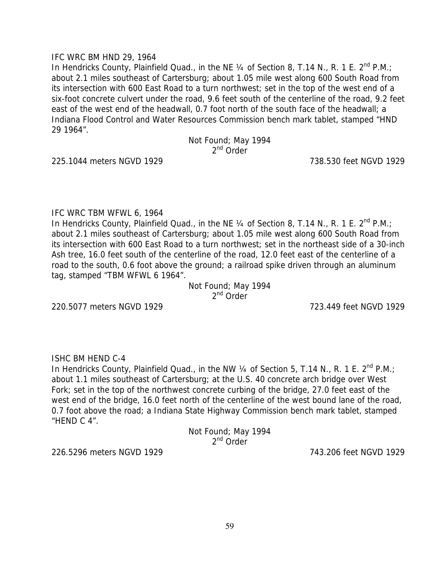## IFC WRC BM HND 29, 1964

In Hendricks County, Plainfield Quad., in the NE  $\frac{1}{4}$  of Section 8, T.14 N., R. 1 E. 2<sup>nd</sup> P.M.; about 2.1 miles southeast of Cartersburg; about 1.05 mile west along 600 South Road from its intersection with 600 East Road to a turn northwest; set in the top of the west end of a six-foot concrete culvert under the road, 9.6 feet south of the centerline of the road, 9.2 feet east of the west end of the headwall, 0.7 foot north of the south face of the headwall; a Indiana Flood Control and Water Resources Commission bench mark tablet, stamped "HND 29 1964".

#### Not Found; May 1994 2<sup>nd</sup> Order

225.1044 meters NGVD 1929 738.530 feet NGVD 1929

### IFC WRC TBM WFWL 6, 1964

In Hendricks County, Plainfield Quad., in the NE 1/4 of Section 8, T.14 N., R. 1 E. 2<sup>nd</sup> P.M.; about 2.1 miles southeast of Cartersburg; about 1.05 mile west along 600 South Road from its intersection with 600 East Road to a turn northwest; set in the northeast side of a 30-inch Ash tree, 16.0 feet south of the centerline of the road, 12.0 feet east of the centerline of a road to the south, 0.6 foot above the ground; a railroad spike driven through an aluminum tag, stamped "TBM WFWL 6 1964".

> Not Found; May 1994 2<sup>nd</sup> Order

220.5077 meters NGVD 1929 723.449 feet NGVD 1929

ISHC BM HEND C-4

In Hendricks County, Plainfield Quad., in the NW 1/4 of Section 5, T.14 N., R. 1 E. 2<sup>nd</sup> P.M.; about 1.1 miles southeast of Cartersburg; at the U.S. 40 concrete arch bridge over West Fork; set in the top of the northwest concrete curbing of the bridge, 27.0 feet east of the west end of the bridge, 16.0 feet north of the centerline of the west bound lane of the road, 0.7 foot above the road; a Indiana State Highway Commission bench mark tablet, stamped "HEND C 4".

Not Found; May 1994 2<sup>nd</sup> Order

226.5296 meters NGVD 1929 743.206 feet NGVD 1929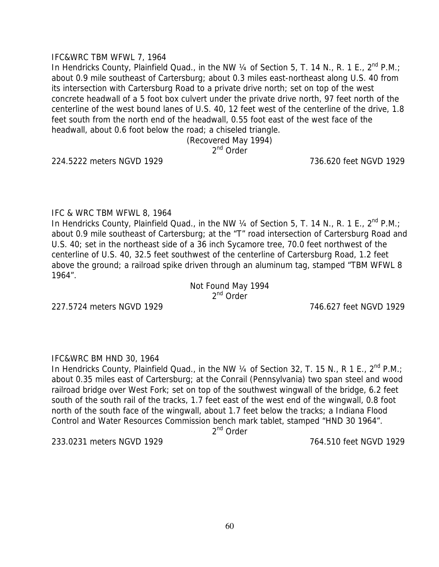## IFC&WRC TBM WFWL 7, 1964

In Hendricks County, Plainfield Quad., in the NW  $\frac{1}{4}$  of Section 5, T. 14 N., R. 1 E., 2<sup>nd</sup> P.M.; about 0.9 mile southeast of Cartersburg; about 0.3 miles east-northeast along U.S. 40 from its intersection with Cartersburg Road to a private drive north; set on top of the west concrete headwall of a 5 foot box culvert under the private drive north, 97 feet north of the centerline of the west bound lanes of U.S. 40, 12 feet west of the centerline of the drive, 1.8 feet south from the north end of the headwall, 0.55 foot east of the west face of the headwall, about 0.6 foot below the road; a chiseled triangle.

> (Recovered May 1994) 2<sup>nd</sup> Order

224.5222 meters NGVD 1929 736.620 feet NGVD 1929

### IFC & WRC TBM WFWL 8, 1964

In Hendricks County, Plainfield Quad., in the NW 1/4 of Section 5, T. 14 N., R. 1 E., 2<sup>nd</sup> P.M.; about 0.9 mile southeast of Cartersburg; at the "T" road intersection of Cartersburg Road and U.S. 40; set in the northeast side of a 36 inch Sycamore tree, 70.0 feet northwest of the centerline of U.S. 40, 32.5 feet southwest of the centerline of Cartersburg Road, 1.2 feet above the ground; a railroad spike driven through an aluminum tag, stamped "TBM WFWL 8 1964".

> Not Found May 1994 2<sup>nd</sup> Order

227.5724 meters NGVD 1929 746.627 feet NGVD 1929

### IFC&WRC BM HND 30, 1964

In Hendricks County, Plainfield Quad., in the NW 1/4 of Section 32, T. 15 N., R 1 E., 2<sup>nd</sup> P.M.; about 0.35 miles east of Cartersburg; at the Conrail (Pennsylvania) two span steel and wood railroad bridge over West Fork; set on top of the southwest wingwall of the bridge, 6.2 feet south of the south rail of the tracks, 1.7 feet east of the west end of the wingwall, 0.8 foot north of the south face of the wingwall, about 1.7 feet below the tracks; a Indiana Flood Control and Water Resources Commission bench mark tablet, stamped "HND 30 1964".

 $2<sup>nd</sup>$  Order

233.0231 meters NGVD 1929 764.510 feet NGVD 1929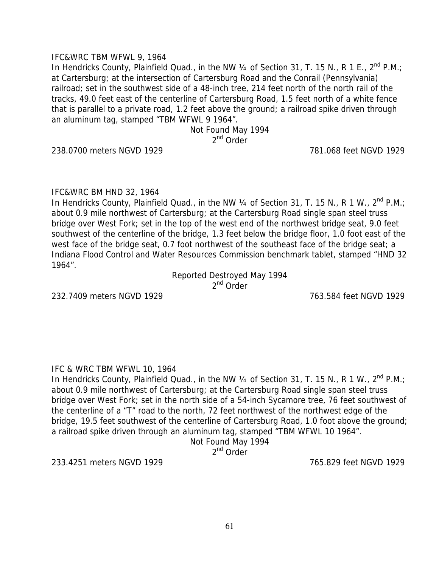## IFC&WRC TBM WFWL 9, 1964

In Hendricks County, Plainfield Quad., in the NW  $\frac{1}{4}$  of Section 31, T. 15 N., R 1 E., 2<sup>nd</sup> P.M.; at Cartersburg; at the intersection of Cartersburg Road and the Conrail (Pennsylvania) railroad; set in the southwest side of a 48-inch tree, 214 feet north of the north rail of the tracks, 49.0 feet east of the centerline of Cartersburg Road, 1.5 feet north of a white fence that is parallel to a private road, 1.2 feet above the ground; a railroad spike driven through an aluminum tag, stamped "TBM WFWL 9 1964".

> Not Found May 1994 2<sup>nd</sup> Order

238.0700 meters NGVD 1929 781.068 feet NGVD 1929

## IFC&WRC BM HND 32, 1964

In Hendricks County, Plainfield Quad., in the NW  $\frac{1}{4}$  of Section 31, T. 15 N., R 1 W.,  $2^{nd}$  P.M.; about 0.9 mile northwest of Cartersburg; at the Cartersburg Road single span steel truss bridge over West Fork; set in the top of the west end of the northwest bridge seat, 9.0 feet southwest of the centerline of the bridge, 1.3 feet below the bridge floor, 1.0 foot east of the west face of the bridge seat, 0.7 foot northwest of the southeast face of the bridge seat; a Indiana Flood Control and Water Resources Commission benchmark tablet, stamped "HND 32 1964".

> Reported Destroyed May 1994 2<sup>nd</sup> Order

232.7409 meters NGVD 1929 763.584 feet NGVD 1929

### IFC & WRC TBM WFWL 10, 1964

In Hendricks County, Plainfield Quad., in the NW  $\frac{1}{4}$  of Section 31, T. 15 N., R 1 W.,  $2^{nd}$  P.M.; about 0.9 mile northwest of Cartersburg; at the Cartersburg Road single span steel truss bridge over West Fork; set in the north side of a 54-inch Sycamore tree, 76 feet southwest of the centerline of a "T" road to the north, 72 feet northwest of the northwest edge of the bridge, 19.5 feet southwest of the centerline of Cartersburg Road, 1.0 foot above the ground; a railroad spike driven through an aluminum tag, stamped "TBM WFWL 10 1964".

# Not Found May 1994

2<sup>nd</sup> Order

233.4251 meters NGVD 1929 765.829 feet NGVD 1929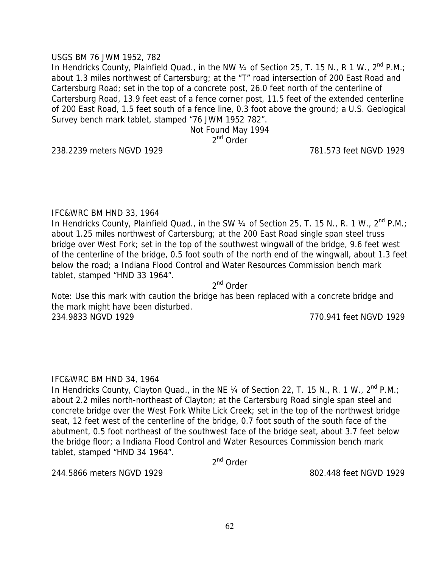## USGS BM 76 JWM 1952, 782

In Hendricks County, Plainfield Quad., in the NW  $\frac{1}{4}$  of Section 25, T. 15 N., R 1 W., 2<sup>nd</sup> P.M.; about 1.3 miles northwest of Cartersburg; at the "T" road intersection of 200 East Road and Cartersburg Road; set in the top of a concrete post, 26.0 feet north of the centerline of Cartersburg Road, 13.9 feet east of a fence corner post, 11.5 feet of the extended centerline of 200 East Road, 1.5 feet south of a fence line, 0.3 foot above the ground; a U.S. Geological Survey bench mark tablet, stamped "76 JWM 1952 782".

> Not Found May 1994 2<sup>nd</sup> Order

238.2239 meters NGVD 1929 781.573 feet NGVD 1929

## IFC&WRC BM HND 33, 1964

In Hendricks County, Plainfield Quad., in the SW 1/4 of Section 25, T. 15 N., R. 1 W., 2<sup>nd</sup> P.M.; about 1.25 miles northwest of Cartersburg; at the 200 East Road single span steel truss bridge over West Fork; set in the top of the southwest wingwall of the bridge, 9.6 feet west of the centerline of the bridge, 0.5 foot south of the north end of the wingwall, about 1.3 feet below the road; a Indiana Flood Control and Water Resources Commission bench mark tablet, stamped "HND 33 1964".

2nd Order

Note: Use this mark with caution the bridge has been replaced with a concrete bridge and the mark might have been disturbed. 234.9833 NGVD 1929 770.941 feet NGVD 1929

# IFC&WRC BM HND 34, 1964

In Hendricks County, Clayton Quad., in the NE  $\frac{1}{4}$  of Section 22, T. 15 N., R. 1 W.,  $2^{nd}$  P.M.; about 2.2 miles north-northeast of Clayton; at the Cartersburg Road single span steel and concrete bridge over the West Fork White Lick Creek; set in the top of the northwest bridge seat, 12 feet west of the centerline of the bridge, 0.7 foot south of the south face of the abutment, 0.5 foot northeast of the southwest face of the bridge seat, about 3.7 feet below the bridge floor; a Indiana Flood Control and Water Resources Commission bench mark tablet, stamped "HND 34 1964".

2<sup>nd</sup> Order

244.5866 meters NGVD 1929 802.448 feet NGVD 1929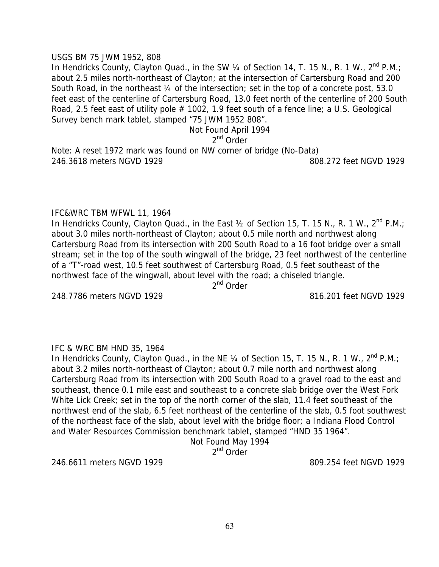#### USGS BM 75 JWM 1952, 808

In Hendricks County, Clayton Quad., in the SW 1/4 of Section 14, T. 15 N., R. 1 W., 2<sup>nd</sup> P.M.; about 2.5 miles north-northeast of Clayton; at the intersection of Cartersburg Road and 200 South Road, in the northeast 1/4 of the intersection; set in the top of a concrete post, 53.0 feet east of the centerline of Cartersburg Road, 13.0 feet north of the centerline of 200 South Road, 2.5 feet east of utility pole # 1002, 1.9 feet south of a fence line; a U.S. Geological Survey bench mark tablet, stamped "75 JWM 1952 808".

Not Found April 1994

2<sup>nd</sup> Order

Note: A reset 1972 mark was found on NW corner of bridge (No-Data) 246.3618 meters NGVD 1929 808.272 feet NGVD 1929

### IFC&WRC TBM WFWL 11, 1964

In Hendricks County, Clayton Quad., in the East  $\frac{1}{2}$  of Section 15, T. 15 N., R. 1 W.,  $2^{nd}$  P.M.; about 3.0 miles north-northeast of Clayton; about 0.5 mile north and northwest along Cartersburg Road from its intersection with 200 South Road to a 16 foot bridge over a small stream; set in the top of the south wingwall of the bridge, 23 feet northwest of the centerline of a "T"-road west, 10.5 feet southwest of Cartersburg Road, 0.5 feet southeast of the northwest face of the wingwall, about level with the road; a chiseled triangle.

2<sup>nd</sup> Order

248.7786 meters NGVD 1929 816.201 feet NGVD 1929

### IFC & WRC BM HND 35, 1964

In Hendricks County, Clayton Quad., in the NE  $\frac{1}{4}$  of Section 15, T. 15 N., R. 1 W.,  $2^{nd}$  P.M.; about 3.2 miles north-northeast of Clayton; about 0.7 mile north and northwest along Cartersburg Road from its intersection with 200 South Road to a gravel road to the east and southeast, thence 0.1 mile east and southeast to a concrete slab bridge over the West Fork White Lick Creek; set in the top of the north corner of the slab, 11.4 feet southeast of the northwest end of the slab, 6.5 feet northeast of the centerline of the slab, 0.5 foot southwest of the northeast face of the slab, about level with the bridge floor; a Indiana Flood Control and Water Resources Commission benchmark tablet, stamped "HND 35 1964".

# Not Found May 1994

2<sup>nd</sup> Order

246.6611 meters NGVD 1929 809.254 feet NGVD 1929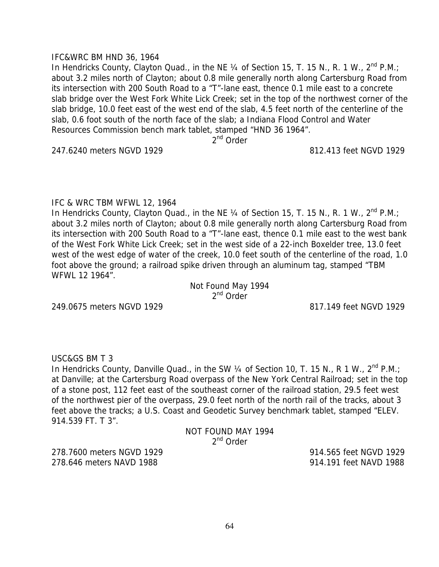## IFC&WRC BM HND 36, 1964

In Hendricks County, Clayton Quad., in the NE  $\frac{1}{4}$  of Section 15, T. 15 N., R. 1 W.,  $2^{nd}$  P.M.; about 3.2 miles north of Clayton; about 0.8 mile generally north along Cartersburg Road from its intersection with 200 South Road to a "T"-lane east, thence 0.1 mile east to a concrete slab bridge over the West Fork White Lick Creek; set in the top of the northwest corner of the slab bridge, 10.0 feet east of the west end of the slab, 4.5 feet north of the centerline of the slab, 0.6 foot south of the north face of the slab; a Indiana Flood Control and Water Resources Commission bench mark tablet, stamped "HND 36 1964".

2<sup>nd</sup> Order

247.6240 meters NGVD 1929 812.413 feet NGVD 1929

### IFC & WRC TBM WFWL 12, 1964

In Hendricks County, Clayton Quad., in the NE 1/4 of Section 15, T. 15 N., R. 1 W., 2<sup>nd</sup> P.M.; about 3.2 miles north of Clayton; about 0.8 mile generally north along Cartersburg Road from its intersection with 200 South Road to a "T"-lane east, thence 0.1 mile east to the west bank of the West Fork White Lick Creek; set in the west side of a 22-inch Boxelder tree, 13.0 feet west of the west edge of water of the creek, 10.0 feet south of the centerline of the road, 1.0 foot above the ground; a railroad spike driven through an aluminum tag, stamped "TBM WFWL 12 1964".

> Not Found May 1994 2<sup>nd</sup> Order

249.0675 meters NGVD 1929 817.149 feet NGVD 1929

USC&GS BM T 3

In Hendricks County, Danville Quad., in the SW 1/4 of Section 10, T. 15 N., R 1 W., 2<sup>nd</sup> P.M.; at Danville; at the Cartersburg Road overpass of the New York Central Railroad; set in the top of a stone post, 112 feet east of the southeast corner of the railroad station, 29.5 feet west of the northwest pier of the overpass, 29.0 feet north of the north rail of the tracks, about 3 feet above the tracks; a U.S. Coast and Geodetic Survey benchmark tablet, stamped "ELEV. 914.539 FT. T 3".

NOT FOUND MAY 1994 2nd Order

278.7600 meters NGVD 1929 914.565 feet NGVD 1929 278.646 meters NAVD 1988 914.191 feet NAVD 1988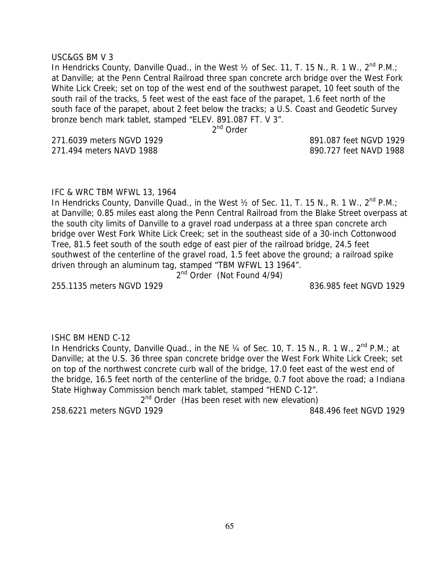#### USC&GS BM V 3

In Hendricks County, Danville Quad., in the West  $\frac{1}{2}$  of Sec. 11, T. 15 N., R. 1 W., 2<sup>nd</sup> P.M.; at Danville; at the Penn Central Railroad three span concrete arch bridge over the West Fork White Lick Creek; set on top of the west end of the southwest parapet, 10 feet south of the south rail of the tracks, 5 feet west of the east face of the parapet, 1.6 feet north of the south face of the parapet, about 2 feet below the tracks; a U.S. Coast and Geodetic Survey bronze bench mark tablet, stamped "ELEV. 891.087 FT. V 3".

2<sup>nd</sup> Order

271.6039 meters NGVD 1929 891.087 feet NGVD 1929 271.494 meters NAVD 1988 890.727 feet NAVD 1988

# IFC & WRC TBM WFWL 13, 1964

In Hendricks County, Danville Quad., in the West  $\frac{1}{2}$  of Sec. 11, T. 15 N., R. 1 W., 2<sup>nd</sup> P.M.; at Danville; 0.85 miles east along the Penn Central Railroad from the Blake Street overpass at the south city limits of Danville to a gravel road underpass at a three span concrete arch bridge over West Fork White Lick Creek; set in the southeast side of a 30-inch Cottonwood Tree, 81.5 feet south of the south edge of east pier of the railroad bridge, 24.5 feet southwest of the centerline of the gravel road, 1.5 feet above the ground; a railroad spike driven through an aluminum tag, stamped "TBM WFWL 13 1964".

2<sup>nd</sup> Order (Not Found 4/94)

255.1135 meters NGVD 1929 836.985 feet NGVD 1929

### ISHC BM HEND C-12

In Hendricks County, Danville Quad., in the NE  $\frac{1}{4}$  of Sec. 10, T. 15 N., R. 1 W., 2<sup>nd</sup> P.M.; at Danville; at the U.S. 36 three span concrete bridge over the West Fork White Lick Creek; set on top of the northwest concrete curb wall of the bridge, 17.0 feet east of the west end of the bridge, 16.5 feet north of the centerline of the bridge, 0.7 foot above the road; a Indiana State Highway Commission bench mark tablet, stamped "HEND C-12".

2<sup>nd</sup> Order (Has been reset with new elevation) 258.6221 meters NGVD 1929 848.496 feet NGVD 1929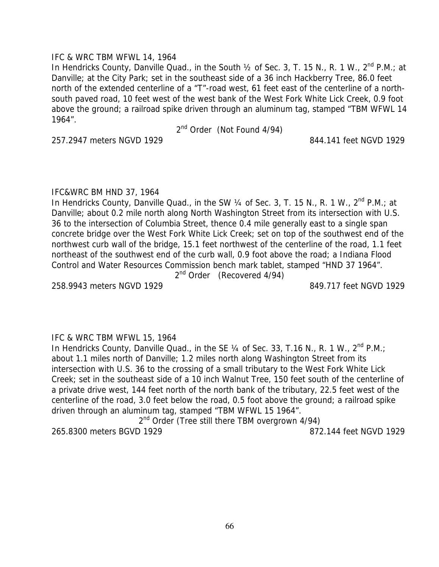## IFC & WRC TBM WFWL 14, 1964

In Hendricks County, Danville Quad., in the South  $\frac{1}{2}$  of Sec. 3, T. 15 N., R. 1 W., 2<sup>nd</sup> P.M.; at Danville; at the City Park; set in the southeast side of a 36 inch Hackberry Tree, 86.0 feet north of the extended centerline of a "T"-road west, 61 feet east of the centerline of a northsouth paved road, 10 feet west of the west bank of the West Fork White Lick Creek, 0.9 foot above the ground; a railroad spike driven through an aluminum tag, stamped "TBM WFWL 14 1964".

2<sup>nd</sup> Order (Not Found 4/94)

257.2947 meters NGVD 1929 844.141 feet NGVD 1929

## IFC&WRC BM HND 37, 1964

In Hendricks County, Danville Quad., in the SW  $\frac{1}{4}$  of Sec. 3, T. 15 N., R. 1 W.,  $2^{nd}$  P.M.; at Danville; about 0.2 mile north along North Washington Street from its intersection with U.S. 36 to the intersection of Columbia Street, thence 0.4 mile generally east to a single span concrete bridge over the West Fork White Lick Creek; set on top of the southwest end of the northwest curb wall of the bridge, 15.1 feet northwest of the centerline of the road, 1.1 feet northeast of the southwest end of the curb wall, 0.9 foot above the road; a Indiana Flood Control and Water Resources Commission bench mark tablet, stamped "HND 37 1964".

2<sup>nd</sup> Order (Recovered 4/94)

258.9943 meters NGVD 1929 849.717 feet NGVD 1929

# IFC & WRC TBM WFWL 15, 1964

In Hendricks County, Danville Quad., in the SE  $\frac{1}{4}$  of Sec. 33, T.16 N., R. 1 W.,  $2^{nd}$  P.M.; about 1.1 miles north of Danville; 1.2 miles north along Washington Street from its intersection with U.S. 36 to the crossing of a small tributary to the West Fork White Lick Creek; set in the southeast side of a 10 inch Walnut Tree, 150 feet south of the centerline of a private drive west, 144 feet north of the north bank of the tributary, 22.5 feet west of the centerline of the road, 3.0 feet below the road, 0.5 foot above the ground; a railroad spike driven through an aluminum tag, stamped "TBM WFWL 15 1964".

2<sup>nd</sup> Order (Tree still there TBM overgrown 4/94) 265.8300 meters BGVD 1929 872.144 feet NGVD 1929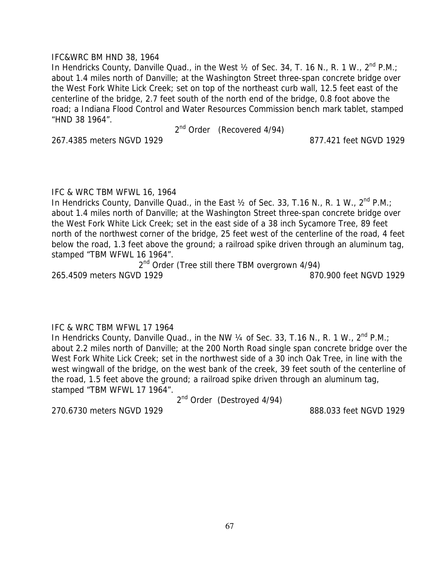## IFC&WRC BM HND 38, 1964

In Hendricks County, Danville Quad., in the West  $\frac{1}{2}$  of Sec. 34, T. 16 N., R. 1 W., 2<sup>nd</sup> P.M.; about 1.4 miles north of Danville; at the Washington Street three-span concrete bridge over the West Fork White Lick Creek; set on top of the northeast curb wall, 12.5 feet east of the centerline of the bridge, 2.7 feet south of the north end of the bridge, 0.8 foot above the road; a Indiana Flood Control and Water Resources Commission bench mark tablet, stamped "HND 38 1964".

2<sup>nd</sup> Order (Recovered 4/94)

267.4385 meters NGVD 1929 877.421 feet NGVD 1929

IFC & WRC TBM WFWL 16, 1964

In Hendricks County, Danville Quad., in the East  $\frac{1}{2}$  of Sec. 33, T.16 N., R. 1 W.,  $2^{nd}$  P.M.; about 1.4 miles north of Danville; at the Washington Street three-span concrete bridge over the West Fork White Lick Creek; set in the east side of a 38 inch Sycamore Tree, 89 feet north of the northwest corner of the bridge, 25 feet west of the centerline of the road, 4 feet below the road, 1.3 feet above the ground; a railroad spike driven through an aluminum tag, stamped "TBM WFWL 16 1964".

2<sup>nd</sup> Order (Tree still there TBM overgrown 4/94) 265.4509 meters NGVD 1929 870.900 feet NGVD 1929

# IFC & WRC TBM WFWL 17 1964

In Hendricks County, Danville Quad., in the NW  $\frac{1}{4}$  of Sec. 33, T.16 N., R. 1 W.,  $2^{nd}$  P.M.; about 2.2 miles north of Danville; at the 200 North Road single span concrete bridge over the West Fork White Lick Creek; set in the northwest side of a 30 inch Oak Tree, in line with the west wingwall of the bridge, on the west bank of the creek, 39 feet south of the centerline of the road, 1.5 feet above the ground; a railroad spike driven through an aluminum tag, stamped "TBM WFWL 17 1964".

2<sup>nd</sup> Order (Destroyed 4/94)

270.6730 meters NGVD 1929 888.033 feet NGVD 1929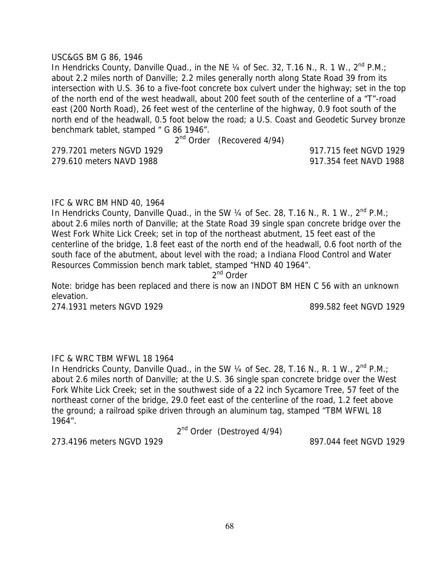#### USC&GS BM G 86, 1946

In Hendricks County, Danville Quad., in the NE  $\frac{1}{4}$  of Sec. 32, T.16 N., R. 1 W., 2<sup>nd</sup> P.M.; about 2.2 miles north of Danville; 2.2 miles generally north along State Road 39 from its intersection with U.S. 36 to a five-foot concrete box culvert under the highway; set in the top of the north end of the west headwall, about 200 feet south of the centerline of a "T"-road east (200 North Road), 26 feet west of the centerline of the highway, 0.9 foot south of the north end of the headwall, 0.5 foot below the road; a U.S. Coast and Geodetic Survey bronze benchmark tablet, stamped " G 86 1946".

2<sup>nd</sup> Order (Recovered 4/94)

279.7201 meters NGVD 1929 917.715 feet NGVD 1929 279.610 meters NAVD 1988 917.354 feet NAVD 1988

### IFC & WRC BM HND 40, 1964

In Hendricks County, Danville Quad., in the SW  $\frac{1}{4}$  of Sec. 28, T.16 N., R. 1 W., 2<sup>nd</sup> P.M.; about 2.6 miles north of Danville; at the State Road 39 single span concrete bridge over the West Fork White Lick Creek; set in top of the northeast abutment, 15 feet east of the centerline of the bridge, 1.8 feet east of the north end of the headwall, 0.6 foot north of the south face of the abutment, about level with the road; a Indiana Flood Control and Water Resources Commission bench mark tablet, stamped "HND 40 1964".

2<sup>nd</sup> Order

Note: bridge has been replaced and there is now an INDOT BM HEN C 56 with an unknown elevation.

274.1931 meters NGVD 1929 899.582 feet NGVD 1929

# IFC & WRC TBM WFWL 18 1964

In Hendricks County, Danville Quad., in the SW 1/4 of Sec. 28, T.16 N., R. 1 W., 2<sup>nd</sup> P.M.; about 2.6 miles north of Danville; at the U.S. 36 single span concrete bridge over the West Fork White Lick Creek; set in the southwest side of a 22 inch Sycamore Tree, 57 feet of the northeast corner of the bridge, 29.0 feet east of the centerline of the road, 1.2 feet above the ground; a railroad spike driven through an aluminum tag, stamped "TBM WFWL 18 1964".

2<sup>nd</sup> Order (Destroyed 4/94)

273.4196 meters NGVD 1929 897.044 feet NGVD 1929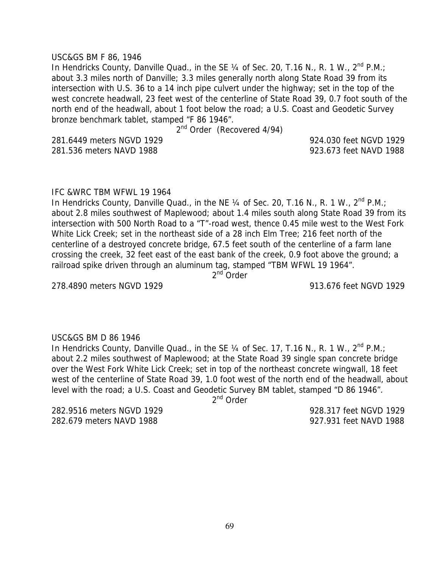USC&GS BM F 86, 1946

In Hendricks County, Danville Quad., in the SE  $\frac{1}{4}$  of Sec. 20, T.16 N., R. 1 W.,  $2^{nd}$  P.M.; about 3.3 miles north of Danville; 3.3 miles generally north along State Road 39 from its intersection with U.S. 36 to a 14 inch pipe culvert under the highway; set in the top of the west concrete headwall, 23 feet west of the centerline of State Road 39, 0.7 foot south of the north end of the headwall, about 1 foot below the road; a U.S. Coast and Geodetic Survey bronze benchmark tablet, stamped "F 86 1946".

2<sup>nd</sup> Order (Recovered 4/94)

281.6449 meters NGVD 1929 924.030 feet NGVD 1929 281.536 meters NAVD 1988 923.673 feet NAVD 1988

### IFC &WRC TBM WFWL 19 1964

In Hendricks County, Danville Quad., in the NE  $\frac{1}{4}$  of Sec. 20, T.16 N., R. 1 W.,  $2^{nd}$  P.M.; about 2.8 miles southwest of Maplewood; about 1.4 miles south along State Road 39 from its intersection with 500 North Road to a "T"-road west, thence 0.45 mile west to the West Fork White Lick Creek; set in the northeast side of a 28 inch Elm Tree; 216 feet north of the centerline of a destroyed concrete bridge, 67.5 feet south of the centerline of a farm lane crossing the creek, 32 feet east of the east bank of the creek, 0.9 foot above the ground; a railroad spike driven through an aluminum tag, stamped "TBM WFWL 19 1964".

2<sup>nd</sup> Order

278.4890 meters NGVD 1929 913.676 feet NGVD 1929

USC&GS BM D 86 1946 In Hendricks County, Danville Quad., in the SE  $\frac{1}{4}$  of Sec. 17, T.16 N., R. 1 W.,  $2^{nd}$  P.M.; about 2.2 miles southwest of Maplewood; at the State Road 39 single span concrete bridge over the West Fork White Lick Creek; set in top of the northeast concrete wingwall, 18 feet west of the centerline of State Road 39, 1.0 foot west of the north end of the headwall, about level with the road; a U.S. Coast and Geodetic Survey BM tablet, stamped "D 86 1946".

 $2<sup>nd</sup>$  Order

282.9516 meters NGVD 1929 928.317 feet NGVD 1929 282.679 meters NAVD 1988 927.931 feet NAVD 1988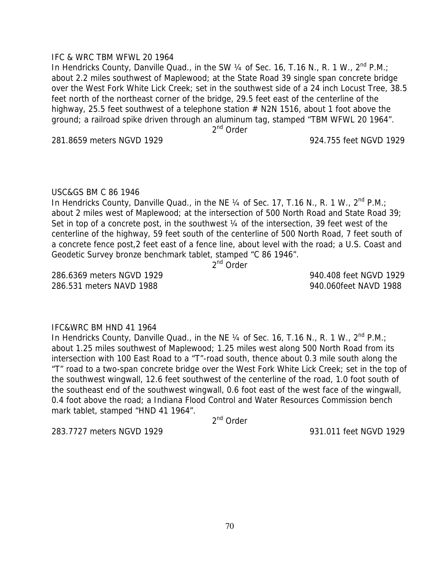## IFC & WRC TBM WFWL 20 1964

In Hendricks County, Danville Quad., in the SW 1/4 of Sec. 16, T.16 N., R. 1 W., 2<sup>nd</sup> P.M.; about 2.2 miles southwest of Maplewood; at the State Road 39 single span concrete bridge over the West Fork White Lick Creek; set in the southwest side of a 24 inch Locust Tree, 38.5 feet north of the northeast corner of the bridge, 29.5 feet east of the centerline of the highway, 25.5 feet southwest of a telephone station  $#$  N2N 1516, about 1 foot above the ground; a railroad spike driven through an aluminum tag, stamped "TBM WFWL 20 1964".

2<sup>nd</sup> Order

281.8659 meters NGVD 1929 924.755 feet NGVD 1929

### USC&GS BM C 86 1946

In Hendricks County, Danville Quad., in the NE  $\frac{1}{4}$  of Sec. 17, T.16 N., R. 1 W.,  $2^{nd}$  P.M.; about 2 miles west of Maplewood; at the intersection of 500 North Road and State Road 39; Set in top of a concrete post, in the southwest 1/4 of the intersection, 39 feet west of the centerline of the highway, 59 feet south of the centerline of 500 North Road, 7 feet south of a concrete fence post,2 feet east of a fence line, about level with the road; a U.S. Coast and Geodetic Survey bronze benchmark tablet, stamped "C 86 1946".

2<sup>nd</sup> Order

286.6369 meters NGVD 1929 940.408 feet NGVD 1929 286.531 meters NAVD 1988 940.060feet NAVD 1988

# IFC&WRC BM HND 41 1964

In Hendricks County, Danville Quad., in the NE 1/4 of Sec. 16, T.16 N., R. 1 W., 2<sup>nd</sup> P.M.; about 1.25 miles southwest of Maplewood; 1.25 miles west along 500 North Road from its intersection with 100 East Road to a "T"-road south, thence about 0.3 mile south along the "T" road to a two-span concrete bridge over the West Fork White Lick Creek; set in the top of the southwest wingwall, 12.6 feet southwest of the centerline of the road, 1.0 foot south of the southeast end of the southwest wingwall, 0.6 foot east of the west face of the wingwall, 0.4 foot above the road; a Indiana Flood Control and Water Resources Commission bench mark tablet, stamped "HND 41 1964".

2<sup>nd</sup> Order

283.7727 meters NGVD 1929 931.011 feet NGVD 1929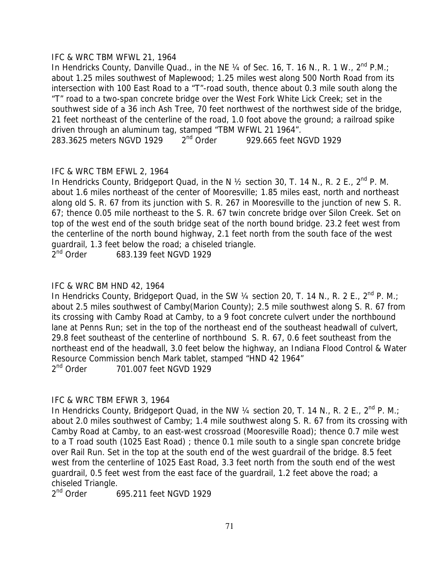## IFC & WRC TBM WFWL 21, 1964

In Hendricks County, Danville Quad., in the NE 1/4 of Sec. 16, T. 16 N., R. 1 W., 2<sup>nd</sup> P.M.: about 1.25 miles southwest of Maplewood; 1.25 miles west along 500 North Road from its intersection with 100 East Road to a "T"-road south, thence about 0.3 mile south along the "T" road to a two-span concrete bridge over the West Fork White Lick Creek; set in the southwest side of a 36 inch Ash Tree, 70 feet northwest of the northwest side of the bridge, 21 feet northeast of the centerline of the road, 1.0 foot above the ground; a railroad spike driven through an aluminum tag, stamped "TBM WFWL 21 1964". 283.3625 meters NGVD 1929 2<sup>nd</sup> Order 929.665 feet NGVD 1929

# IFC & WRC TBM EFWL 2, 1964

In Hendricks County, Bridgeport Quad, in the N  $\frac{1}{2}$  section 30, T. 14 N., R. 2 E., 2<sup>nd</sup> P. M. about 1.6 miles northeast of the center of Mooresville; 1.85 miles east, north and northeast along old S. R. 67 from its junction with S. R. 267 in Mooresville to the junction of new S. R. 67; thence 0.05 mile northeast to the S. R. 67 twin concrete bridge over Silon Creek. Set on top of the west end of the south bridge seat of the north bound bridge. 23.2 feet west from the centerline of the north bound highway, 2.1 feet north from the south face of the west guardrail, 1.3 feet below the road; a chiseled triangle.

2<sup>nd</sup> Order 683.139 feet NGVD 1929

## IFC & WRC BM HND 42, 1964

In Hendricks County, Bridgeport Quad, in the SW  $\frac{1}{4}$  section 20, T. 14 N., R. 2 E., 2<sup>nd</sup> P. M.; about 2.5 miles southwest of Camby(Marion County); 2.5 mile southwest along S. R. 67 from its crossing with Camby Road at Camby, to a 9 foot concrete culvert under the northbound lane at Penns Run; set in the top of the northeast end of the southeast headwall of culvert, 29.8 feet southeast of the centerline of northbound S. R. 67, 0.6 feet southeast from the northeast end of the headwall, 3.0 feet below the highway, an Indiana Flood Control & Water Resource Commission bench Mark tablet, stamped "HND 42 1964"<br>2<sup>nd</sup> Order 201.007 feet NGVD 1929

701.007 feet NGVD 1929

# IFC & WRC TBM EFWR 3, 1964

In Hendricks County, Bridgeport Quad, in the NW  $\frac{1}{4}$  section 20, T. 14 N., R. 2 E., 2<sup>nd</sup> P. M.; about 2.0 miles southwest of Camby; 1.4 mile southwest along S. R. 67 from its crossing with Camby Road at Camby, to an east-west crossroad (Mooresville Road); thence 0.7 mile west to a T road south (1025 East Road) ; thence 0.1 mile south to a single span concrete bridge over Rail Run. Set in the top at the south end of the west guardrail of the bridge. 8.5 feet west from the centerline of 1025 East Road, 3.3 feet north from the south end of the west guardrail, 0.5 feet west from the east face of the guardrail, 1.2 feet above the road; a chiseled Triangle.

2<sup>nd</sup> Order 695.211 feet NGVD 1929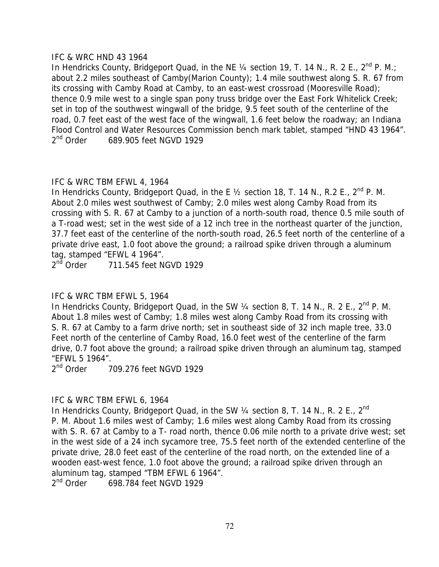## IFC & WRC HND 43 1964

In Hendricks County, Bridgeport Quad, in the NE 1/4 section 19, T. 14 N., R. 2 E., 2<sup>nd</sup> P. M.: about 2.2 miles southeast of Camby(Marion County); 1.4 mile southwest along S. R. 67 from its crossing with Camby Road at Camby, to an east-west crossroad (Mooresville Road); thence 0.9 mile west to a single span pony truss bridge over the East Fork Whitelick Creek; set in top of the southwest wingwall of the bridge, 9.5 feet south of the centerline of the road, 0.7 feet east of the west face of the wingwall, 1.6 feet below the roadway; an Indiana Flood Control and Water Resources Commission bench mark tablet, stamped "HND 43 1964". 2<sup>nd</sup> Order 689.905 feet NGVD 1929

# IFC & WRC TBM EFWL 4, 1964

In Hendricks County, Bridgeport Quad, in the E 1/2 section 18, T. 14 N., R.2 E., 2<sup>nd</sup> P. M. About 2.0 miles west southwest of Camby; 2.0 miles west along Camby Road from its crossing with S. R. 67 at Camby to a junction of a north-south road, thence 0.5 mile south of a T-road west; set in the west side of a 12 inch tree in the northeast quarter of the junction, 37.7 feet east of the centerline of the north-south road, 26.5 feet north of the centerline of a private drive east, 1.0 foot above the ground; a railroad spike driven through a aluminum tag, stamped "EFWL 4 1964".

 $2<sup>nd</sup>$  Order  $711.545$  feet NGVD 1929

# IFC & WRC TBM EFWL 5, 1964

In Hendricks County, Bridgeport Quad, in the SW  $\frac{1}{4}$  section 8, T. 14 N., R. 2 E., 2<sup>nd</sup> P. M. About 1.8 miles west of Camby; 1.8 miles west along Camby Road from its crossing with S. R. 67 at Camby to a farm drive north; set in southeast side of 32 inch maple tree, 33.0 Feet north of the centerline of Camby Road, 16.0 feet west of the centerline of the farm drive, 0.7 foot above the ground; a railroad spike driven through an aluminum tag, stamped "EFWL 5 1964".<br> $2^{nd}$  Order 7

2nd Order 709.276 feet NGVD 1929

# IFC & WRC TBM EFWL 6, 1964

In Hendricks County, Bridgeport Quad, in the SW 1/4 section 8, T. 14 N., R. 2 E., 2<sup>nd</sup> P. M. About 1.6 miles west of Camby; 1.6 miles west along Camby Road from its crossing with S. R. 67 at Camby to a T- road north, thence 0.06 mile north to a private drive west; set in the west side of a 24 inch sycamore tree, 75.5 feet north of the extended centerline of the private drive, 28.0 feet east of the centerline of the road north, on the extended line of a wooden east-west fence, 1.0 foot above the ground; a railroad spike driven through an aluminum tag, stamped "TBM EFWL 6 1964".

2<sup>nd</sup> Order 698.784 feet NGVD 1929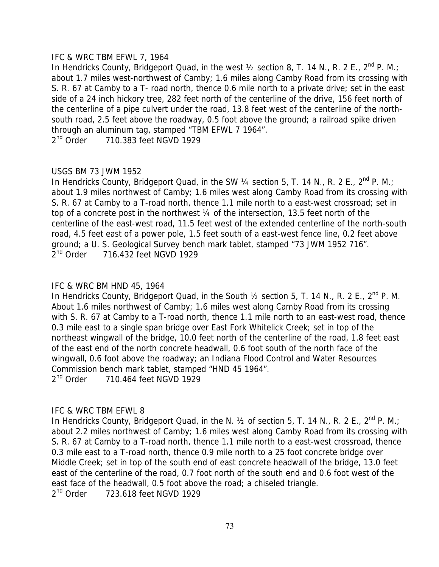## IFC & WRC TBM EFWL 7, 1964

In Hendricks County, Bridgeport Quad, in the west  $\frac{1}{2}$  section 8, T. 14 N., R. 2 E., 2<sup>nd</sup> P. M.; about 1.7 miles west-northwest of Camby; 1.6 miles along Camby Road from its crossing with S. R. 67 at Camby to a T- road north, thence 0.6 mile north to a private drive; set in the east side of a 24 inch hickory tree, 282 feet north of the centerline of the drive, 156 feet north of the centerline of a pipe culvert under the road, 13.8 feet west of the centerline of the northsouth road, 2.5 feet above the roadway, 0.5 foot above the ground; a railroad spike driven through an aluminum tag, stamped "TBM EFWL 7 1964". 2<sup>nd</sup> Order 710.383 feet NGVD 1929

## USGS BM 73 JWM 1952

In Hendricks County, Bridgeport Quad, in the SW  $\frac{1}{4}$  section 5, T. 14 N., R. 2 E., 2<sup>nd</sup> P. M.; about 1.9 miles northwest of Camby; 1.6 miles west along Camby Road from its crossing with S. R. 67 at Camby to a T-road north, thence 1.1 mile north to a east-west crossroad; set in top of a concrete post in the northwest ¼ of the intersection, 13.5 feet north of the centerline of the east-west road, 11.5 feet west of the extended centerline of the north-south road, 4.5 feet east of a power pole, 1.5 feet south of a east-west fence line, 0.2 feet above ground; a U. S. Geological Survey bench mark tablet, stamped "73 JWM 1952 716". 2<sup>nd</sup> Order 716.432 feet NGVD 1929

## IFC & WRC BM HND 45, 1964

In Hendricks County, Bridgeport Quad, in the South  $\frac{1}{2}$  section 5, T. 14 N., R. 2 E., 2<sup>nd</sup> P. M. About 1.6 miles northwest of Camby; 1.6 miles west along Camby Road from its crossing with S. R. 67 at Camby to a T-road north, thence 1.1 mile north to an east-west road, thence 0.3 mile east to a single span bridge over East Fork Whitelick Creek; set in top of the northeast wingwall of the bridge, 10.0 feet north of the centerline of the road, 1.8 feet east of the east end of the north concrete headwall, 0.6 foot south of the north face of the wingwall, 0.6 foot above the roadway; an Indiana Flood Control and Water Resources Commission bench mark tablet, stamped "HND 45 1964". 2<sup>nd</sup> Order 710.464 feet NGVD 1929

## IFC & WRC TBM EFWL 8

In Hendricks County, Bridgeport Quad, in the N.  $\frac{1}{2}$  of section 5, T. 14 N., R. 2 E.,  $2^{nd}$  P. M.; about 2.2 miles northwest of Camby; 1.6 miles west along Camby Road from its crossing with S. R. 67 at Camby to a T-road north, thence 1.1 mile north to a east-west crossroad, thence 0.3 mile east to a T-road north, thence 0.9 mile north to a 25 foot concrete bridge over Middle Creek; set in top of the south end of east concrete headwall of the bridge, 13.0 feet east of the centerline of the road, 0.7 foot north of the south end and 0.6 foot west of the east face of the headwall, 0.5 foot above the road; a chiseled triangle. 2<sup>nd</sup> Order 723.618 feet NGVD 1929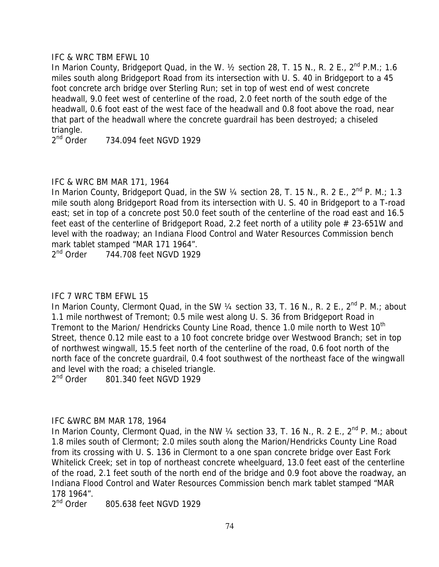## IFC & WRC TBM EFWL 10

In Marion County, Bridgeport Quad, in the W.  $\frac{1}{2}$  section 28, T. 15 N., R. 2 E.,  $2^{nd}$  P.M.; 1.6 miles south along Bridgeport Road from its intersection with U. S. 40 in Bridgeport to a 45 foot concrete arch bridge over Sterling Run; set in top of west end of west concrete headwall, 9.0 feet west of centerline of the road, 2.0 feet north of the south edge of the headwall, 0.6 foot east of the west face of the headwall and 0.8 foot above the road, near that part of the headwall where the concrete guardrail has been destroyed; a chiseled triangle.

2<sup>nd</sup> Order 734.094 feet NGVD 1929

# IFC & WRC BM MAR 171, 1964

In Marion County, Bridgeport Quad, in the SW 1/4 section 28, T. 15 N., R. 2 E., 2<sup>nd</sup> P. M.; 1.3 mile south along Bridgeport Road from its intersection with U. S. 40 in Bridgeport to a T-road east; set in top of a concrete post 50.0 feet south of the centerline of the road east and 16.5 feet east of the centerline of Bridgeport Road, 2.2 feet north of a utility pole # 23-651W and level with the roadway; an Indiana Flood Control and Water Resources Commission bench mark tablet stamped "MAR 171 1964".

2<sup>nd</sup> Order 744.708 feet NGVD 1929

# IFC 7 WRC TBM EFWL 15

In Marion County, Clermont Quad, in the SW 1/4 section 33, T. 16 N., R. 2 E., 2<sup>nd</sup> P. M.; about 1.1 mile northwest of Tremont; 0.5 mile west along U. S. 36 from Bridgeport Road in Tremont to the Marion/ Hendricks County Line Road, thence 1.0 mile north to West 10<sup>th</sup> Street, thence 0.12 mile east to a 10 foot concrete bridge over Westwood Branch; set in top of northwest wingwall, 15.5 feet north of the centerline of the road, 0.6 foot north of the north face of the concrete guardrail, 0.4 foot southwest of the northeast face of the wingwall and level with the road; a chiseled triangle.

2<sup>nd</sup> Order 801.340 feet NGVD 1929

# IFC &WRC BM MAR 178, 1964

In Marion County, Clermont Quad, in the NW  $\frac{1}{4}$  section 33, T. 16 N., R. 2 E., 2<sup>nd</sup> P. M.; about 1.8 miles south of Clermont; 2.0 miles south along the Marion/Hendricks County Line Road from its crossing with U. S. 136 in Clermont to a one span concrete bridge over East Fork Whitelick Creek; set in top of northeast concrete wheelguard, 13.0 feet east of the centerline of the road, 2.1 feet south of the north end of the bridge and 0.9 foot above the roadway, an Indiana Flood Control and Water Resources Commission bench mark tablet stamped "MAR 178 1964".

2<sup>nd</sup> Order 805.638 feet NGVD 1929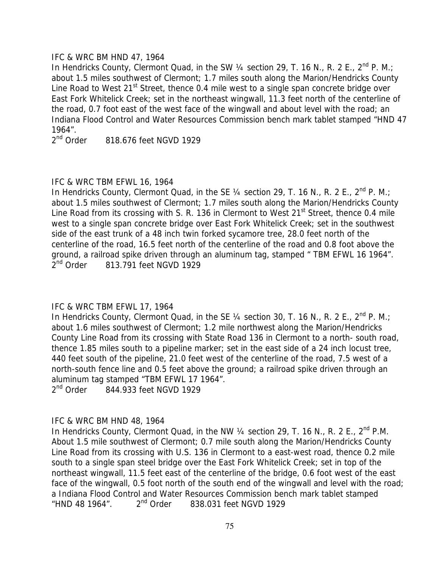## IFC & WRC BM HND 47, 1964

In Hendricks County, Clermont Quad, in the SW  $\frac{1}{4}$  section 29, T. 16 N., R. 2 E., 2<sup>nd</sup> P. M.; about 1.5 miles southwest of Clermont; 1.7 miles south along the Marion/Hendricks County Line Road to West 21<sup>st</sup> Street, thence 0.4 mile west to a single span concrete bridge over East Fork Whitelick Creek; set in the northeast wingwall, 11.3 feet north of the centerline of the road, 0.7 foot east of the west face of the wingwall and about level with the road; an Indiana Flood Control and Water Resources Commission bench mark tablet stamped "HND 47 1964".

 $2<sup>nd</sup>$  Order  $818.676$  feet NGVD 1929

## IFC & WRC TBM EFWL 16, 1964

In Hendricks County, Clermont Quad, in the SE  $\frac{1}{4}$  section 29, T. 16 N., R. 2 E., 2<sup>nd</sup> P. M.; about 1.5 miles southwest of Clermont; 1.7 miles south along the Marion/Hendricks County Line Road from its crossing with S. R. 136 in Clermont to West  $21<sup>st</sup>$  Street, thence 0.4 mile west to a single span concrete bridge over East Fork Whitelick Creek; set in the southwest side of the east trunk of a 48 inch twin forked sycamore tree, 28.0 feet north of the centerline of the road, 16.5 feet north of the centerline of the road and 0.8 foot above the ground, a railroad spike driven through an aluminum tag, stamped " TBM EFWL 16 1964". 2<sup>nd</sup> Order 813.791 feet NGVD 1929

# IFC & WRC TBM EFWL 17, 1964

In Hendricks County, Clermont Quad, in the SE  $\frac{1}{4}$  section 30, T. 16 N., R. 2 E., 2<sup>nd</sup> P. M.; about 1.6 miles southwest of Clermont; 1.2 mile northwest along the Marion/Hendricks County Line Road from its crossing with State Road 136 in Clermont to a north- south road, thence 1.85 miles south to a pipeline marker; set in the east side of a 24 inch locust tree, 440 feet south of the pipeline, 21.0 feet west of the centerline of the road, 7.5 west of a north-south fence line and 0.5 feet above the ground; a railroad spike driven through an aluminum tag stamped "TBM EFWL 17 1964".

2<sup>nd</sup> Order 844.933 feet NGVD 1929

# IFC & WRC BM HND 48, 1964

In Hendricks County, Clermont Quad, in the NW 1/4 section 29, T. 16 N., R. 2 E., 2<sup>nd</sup> P.M. About 1.5 mile southwest of Clermont; 0.7 mile south along the Marion/Hendricks County Line Road from its crossing with U.S. 136 in Clermont to a east-west road, thence 0.2 mile south to a single span steel bridge over the East Fork Whitelick Creek; set in top of the northeast wingwall, 11.5 feet east of the centerline of the bridge, 0.6 foot west of the east face of the wingwall, 0.5 foot north of the south end of the wingwall and level with the road; a Indiana Flood Control and Water Resources Commission bench mark tablet stamped "HND 48 1964".  $2^{nd}$  Order 838.031 feet NGVD 1929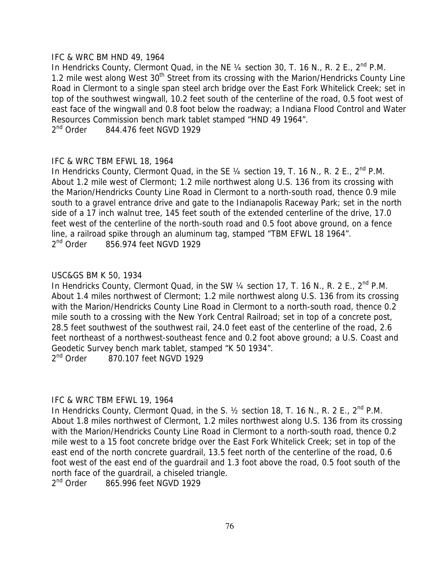## IFC & WRC BM HND 49, 1964

In Hendricks County, Clermont Quad, in the NE  $\frac{1}{4}$  section 30, T. 16 N., R. 2 E.,  $2^{nd}$  P.M. 1.2 mile west along West 30<sup>th</sup> Street from its crossing with the Marion/Hendricks County Line Road in Clermont to a single span steel arch bridge over the East Fork Whitelick Creek; set in top of the southwest wingwall, 10.2 feet south of the centerline of the road, 0.5 foot west of east face of the wingwall and 0.8 foot below the roadway; a Indiana Flood Control and Water Resources Commission bench mark tablet stamped "HND 49 1964".

2<sup>nd</sup> Order 844.476 feet NGVD 1929

# IFC & WRC TBM EFWL 18, 1964

In Hendricks County, Clermont Quad, in the SE  $\frac{1}{4}$  section 19, T. 16 N., R. 2 E.,  $2^{nd}$  P.M. About 1.2 mile west of Clermont; 1.2 mile northwest along U.S. 136 from its crossing with the Marion/Hendricks County Line Road in Clermont to a north-south road, thence 0.9 mile south to a gravel entrance drive and gate to the Indianapolis Raceway Park; set in the north side of a 17 inch walnut tree, 145 feet south of the extended centerline of the drive, 17.0 feet west of the centerline of the north-south road and 0.5 foot above ground, on a fence line, a railroad spike through an aluminum tag, stamped "TBM EFWL 18 1964".  $2<sup>nd</sup>$  Order  $856.974$  feet NGVD 1929

## USC&GS BM K 50, 1934

In Hendricks County, Clermont Quad, in the SW  $\frac{1}{4}$  section 17, T. 16 N., R. 2 E.,  $2^{nd}$  P.M. About 1.4 miles northwest of Clermont; 1.2 mile northwest along U.S. 136 from its crossing with the Marion/Hendricks County Line Road in Clermont to a north-south road, thence 0.2 mile south to a crossing with the New York Central Railroad; set in top of a concrete post, 28.5 feet southwest of the southwest rail, 24.0 feet east of the centerline of the road, 2.6 feet northeast of a northwest-southeast fence and 0.2 foot above ground; a U.S. Coast and Geodetic Survey bench mark tablet, stamped "K 50 1934".  $2<sup>nd</sup>$  Order  $870.107$  feet NGVD 1929

# IFC & WRC TBM EFWL 19, 1964

In Hendricks County, Clermont Quad, in the S.  $\frac{1}{2}$  section 18, T. 16 N., R. 2 E.,  $2^{nd}$  P.M. About 1.8 miles northwest of Clermont, 1.2 miles northwest along U.S. 136 from its crossing with the Marion/Hendricks County Line Road in Clermont to a north-south road, thence 0.2 mile west to a 15 foot concrete bridge over the East Fork Whitelick Creek; set in top of the east end of the north concrete guardrail, 13.5 feet north of the centerline of the road, 0.6 foot west of the east end of the guardrail and 1.3 foot above the road, 0.5 foot south of the north face of the guardrail, a chiseled triangle.<br> $2<sup>nd</sup> Order 865.996 feet NGVD 1929$ 

865.996 feet NGVD 1929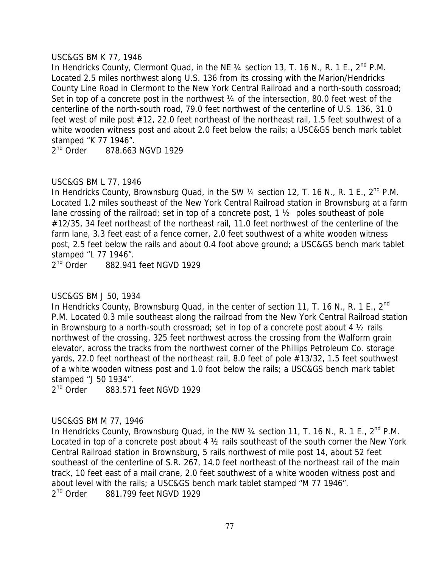## USC&GS BM K 77, 1946

In Hendricks County, Clermont Quad, in the NE  $\frac{1}{4}$  section 13, T. 16 N., R. 1 E.,  $2^{nd}$  P.M. Located 2.5 miles northwest along U.S. 136 from its crossing with the Marion/Hendricks County Line Road in Clermont to the New York Central Railroad and a north-south cossroad; Set in top of a concrete post in the northwest  $\frac{1}{4}$  of the intersection, 80.0 feet west of the centerline of the north-south road, 79.0 feet northwest of the centerline of U.S. 136, 31.0 feet west of mile post #12, 22.0 feet northeast of the northeast rail, 1.5 feet southwest of a white wooden witness post and about 2.0 feet below the rails; a USC&GS bench mark tablet stamped "K 77 1946".

2<sup>nd</sup> Order 878.663 NGVD 1929

# USC&GS BM L 77, 1946

In Hendricks County, Brownsburg Quad, in the SW  $\frac{1}{4}$  section 12, T. 16 N., R. 1 E.,  $2^{nd}$  P.M. Located 1.2 miles southeast of the New York Central Railroad station in Brownsburg at a farm lane crossing of the railroad; set in top of a concrete post, 1 ½ poles southeast of pole #12/35, 34 feet northeast of the northeast rail, 11.0 feet northwest of the centerline of the farm lane, 3.3 feet east of a fence corner, 2.0 feet southwest of a white wooden witness post, 2.5 feet below the rails and about 0.4 foot above ground; a USC&GS bench mark tablet stamped "L 77 1946".

2<sup>nd</sup> Order 882,941 feet NGVD 1929

# USC&GS BM J 50, 1934

In Hendricks County, Brownsburg Quad, in the center of section 11, T. 16 N., R. 1 E., 2<sup>nd</sup> P.M. Located 0.3 mile southeast along the railroad from the New York Central Railroad station in Brownsburg to a north-south crossroad; set in top of a concrete post about 4 ½ rails northwest of the crossing, 325 feet northwest across the crossing from the Walform grain elevator, across the tracks from the northwest corner of the Phillips Petroleum Co. storage yards, 22.0 feet northeast of the northeast rail, 8.0 feet of pole #13/32, 1.5 feet southwest of a white wooden witness post and 1.0 foot below the rails; a USC&GS bench mark tablet stamped "J 50 1934".

2<sup>nd</sup> Order 883.571 feet NGVD 1929

# USC&GS BM M 77, 1946

In Hendricks County, Brownsburg Quad, in the NW  $\frac{1}{4}$  section 11, T. 16 N., R. 1 E.,  $2^{nd}$  P.M. Located in top of a concrete post about 4 ½ rails southeast of the south corner the New York Central Railroad station in Brownsburg, 5 rails northwest of mile post 14, about 52 feet southeast of the centerline of S.R. 267, 14.0 feet northeast of the northeast rail of the main track, 10 feet east of a mail crane, 2.0 feet southwest of a white wooden witness post and about level with the rails; a USC&GS bench mark tablet stamped "M 77 1946". 2<sup>nd</sup> Order 881.799 feet NGVD 1929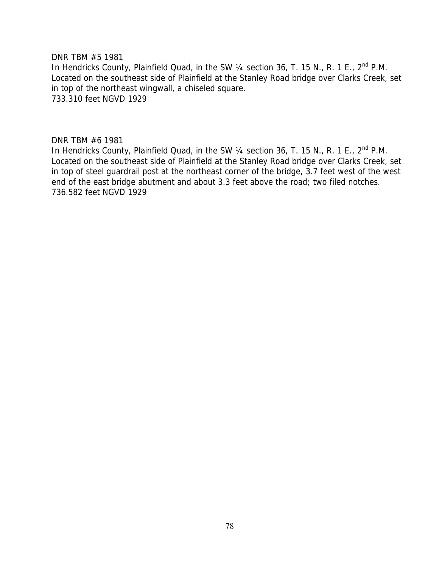DNR TBM #5 1981

In Hendricks County, Plainfield Quad, in the SW 1/4 section 36, T. 15 N., R. 1 E., 2<sup>nd</sup> P.M. Located on the southeast side of Plainfield at the Stanley Road bridge over Clarks Creek, set in top of the northeast wingwall, a chiseled square. 733.310 feet NGVD 1929

DNR TBM #6 1981

In Hendricks County, Plainfield Quad, in the SW 1/4 section 36, T. 15 N., R. 1 E., 2<sup>nd</sup> P.M. Located on the southeast side of Plainfield at the Stanley Road bridge over Clarks Creek, set in top of steel guardrail post at the northeast corner of the bridge, 3.7 feet west of the west end of the east bridge abutment and about 3.3 feet above the road; two filed notches. 736.582 feet NGVD 1929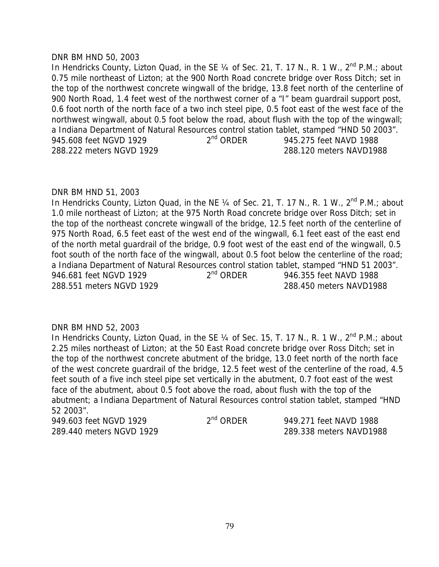## DNR BM HND 50, 2003

In Hendricks County, Lizton Quad, in the SE  $\frac{1}{4}$  of Sec. 21, T. 17 N., R. 1 W.,  $2^{nd}$  P.M.; about 0.75 mile northeast of Lizton; at the 900 North Road concrete bridge over Ross Ditch; set in the top of the northwest concrete wingwall of the bridge, 13.8 feet north of the centerline of 900 North Road, 1.4 feet west of the northwest corner of a "I" beam guardrail support post, 0.6 foot north of the north face of a two inch steel pipe, 0.5 foot east of the west face of the northwest wingwall, about 0.5 foot below the road, about flush with the top of the wingwall; a Indiana Department of Natural Resources control station tablet, stamped "HND 50 2003". 945.608 feet NGVD 1929 2<sup>nd</sup> ORDER 945.275 feet NAVD 1988 288.222 meters NGVD 1929 288.120 meters NAVD1988

## DNR BM HND 51, 2003

In Hendricks County, Lizton Quad, in the NE  $\frac{1}{4}$  of Sec. 21, T. 17 N., R. 1 W.,  $2^{nd}$  P.M.; about 1.0 mile northeast of Lizton; at the 975 North Road concrete bridge over Ross Ditch; set in the top of the northeast concrete wingwall of the bridge, 12.5 feet north of the centerline of 975 North Road, 6.5 feet east of the west end of the wingwall, 6.1 feet east of the east end of the north metal guardrail of the bridge, 0.9 foot west of the east end of the wingwall, 0.5 foot south of the north face of the wingwall, about 0.5 foot below the centerline of the road; a Indiana Department of Natural Resources control station tablet, stamped "HND 51 2003". 946.681 feet NGVD 1929 2<sup>nd</sup> ORDER 946.355 feet NAVD 1988 288.551 meters NGVD 1929 288.450 meters NAVD1988

# DNR BM HND 52, 2003

In Hendricks County, Lizton Quad, in the SE  $\frac{1}{4}$  of Sec. 15, T. 17 N., R. 1 W.,  $2^{nd}$  P.M.; about 2.25 miles northeast of Lizton; at the 50 East Road concrete bridge over Ross Ditch; set in the top of the northwest concrete abutment of the bridge, 13.0 feet north of the north face of the west concrete guardrail of the bridge, 12.5 feet west of the centerline of the road, 4.5 feet south of a five inch steel pipe set vertically in the abutment, 0.7 foot east of the west face of the abutment, about 0.5 foot above the road, about flush with the top of the abutment; a Indiana Department of Natural Resources control station tablet, stamped "HND 52 2003".

949.603 feet NGVD 1929 2<sup>nd</sup> ORDER 949.271 feet NAVD 1988 289.440 meters NGVD 1929 289.338 meters NAVD1988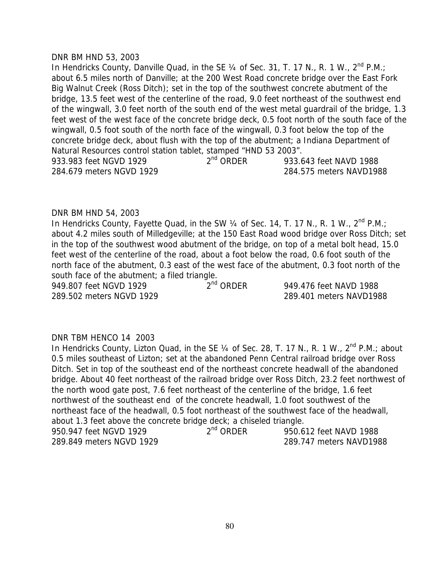#### DNR BM HND 53, 2003

In Hendricks County, Danville Quad, in the SE  $\frac{1}{4}$  of Sec. 31, T. 17 N., R. 1 W., 2<sup>nd</sup> P.M.; about 6.5 miles north of Danville; at the 200 West Road concrete bridge over the East Fork Big Walnut Creek (Ross Ditch); set in the top of the southwest concrete abutment of the bridge, 13.5 feet west of the centerline of the road, 9.0 feet northeast of the southwest end of the wingwall, 3.0 feet north of the south end of the west metal guardrail of the bridge, 1.3 feet west of the west face of the concrete bridge deck, 0.5 foot north of the south face of the wingwall, 0.5 foot south of the north face of the wingwall, 0.3 foot below the top of the concrete bridge deck, about flush with the top of the abutment; a Indiana Department of Natural Resources control station tablet, stamped "HND 53 2003". 933.983 feet NGVD 1929 2<sup>nd</sup> ORDER 933.643 feet NAVD 1988 284.679 meters NGVD 1929 284.575 meters NAVD1988

## DNR BM HND 54, 2003

In Hendricks County, Fayette Quad, in the SW 1/4 of Sec. 14, T. 17 N., R. 1 W., 2<sup>nd</sup> P.M.; about 4.2 miles south of Milledgeville; at the 150 East Road wood bridge over Ross Ditch; set in the top of the southwest wood abutment of the bridge, on top of a metal bolt head, 15.0 feet west of the centerline of the road, about a foot below the road, 0.6 foot south of the north face of the abutment, 0.3 east of the west face of the abutment, 0.3 foot north of the south face of the abutment; a filed triangle.

949.807 feet NGVD 1929 2<sup>nd</sup> ORDER 949.476 feet NAVD 1988 289.502 meters NGVD 1929 289.401 meters NAVD1988

## DNR TBM HENCO 14 2003

In Hendricks County, Lizton Quad, in the SE  $\frac{1}{4}$  of Sec. 28, T. 17 N., R. 1 W.,  $2^{nd}$  P.M.; about 0.5 miles southeast of Lizton; set at the abandoned Penn Central railroad bridge over Ross Ditch. Set in top of the southeast end of the northeast concrete headwall of the abandoned bridge. About 40 feet northeast of the railroad bridge over Ross Ditch, 23.2 feet northwest of the north wood gate post, 7.6 feet northeast of the centerline of the bridge, 1.6 feet northwest of the southeast end of the concrete headwall, 1.0 foot southwest of the northeast face of the headwall, 0.5 foot northeast of the southwest face of the headwall, about 1.3 feet above the concrete bridge deck; a chiseled triangle. 950.947 feet NGVD 1929 2<sup>nd</sup> ORDER 950.612 feet NAVD 1988 289.849 meters NGVD 1929 289.747 meters NAVD1988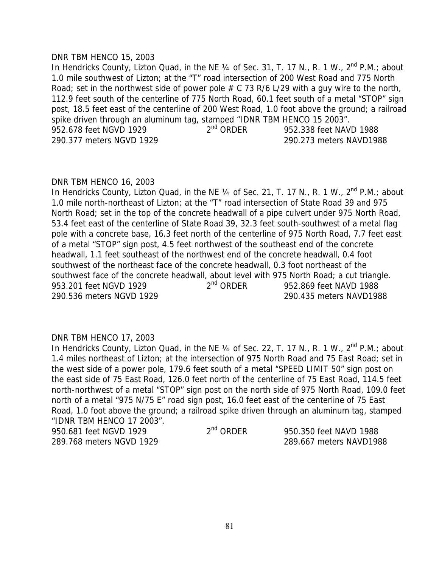#### DNR TBM HENCO 15, 2003

In Hendricks County, Lizton Quad, in the NE  $\frac{1}{4}$  of Sec. 31, T. 17 N., R. 1 W.,  $2^{nd}$  P.M.; about 1.0 mile southwest of Lizton; at the "T" road intersection of 200 West Road and 775 North Road; set in the northwest side of power pole  $# C$  73 R/6 L/29 with a guy wire to the north, 112.9 feet south of the centerline of 775 North Road, 60.1 feet south of a metal "STOP" sign post, 18.5 feet east of the centerline of 200 West Road, 1.0 foot above the ground; a railroad spike driven through an aluminum tag, stamped "IDNR TBM HENCO 15 2003".<br>952.678 feet NAV 2<sup>nd</sup> ORDER 952.338 feet NAV 952.678 feet NGVD 1929 2<sup>nd</sup> ORDER 952.338 feet NAVD 1988 290.377 meters NGVD 1929 290.273 meters NAVD1988

#### DNR TBM HENCO 16, 2003

In Hendricks County, Lizton Quad, in the NE 1/4 of Sec. 21, T. 17 N., R. 1 W., 2<sup>nd</sup> P.M.; about 1.0 mile north-northeast of Lizton; at the "T" road intersection of State Road 39 and 975 North Road; set in the top of the concrete headwall of a pipe culvert under 975 North Road, 53.4 feet east of the centerline of State Road 39, 32.3 feet south-southwest of a metal flag pole with a concrete base, 16.3 feet north of the centerline of 975 North Road, 7.7 feet east of a metal "STOP" sign post, 4.5 feet northwest of the southeast end of the concrete headwall, 1.1 feet southeast of the northwest end of the concrete headwall, 0.4 foot southwest of the northeast face of the concrete headwall, 0.3 foot northeast of the southwest face of the concrete headwall, about level with 975 North Road; a cut triangle. 953.201 feet NGVD 1929 2<sup>nd</sup> ORDER 952.869 feet NAVD 1988 290.536 meters NGVD 1929 290.435 meters NAVD1988

## DNR TBM HENCO 17, 2003

In Hendricks County, Lizton Quad, in the NE 1/4 of Sec. 22, T. 17 N., R. 1 W., 2<sup>nd</sup> P.M.; about 1.4 miles northeast of Lizton; at the intersection of 975 North Road and 75 East Road; set in the west side of a power pole, 179.6 feet south of a metal "SPEED LIMIT 50" sign post on the east side of 75 East Road, 126.0 feet north of the centerline of 75 East Road, 114.5 feet north-northwest of a metal "STOP" sign post on the north side of 975 North Road, 109.0 feet north of a metal "975 N/75 E" road sign post, 16.0 feet east of the centerline of 75 East Road, 1.0 foot above the ground; a railroad spike driven through an aluminum tag, stamped "IDNR TBM HENCO 17 2003". 950.681 feet NGVD 1929 2<sup>nd</sup> ORDER 950.350 feet NAVD 1988

289.768 meters NGVD 1929 289.667 meters NAVD1988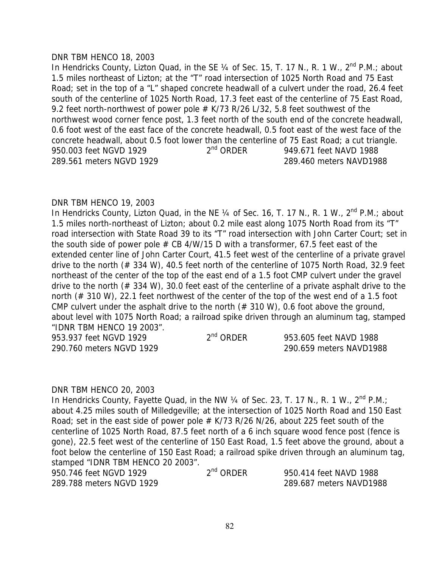### DNR TBM HENCO 18, 2003

In Hendricks County, Lizton Quad, in the SE 1/4 of Sec. 15, T. 17 N., R. 1 W., 2<sup>nd</sup> P.M.; about 1.5 miles northeast of Lizton; at the "T" road intersection of 1025 North Road and 75 East Road; set in the top of a "L" shaped concrete headwall of a culvert under the road, 26.4 feet south of the centerline of 1025 North Road, 17.3 feet east of the centerline of 75 East Road, 9.2 feet north-northwest of power pole  $#$  K/73 R/26 L/32, 5.8 feet southwest of the northwest wood corner fence post, 1.3 feet north of the south end of the concrete headwall, 0.6 foot west of the east face of the concrete headwall, 0.5 foot east of the west face of the concrete headwall, about 0.5 foot lower than the centerline of 75 East Road; a cut triangle. 950.003 feet NGVD 1929 2<sup>nd</sup> ORDER 949.671 feet NAVD 1988 289.561 meters NGVD 1929 289.460 meters NAVD1988

## DNR TBM HENCO 19, 2003

In Hendricks County, Lizton Quad, in the NE  $\frac{1}{4}$  of Sec. 16, T. 17 N., R. 1 W.,  $2^{nd}$  P.M.; about 1.5 miles north-northeast of Lizton; about 0.2 mile east along 1075 North Road from its "T" road intersection with State Road 39 to its "T" road intersection with John Carter Court; set in the south side of power pole  $# CB$  4/W/15 D with a transformer, 67.5 feet east of the extended center line of John Carter Court, 41.5 feet west of the centerline of a private gravel drive to the north (# 334 W), 40.5 feet north of the centerline of 1075 North Road, 32.9 feet northeast of the center of the top of the east end of a 1.5 foot CMP culvert under the gravel drive to the north (# 334 W), 30.0 feet east of the centerline of a private asphalt drive to the north (# 310 W), 22.1 feet northwest of the center of the top of the west end of a 1.5 foot CMP culvert under the asphalt drive to the north  $(\# 310 \, \text{W})$ , 0.6 foot above the ground, about level with 1075 North Road; a railroad spike driven through an aluminum tag, stamped "IDNR TBM HENCO 19 2003".

| 953.937 feet NGVD 1929   | $2nd$ ORDER | 953.605 feet NAVD 1988  |
|--------------------------|-------------|-------------------------|
| 290.760 meters NGVD 1929 |             | 290.659 meters NAVD1988 |

#### DNR TBM HENCO 20, 2003

In Hendricks County, Fayette Quad, in the NW 1/4 of Sec. 23, T. 17 N., R. 1 W., 2<sup>nd</sup> P.M.; about 4.25 miles south of Milledgeville; at the intersection of 1025 North Road and 150 East Road; set in the east side of power pole  $# K/73 R/26 N/26$ , about 225 feet south of the centerline of 1025 North Road, 87.5 feet north of a 6 inch square wood fence post (fence is gone), 22.5 feet west of the centerline of 150 East Road, 1.5 feet above the ground, about a foot below the centerline of 150 East Road; a railroad spike driven through an aluminum tag, stamped "IDNR TBM HENCO 20 2003".

| 950.746 feet NGVD 1929   | $2^{nd}$ ORDER | 950.414 feet NAVD 1988  |
|--------------------------|----------------|-------------------------|
| 289.788 meters NGVD 1929 |                | 289.687 meters NAVD1988 |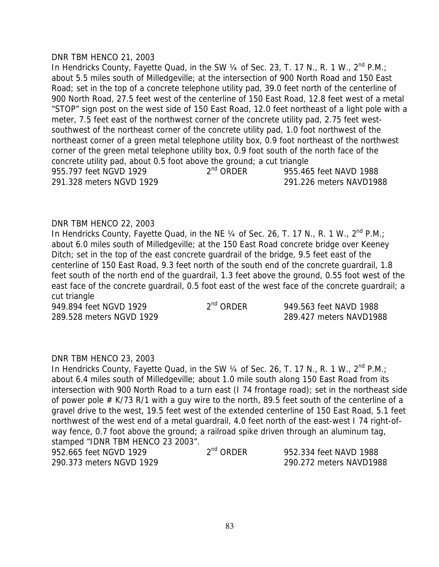#### DNR TBM HENCO 21, 2003

In Hendricks County, Fayette Quad, in the SW 1/4 of Sec. 23, T. 17 N., R. 1 W., 2<sup>nd</sup> P.M.; about 5.5 miles south of Milledgeville; at the intersection of 900 North Road and 150 East Road; set in the top of a concrete telephone utility pad, 39.0 feet north of the centerline of 900 North Road, 27.5 feet west of the centerline of 150 East Road, 12.8 feet west of a metal "STOP" sign post on the west side of 150 East Road, 12.0 feet northeast of a light pole with a meter, 7.5 feet east of the northwest corner of the concrete utility pad, 2.75 feet westsouthwest of the northeast corner of the concrete utility pad, 1.0 foot northwest of the northeast corner of a green metal telephone utility box, 0.9 foot northeast of the northwest corner of the green metal telephone utility box, 0.9 foot south of the north face of the concrete utility pad, about 0.5 foot above the ground; a cut triangle 955.797 feet NGVD 1929 2<sup>nd</sup> ORDER 955.465 feet NAVD 1988 291.328 meters NGVD 1929 291.226 meters NAVD1988

## DNR TBM HENCO 22, 2003

In Hendricks County, Fayette Quad, in the NE  $\frac{1}{4}$  of Sec. 26, T. 17 N., R. 1 W.,  $2^{nd}$  P.M.; about 6.0 miles south of Milledgeville; at the 150 East Road concrete bridge over Keeney Ditch; set in the top of the east concrete quardrail of the bridge, 9.5 feet east of the centerline of 150 East Road, 9.3 feet north of the south end of the concrete guardrail, 1.8 feet south of the north end of the guardrail, 1.3 feet above the ground, 0.55 foot west of the east face of the concrete guardrail, 0.5 foot east of the west face of the concrete guardrail; a cut triangle

949.894 feet NGVD 1929 2<sup>nd</sup> ORDER 949.563 feet NAVD 1988 289.528 meters NGVD 1929 289.427 meters NAVD1988

## DNR TBM HENCO 23, 2003

In Hendricks County, Fayette Quad, in the SW 1/4 of Sec. 26, T. 17 N., R. 1 W., 2<sup>nd</sup> P.M.; about 6.4 miles south of Milledgeville; about 1.0 mile south along 150 East Road from its intersection with 900 North Road to a turn east (I 74 frontage road); set in the northeast side of power pole  $# K/73 R/1$  with a guy wire to the north, 89.5 feet south of the centerline of a gravel drive to the west, 19.5 feet west of the extended centerline of 150 East Road, 5.1 feet northwest of the west end of a metal guardrail, 4.0 feet north of the east-west I 74 right-ofway fence, 0.7 foot above the ground; a railroad spike driven through an aluminum tag, stamped "IDNR TBM HENCO 23 2003". 952.665 feet NGVD 1929 2<sup>nd</sup> ORDER 952.334 feet NAVD 1988 290.373 meters NGVD 1929 290.272 meters NAVD1988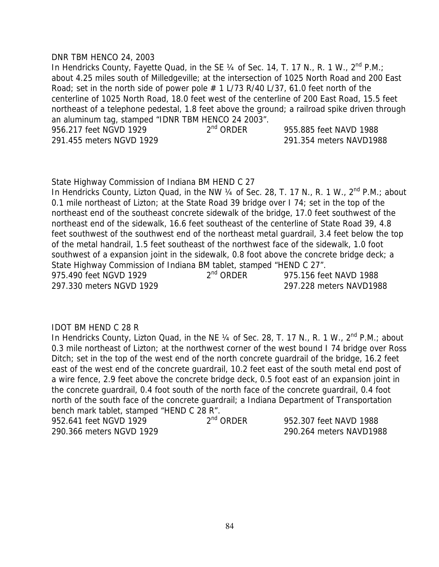### DNR TBM HENCO 24, 2003

In Hendricks County, Fayette Quad, in the SE  $\frac{1}{4}$  of Sec. 14, T. 17 N., R. 1 W.,  $2^{nd}$  P.M.; about 4.25 miles south of Milledgeville; at the intersection of 1025 North Road and 200 East Road; set in the north side of power pole  $# 1 L/73 R/40 L/37$ , 61.0 feet north of the centerline of 1025 North Road, 18.0 feet west of the centerline of 200 East Road, 15.5 feet northeast of a telephone pedestal, 1.8 feet above the ground; a railroad spike driven through an aluminum tag, stamped "IDNR TBM HENCO 24 2003".<br>956.217 feet NGVD 1929  $2<sup>nd</sup>$  ORDER 956.217 feet NGVD 1929 2<sup>nd</sup> ORDER 955.885 feet NAVD 1988 291.455 meters NGVD 1929 291.354 meters NAVD1988

State Highway Commission of Indiana BM HEND C 27

In Hendricks County, Lizton Quad, in the NW 1/4 of Sec. 28, T. 17 N., R. 1 W., 2<sup>nd</sup> P.M.; about 0.1 mile northeast of Lizton; at the State Road 39 bridge over I 74; set in the top of the northeast end of the southeast concrete sidewalk of the bridge, 17.0 feet southwest of the northeast end of the sidewalk, 16.6 feet southeast of the centerline of State Road 39, 4.8 feet southwest of the southwest end of the northeast metal guardrail, 3.4 feet below the top of the metal handrail, 1.5 feet southeast of the northwest face of the sidewalk, 1.0 foot southwest of a expansion joint in the sidewalk, 0.8 foot above the concrete bridge deck; a State Highway Commission of Indiana BM tablet, stamped "HEND C 27". 975.490 feet NGVD 1929 2<sup>nd</sup> ORDER 975.156 feet NAVD 1988 297.330 meters NGVD 1929 297.228 meters NAVD1988

## IDOT BM HEND C 28 R

In Hendricks County, Lizton Quad, in the NE 1/4 of Sec. 28, T. 17 N., R. 1 W., 2<sup>nd</sup> P.M.; about 0.3 mile northeast of Lizton; at the northwest corner of the west bound I 74 bridge over Ross Ditch; set in the top of the west end of the north concrete guardrail of the bridge, 16.2 feet east of the west end of the concrete guardrail, 10.2 feet east of the south metal end post of a wire fence, 2.9 feet above the concrete bridge deck, 0.5 foot east of an expansion joint in the concrete guardrail, 0.4 foot south of the north face of the concrete guardrail, 0.4 foot north of the south face of the concrete guardrail; a Indiana Department of Transportation bench mark tablet, stamped "HEND C 28 R". 952.641 feet NGVD 1929 2<sup>nd</sup> ORDER 952.307 feet NAVD 1988

290.366 meters NGVD 1929 290.264 meters NAVD1988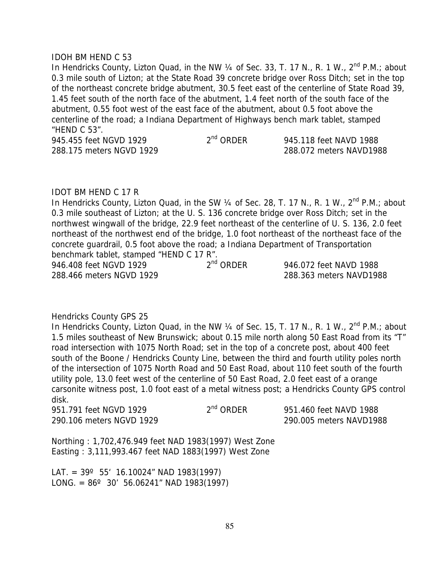#### IDOH BM HEND C 53

In Hendricks County, Lizton Quad, in the NW  $\frac{1}{4}$  of Sec. 33, T. 17 N., R. 1 W.,  $2^{nd}$  P.M.; about 0.3 mile south of Lizton; at the State Road 39 concrete bridge over Ross Ditch; set in the top of the northeast concrete bridge abutment, 30.5 feet east of the centerline of State Road 39, 1.45 feet south of the north face of the abutment, 1.4 feet north of the south face of the abutment, 0.55 foot west of the east face of the abutment, about 0.5 foot above the centerline of the road; a Indiana Department of Highways bench mark tablet, stamped "HEND C 53".

945.455 feet NGVD 1929 2<sup>nd</sup> ORDER 945.118 feet NAVD 1988 288.175 meters NGVD 1929 288.072 meters NAVD1988

## IDOT BM HEND C 17 R

In Hendricks County, Lizton Quad, in the SW  $\frac{1}{4}$  of Sec. 28, T. 17 N., R. 1 W.,  $2^{nd}$  P.M.; about 0.3 mile southeast of Lizton; at the U. S. 136 concrete bridge over Ross Ditch; set in the northwest wingwall of the bridge, 22.9 feet northeast of the centerline of U. S. 136, 2.0 feet northeast of the northwest end of the bridge, 1.0 foot northeast of the northeast face of the concrete guardrail, 0.5 foot above the road; a Indiana Department of Transportation benchmark tablet, stamped "HEND C 17 R". 946.408 feet NGVD 1929 2<sup>nd</sup> ORDER 946.072 feet NAVD 1988 288.466 meters NGVD 1929 288.363 meters NAVD1988

## Hendricks County GPS 25

In Hendricks County, Lizton Quad, in the NW  $\frac{1}{4}$  of Sec. 15, T. 17 N., R. 1 W.,  $2^{nd}$  P.M.; about 1.5 miles southeast of New Brunswick; about 0.15 mile north along 50 East Road from its "T" road intersection with 1075 North Road; set in the top of a concrete post, about 400 feet south of the Boone / Hendricks County Line, between the third and fourth utility poles north of the intersection of 1075 North Road and 50 East Road, about 110 feet south of the fourth utility pole, 13.0 feet west of the centerline of 50 East Road, 2.0 feet east of a orange carsonite witness post, 1.0 foot east of a metal witness post; a Hendricks County GPS control disk.

| 951.791 feet NGVD 1929   | $2nd$ ORDER | 951.460 feet NAVD 1988  |
|--------------------------|-------------|-------------------------|
| 290.106 meters NGVD 1929 |             | 290.005 meters NAVD1988 |

Northing : 1,702,476.949 feet NAD 1983(1997) West Zone Easting : 3,111,993.467 feet NAD 1883(1997) West Zone

LAT. =  $39^{\circ}$  55' 16.10024" NAD 1983(1997) LONG. =  $86^{\circ}$  30' 56.06241" NAD 1983(1997)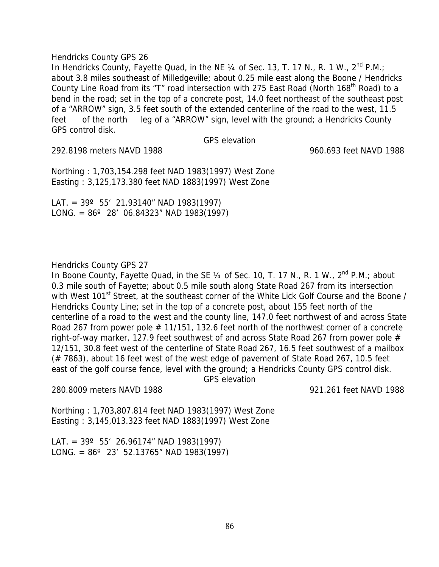In Hendricks County, Fayette Quad, in the NE 1/4 of Sec. 13, T. 17 N., R. 1 W., 2<sup>nd</sup> P.M.: about 3.8 miles southeast of Milledgeville; about 0.25 mile east along the Boone / Hendricks County Line Road from its "T" road intersection with 275 East Road (North 168<sup>th</sup> Road) to a bend in the road; set in the top of a concrete post, 14.0 feet northeast of the southeast post of a "ARROW" sign, 3.5 feet south of the extended centerline of the road to the west, 11.5 feet of the north leg of a "ARROW" sign, level with the ground; a Hendricks County GPS control disk.

GPS elevation

292.8198 meters NAVD 1988 960.693 feet NAVD 1988

Northing : 1,703,154.298 feet NAD 1983(1997) West Zone Easting : 3,125,173.380 feet NAD 1883(1997) West Zone

LAT. =  $39^{\circ}$  55' 21.93140" NAD 1983(1997) LONG. =  $86^{\circ}$  28' 06.84323" NAD 1983(1997)

## Hendricks County GPS 27

In Boone County, Fayette Quad, in the SE  $\frac{1}{4}$  of Sec. 10, T. 17 N., R. 1 W.,  $2^{nd}$  P.M.; about 0.3 mile south of Fayette; about 0.5 mile south along State Road 267 from its intersection with West 101<sup>st</sup> Street, at the southeast corner of the White Lick Golf Course and the Boone / Hendricks County Line; set in the top of a concrete post, about 155 feet north of the centerline of a road to the west and the county line, 147.0 feet northwest of and across State Road 267 from power pole # 11/151, 132.6 feet north of the northwest corner of a concrete right-of-way marker, 127.9 feet southwest of and across State Road 267 from power pole # 12/151, 30.8 feet west of the centerline of State Road 267, 16.5 feet southwest of a mailbox (# 7863), about 16 feet west of the west edge of pavement of State Road 267, 10.5 feet east of the golf course fence, level with the ground; a Hendricks County GPS control disk. GPS elevation

280.8009 meters NAVD 1988 921.261 feet NAVD 1988

Northing : 1,703,807.814 feet NAD 1983(1997) West Zone Easting : 3,145,013.323 feet NAD 1883(1997) West Zone

LAT. =  $39^{\circ}$  55' 26.96174" NAD 1983(1997) LONG. =  $86^{\circ}$  23' 52.13765" NAD 1983(1997)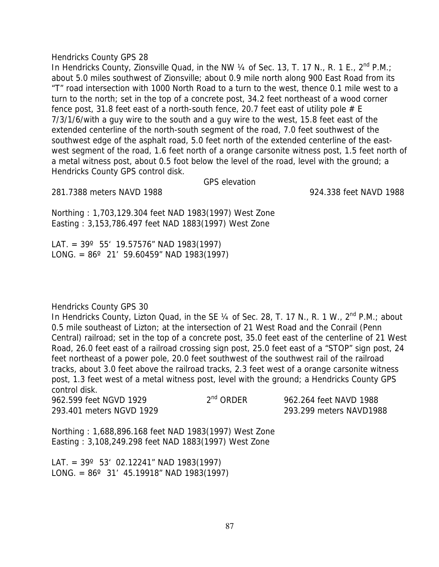In Hendricks County, Zionsville Quad, in the NW  $\frac{1}{4}$  of Sec. 13, T. 17 N., R. 1 E., 2<sup>nd</sup> P.M.; about 5.0 miles southwest of Zionsville; about 0.9 mile north along 900 East Road from its "T" road intersection with 1000 North Road to a turn to the west, thence 0.1 mile west to a turn to the north; set in the top of a concrete post, 34.2 feet northeast of a wood corner fence post, 31.8 feet east of a north-south fence, 20.7 feet east of utility pole  $#E$ 7/3/1/6/with a guy wire to the south and a guy wire to the west, 15.8 feet east of the extended centerline of the north-south segment of the road, 7.0 feet southwest of the southwest edge of the asphalt road, 5.0 feet north of the extended centerline of the eastwest segment of the road, 1.6 feet north of a orange carsonite witness post, 1.5 feet north of a metal witness post, about 0.5 foot below the level of the road, level with the ground; a Hendricks County GPS control disk.

GPS elevation

281.7388 meters NAVD 1988 924.338 feet NAVD 1988

Northing : 1,703,129.304 feet NAD 1983(1997) West Zone Easting : 3,153,786.497 feet NAD 1883(1997) West Zone

LAT. =  $39^{\circ}$  55' 19.57576" NAD 1983(1997) LONG. =  $86^{\circ}$  21' 59.60459" NAD 1983(1997)

## Hendricks County GPS 30

In Hendricks County, Lizton Quad, in the SE  $\frac{1}{4}$  of Sec. 28, T. 17 N., R. 1 W.,  $2^{nd}$  P.M.; about 0.5 mile southeast of Lizton; at the intersection of 21 West Road and the Conrail (Penn Central) railroad; set in the top of a concrete post, 35.0 feet east of the centerline of 21 West Road, 26.0 feet east of a railroad crossing sign post, 25.0 feet east of a "STOP" sign post, 24 feet northeast of a power pole, 20.0 feet southwest of the southwest rail of the railroad tracks, about 3.0 feet above the railroad tracks, 2.3 feet west of a orange carsonite witness post, 1.3 feet west of a metal witness post, level with the ground; a Hendricks County GPS control disk.

| 962.599 feet NGVD 1929   | $2nd$ ORDER | 962.264 feet NAVD 1988  |
|--------------------------|-------------|-------------------------|
| 293.401 meters NGVD 1929 |             | 293.299 meters NAVD1988 |

Northing : 1,688,896.168 feet NAD 1983(1997) West Zone Easting : 3,108,249.298 feet NAD 1883(1997) West Zone

LAT. =  $39^{\circ}$  53' 02.12241" NAD 1983(1997) LONG. =  $86^{\circ}$  31' 45.19918" NAD 1983(1997)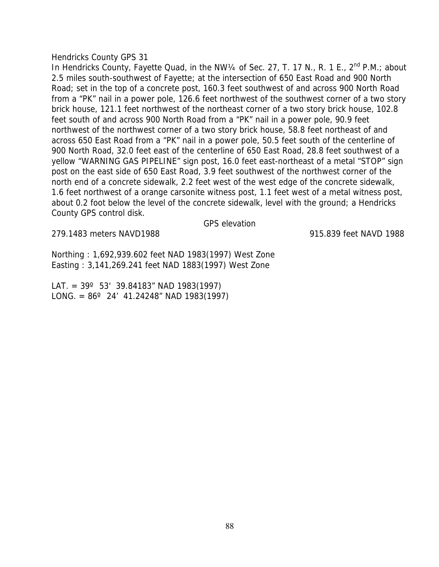In Hendricks County, Fayette Quad, in the NW1/4 of Sec. 27, T. 17 N., R. 1 E.,  $2^{nd}$  P.M.; about 2.5 miles south-southwest of Fayette; at the intersection of 650 East Road and 900 North Road; set in the top of a concrete post, 160.3 feet southwest of and across 900 North Road from a "PK" nail in a power pole, 126.6 feet northwest of the southwest corner of a two story brick house, 121.1 feet northwest of the northeast corner of a two story brick house, 102.8 feet south of and across 900 North Road from a "PK" nail in a power pole, 90.9 feet northwest of the northwest corner of a two story brick house, 58.8 feet northeast of and across 650 East Road from a "PK" nail in a power pole, 50.5 feet south of the centerline of 900 North Road, 32.0 feet east of the centerline of 650 East Road, 28.8 feet southwest of a yellow "WARNING GAS PIPELINE" sign post, 16.0 feet east-northeast of a metal "STOP" sign post on the east side of 650 East Road, 3.9 feet southwest of the northwest corner of the north end of a concrete sidewalk, 2.2 feet west of the west edge of the concrete sidewalk, 1.6 feet northwest of a orange carsonite witness post, 1.1 feet west of a metal witness post, about 0.2 foot below the level of the concrete sidewalk, level with the ground; a Hendricks County GPS control disk.

GPS elevation

279.1483 meters NAVD1988 915.839 feet NAVD 1988

Northing : 1,692,939.602 feet NAD 1983(1997) West Zone Easting : 3,141,269.241 feet NAD 1883(1997) West Zone

LAT. =  $39^{\circ}$  53' 39.84183" NAD 1983(1997) LONG. =  $86^{\circ}$  24' 41.24248" NAD 1983(1997)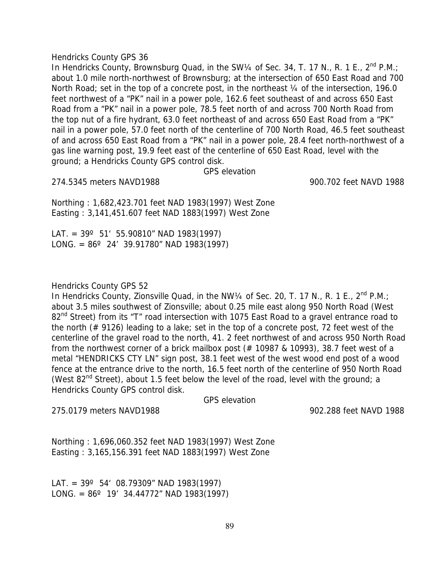In Hendricks County, Brownsburg Quad, in the SW1/4 of Sec. 34, T. 17 N., R. 1 E., 2<sup>nd</sup> P.M.; about 1.0 mile north-northwest of Brownsburg; at the intersection of 650 East Road and 700 North Road; set in the top of a concrete post, in the northeast 1/4 of the intersection, 196.0 feet northwest of a "PK" nail in a power pole, 162.6 feet southeast of and across 650 East Road from a "PK" nail in a power pole, 78.5 feet north of and across 700 North Road from the top nut of a fire hydrant, 63.0 feet northeast of and across 650 East Road from a "PK" nail in a power pole, 57.0 feet north of the centerline of 700 North Road, 46.5 feet southeast of and across 650 East Road from a "PK" nail in a power pole, 28.4 feet north-northwest of a gas line warning post, 19.9 feet east of the centerline of 650 East Road, level with the ground; a Hendricks County GPS control disk.

GPS elevation

274.5345 meters NAVD1988 900.702 feet NAVD 1988

Northing : 1,682,423.701 feet NAD 1983(1997) West Zone Easting : 3,141,451.607 feet NAD 1883(1997) West Zone

LAT. =  $39^{\circ}$  51' 55.90810" NAD 1983(1997) LONG. =  $86^{\circ}$  24' 39.91780" NAD 1983(1997)

## Hendricks County GPS 52

In Hendricks County, Zionsville Quad, in the NW1/4 of Sec. 20, T. 17 N., R. 1 E.,  $2^{nd}$  P.M.; about 3.5 miles southwest of Zionsville; about 0.25 mile east along 950 North Road (West 82<sup>nd</sup> Street) from its "T" road intersection with 1075 East Road to a gravel entrance road to the north (# 9126) leading to a lake; set in the top of a concrete post, 72 feet west of the centerline of the gravel road to the north, 41. 2 feet northwest of and across 950 North Road from the northwest corner of a brick mailbox post (# 10987 & 10993), 38.7 feet west of a metal "HENDRICKS CTY LN" sign post, 38.1 feet west of the west wood end post of a wood fence at the entrance drive to the north, 16.5 feet north of the centerline of 950 North Road (West  $82<sup>nd</sup>$  Street), about 1.5 feet below the level of the road, level with the ground; a Hendricks County GPS control disk.

GPS elevation

275.0179 meters NAVD1988 902.288 feet NAVD 1988

Northing : 1,696,060.352 feet NAD 1983(1997) West Zone Easting : 3,165,156.391 feet NAD 1883(1997) West Zone

LAT. =  $39^{\circ}$  54' 08.79309" NAD 1983(1997) LONG. =  $86^{\circ}$  19' 34.44772" NAD 1983(1997)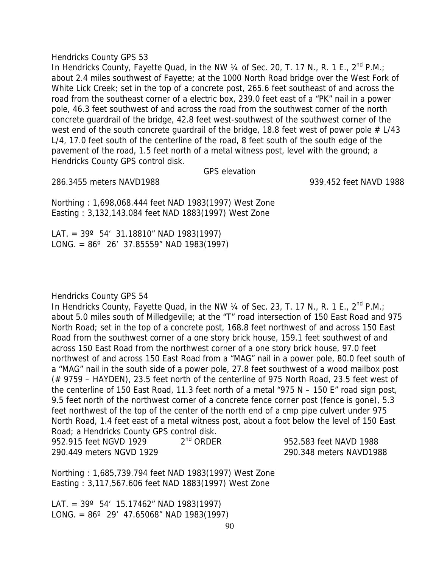In Hendricks County, Fayette Quad, in the NW 1/4 of Sec. 20, T. 17 N., R. 1 E., 2<sup>nd</sup> P.M.; about 2.4 miles southwest of Fayette; at the 1000 North Road bridge over the West Fork of White Lick Creek; set in the top of a concrete post, 265.6 feet southeast of and across the road from the southeast corner of a electric box, 239.0 feet east of a "PK" nail in a power pole, 46.3 feet southwest of and across the road from the southwest corner of the north concrete guardrail of the bridge, 42.8 feet west-southwest of the southwest corner of the west end of the south concrete quardrail of the bridge, 18.8 feet west of power pole  $# L/43$ L/4, 17.0 feet south of the centerline of the road, 8 feet south of the south edge of the pavement of the road, 1.5 feet north of a metal witness post, level with the ground; a Hendricks County GPS control disk.

GPS elevation

286.3455 meters NAVD1988 939.452 feet NAVD 1988

Northing : 1,698,068.444 feet NAD 1983(1997) West Zone Easting : 3,132,143.084 feet NAD 1883(1997) West Zone

LAT. =  $39^{\circ}$  54' 31.18810" NAD 1983(1997) LONG. =  $86^{\circ}$  26' 37.85559" NAD 1983(1997)

## Hendricks County GPS 54

In Hendricks County, Fayette Quad, in the NW 1/4 of Sec. 23, T. 17 N., R. 1 E., 2<sup>nd</sup> P.M.; about 5.0 miles south of Milledgeville; at the "T" road intersection of 150 East Road and 975 North Road; set in the top of a concrete post, 168.8 feet northwest of and across 150 East Road from the southwest corner of a one story brick house, 159.1 feet southwest of and across 150 East Road from the northwest corner of a one story brick house, 97.0 feet northwest of and across 150 East Road from a "MAG" nail in a power pole, 80.0 feet south of a "MAG" nail in the south side of a power pole, 27.8 feet southwest of a wood mailbox post (# 9759 – HAYDEN), 23.5 feet north of the centerline of 975 North Road, 23.5 feet west of the centerline of 150 East Road, 11.3 feet north of a metal "975 N – 150 E" road sign post, 9.5 feet north of the northwest corner of a concrete fence corner post (fence is gone), 5.3 feet northwest of the top of the center of the north end of a cmp pipe culvert under 975 North Road, 1.4 feet east of a metal witness post, about a foot below the level of 150 East Road; a Hendricks County GPS control disk.

| 952.915 feet NGVD 1929   | $2nd$ ORDER |
|--------------------------|-------------|
| 290.449 meters NGVD 1929 |             |

952.583 feet NAVD 1988 290.348 meters NAVD1988

Northing : 1,685,739.794 feet NAD 1983(1997) West Zone Easting : 3,117,567.606 feet NAD 1883(1997) West Zone

LAT. =  $39^{\circ}$  54' 15.17462" NAD 1983(1997) LONG. =  $86^{\circ}$  29' 47.65068" NAD 1983(1997)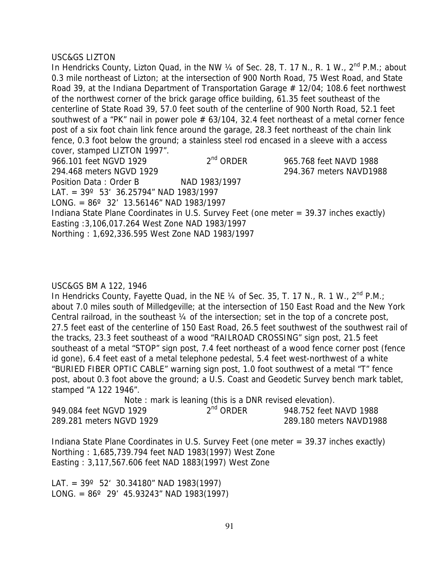## USC&GS LIZTON

In Hendricks County, Lizton Quad, in the NW 1/4 of Sec. 28, T. 17 N., R. 1 W., 2<sup>nd</sup> P.M.: about 0.3 mile northeast of Lizton; at the intersection of 900 North Road, 75 West Road, and State Road 39, at the Indiana Department of Transportation Garage # 12/04; 108.6 feet northwest of the northwest corner of the brick garage office building, 61.35 feet southeast of the centerline of State Road 39, 57.0 feet south of the centerline of 900 North Road, 52.1 feet southwest of a "PK" nail in power pole  $# 63/104$ , 32.4 feet northeast of a metal corner fence post of a six foot chain link fence around the garage, 28.3 feet northeast of the chain link fence, 0.3 foot below the ground; a stainless steel rod encased in a sleeve with a access cover, stamped LIZTON 1997".

966.101 feet NGVD 1929 2<sup>nd</sup> ORDER 965.768 feet NAVD 1988 294.468 meters NGVD 1929 294.367 meters NAVD1988 Position Data: Order B NAD 1983/1997 LAT. =  $39^{\circ}$  53' 36.25794" NAD 1983/1997 LONG. =  $86^{\circ}$  32' 13.56146" NAD 1983/1997 Indiana State Plane Coordinates in U.S. Survey Feet (one meter = 39.37 inches exactly) Easting :3,106,017.264 West Zone NAD 1983/1997 Northing : 1,692,336.595 West Zone NAD 1983/1997

## USC&GS BM A 122, 1946

In Hendricks County, Fayette Quad, in the NE  $\frac{1}{4}$  of Sec. 35, T. 17 N., R. 1 W.,  $2^{nd}$  P.M.; about 7.0 miles south of Milledgeville; at the intersection of 150 East Road and the New York Central railroad, in the southeast ¼ of the intersection; set in the top of a concrete post, 27.5 feet east of the centerline of 150 East Road, 26.5 feet southwest of the southwest rail of the tracks, 23.3 feet southeast of a wood "RAILROAD CROSSING" sign post, 21.5 feet southeast of a metal "STOP" sign post, 7.4 feet northeast of a wood fence corner post (fence id gone), 6.4 feet east of a metal telephone pedestal, 5.4 feet west-northwest of a white "BURIED FIBER OPTIC CABLE" warning sign post, 1.0 foot southwest of a metal "T" fence post, about 0.3 foot above the ground; a U.S. Coast and Geodetic Survey bench mark tablet, stamped "A 122 1946".

Note : mark is leaning (this is a DNR revised elevation). 949.084 feet NGVD 1929 2<sup>nd</sup> ORDER 948.752 feet NAVD 1988 289.281 meters NGVD 1929 289.180 meters NAVD1988

Indiana State Plane Coordinates in U.S. Survey Feet (one meter = 39.37 inches exactly) Northing : 1,685,739.794 feet NAD 1983(1997) West Zone Easting : 3,117,567.606 feet NAD 1883(1997) West Zone

LAT. =  $39^{\circ}$  52' 30.34180" NAD 1983(1997) LONG. =  $86^{\circ}$  29' 45.93243" NAD 1983(1997)